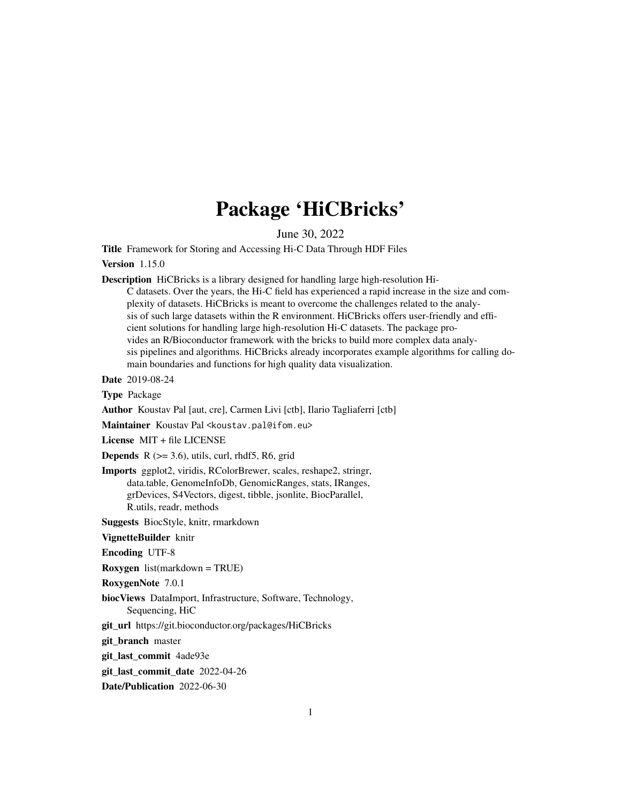# Package 'HiCBricks'

June 30, 2022

Title Framework for Storing and Accessing Hi-C Data Through HDF Files

#### Version 1.15.0

Description HiCBricks is a library designed for handling large high-resolution Hi-

C datasets. Over the years, the Hi-C field has experienced a rapid increase in the size and complexity of datasets. HiCBricks is meant to overcome the challenges related to the analysis of such large datasets within the R environment. HiCBricks offers user-friendly and efficient solutions for handling large high-resolution Hi-C datasets. The package provides an R/Bioconductor framework with the bricks to build more complex data analysis pipelines and algorithms. HiCBricks already incorporates example algorithms for calling domain boundaries and functions for high quality data visualization.

Date 2019-08-24

Type Package

Author Koustav Pal [aut, cre], Carmen Livi [ctb], Ilario Tagliaferri [ctb]

Maintainer Koustav Pal <koustav.pal@ifom.eu>

License MIT + file LICENSE

**Depends** R  $(>= 3.6)$ , utils, curl, rhdf5, R6, grid

Imports ggplot2, viridis, RColorBrewer, scales, reshape2, stringr, data.table, GenomeInfoDb, GenomicRanges, stats, IRanges, grDevices, S4Vectors, digest, tibble, jsonlite, BiocParallel, R.utils, readr, methods

Suggests BiocStyle, knitr, rmarkdown

VignetteBuilder knitr

Encoding UTF-8

Roxygen list(markdown = TRUE)

RoxygenNote 7.0.1

biocViews DataImport, Infrastructure, Software, Technology, Sequencing, HiC

git\_url https://git.bioconductor.org/packages/HiCBricks

git\_branch master

git\_last\_commit 4ade93e

git last commit date 2022-04-26

Date/Publication 2022-06-30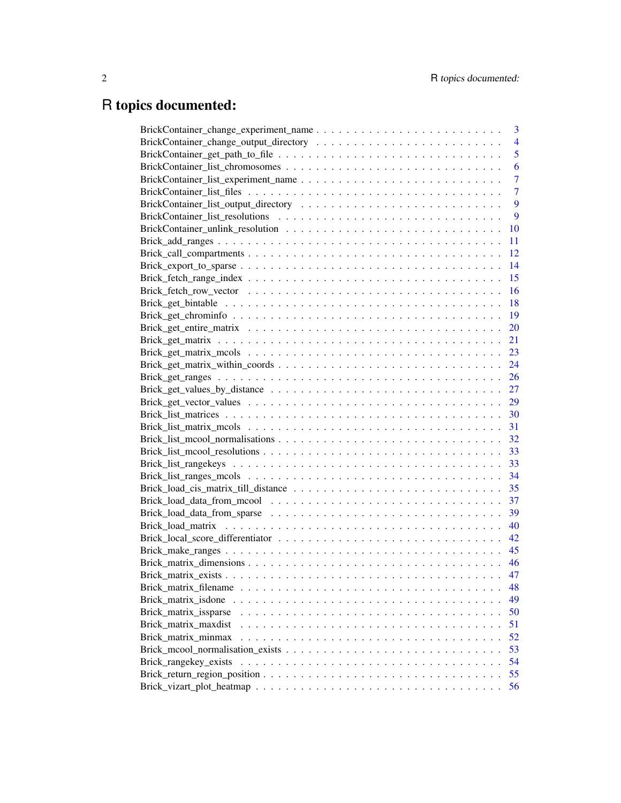# R topics documented: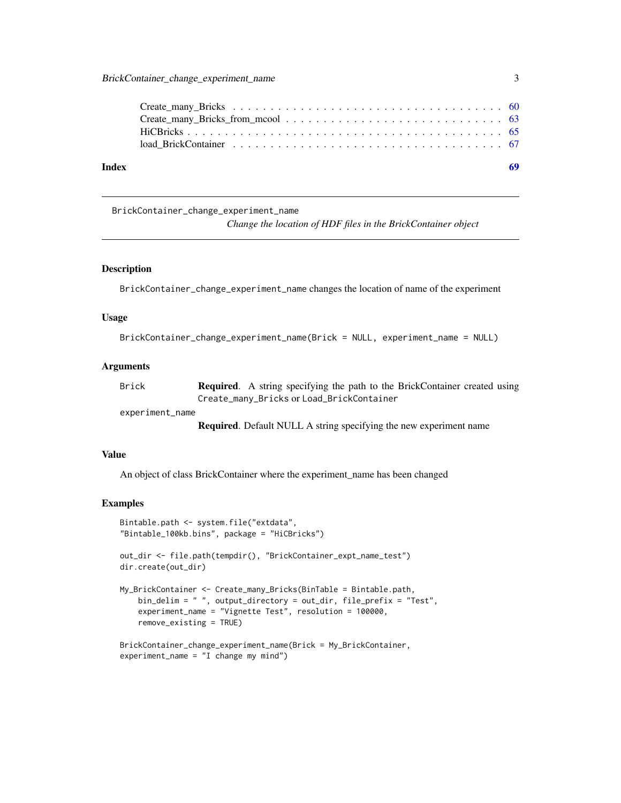<span id="page-2-0"></span>

### BrickContainer\_change\_experiment\_name

*Change the location of HDF files in the BrickContainer object*

### Description

BrickContainer\_change\_experiment\_name changes the location of name of the experiment

#### Usage

```
BrickContainer_change_experiment_name(Brick = NULL, experiment_name = NULL)
```
### Arguments

| Brick | <b>Required.</b> A string specifying the path to the BrickContainer created using |
|-------|-----------------------------------------------------------------------------------|
|       | Create_many_Bricks or Load_BrickContainer                                         |

experiment\_name

Required. Default NULL A string specifying the new experiment name

### Value

An object of class BrickContainer where the experiment\_name has been changed

```
Bintable.path <- system.file("extdata",
"Bintable_100kb.bins", package = "HiCBricks")
out_dir <- file.path(tempdir(), "BrickContainer_expt_name_test")
dir.create(out_dir)
My_BrickContainer <- Create_many_Bricks(BinTable = Bintable.path,
   bin_delim = " ", output_directory = out_dir, file_prefix = "Test",
    experiment_name = "Vignette Test", resolution = 100000,
   remove_existing = TRUE)
BrickContainer_change_experiment_name(Brick = My_BrickContainer,
experiment_name = "I change my mind")
```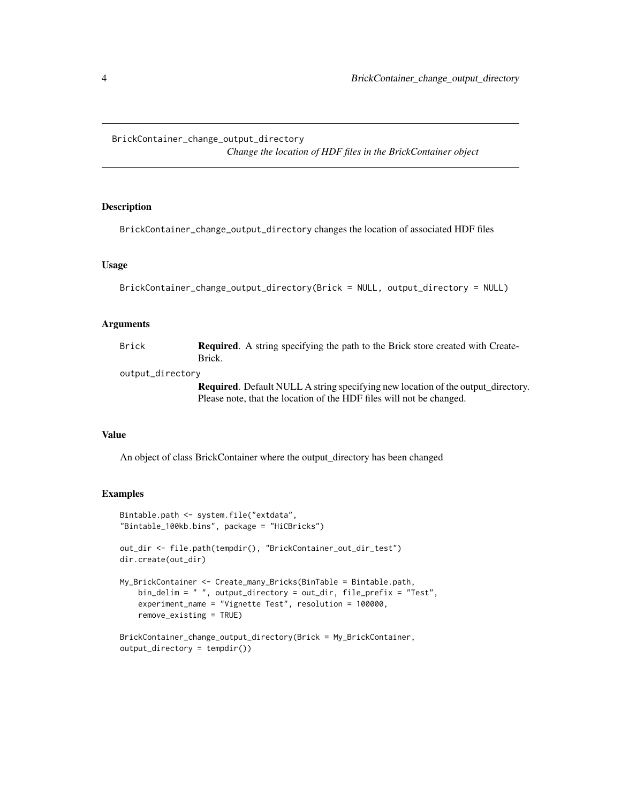### <span id="page-3-0"></span>BrickContainer\_change\_output\_directory

*Change the location of HDF files in the BrickContainer object*

### Description

BrickContainer\_change\_output\_directory changes the location of associated HDF files

### Usage

```
BrickContainer_change_output_directory(Brick = NULL, output_directory = NULL)
```
### Arguments

| Brick | <b>Required.</b> A string specifying the path to the Brick store created with Create- |
|-------|---------------------------------------------------------------------------------------|
|       | Brick.                                                                                |

output\_directory

Required. Default NULL A string specifying new location of the output\_directory. Please note, that the location of the HDF files will not be changed.

### Value

An object of class BrickContainer where the output\_directory has been changed

```
Bintable.path <- system.file("extdata",
"Bintable_100kb.bins", package = "HiCBricks")
out_dir <- file.path(tempdir(), "BrickContainer_out_dir_test")
dir.create(out_dir)
My_BrickContainer <- Create_many_Bricks(BinTable = Bintable.path,
    bin_delim = " ", output_directory = out_dir, file_prefix = "Test",
    experiment_name = "Vignette Test", resolution = 100000,
    remove_existing = TRUE)
BrickContainer_change_output_directory(Brick = My_BrickContainer,
output_directory = tempdir())
```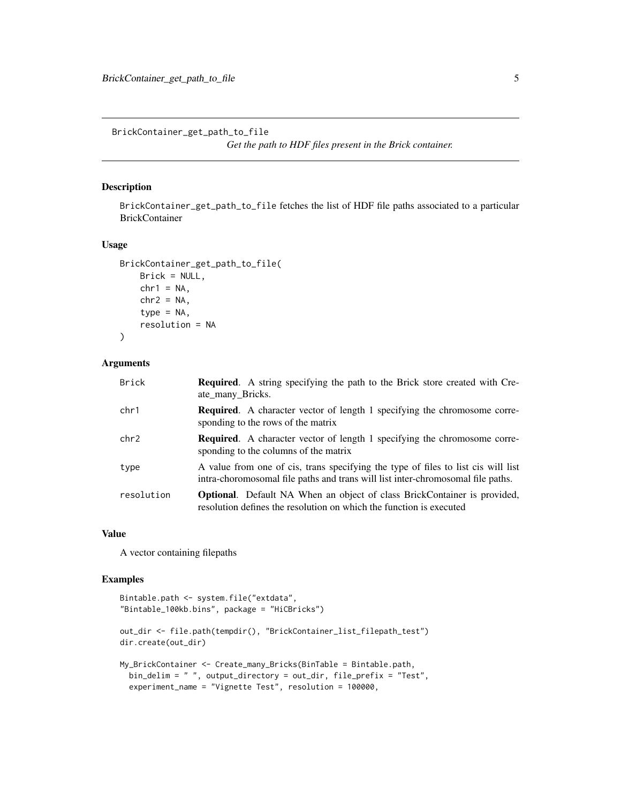<span id="page-4-0"></span>BrickContainer\_get\_path\_to\_file *Get the path to HDF files present in the Brick container.*

### Description

BrickContainer\_get\_path\_to\_file fetches the list of HDF file paths associated to a particular BrickContainer

### Usage

```
BrickContainer_get_path_to_file(
    Brick = NULL,
    chr1 = NA,
    chr2 = NA,
    type = NA,
    resolution = NA
\lambda
```
#### Arguments

| <b>Brick</b> | <b>Required.</b> A string specifying the path to the Brick store created with Cre-<br>ate_many_Bricks.                                                               |
|--------------|----------------------------------------------------------------------------------------------------------------------------------------------------------------------|
| chr1         | <b>Required.</b> A character vector of length 1 specifying the chromosome corre-<br>sponding to the rows of the matrix                                               |
| chr2         | <b>Required.</b> A character vector of length 1 specifying the chromosome corre-<br>sponding to the columns of the matrix                                            |
| type         | A value from one of cis, trans specifying the type of files to list cis will list<br>intra-choromosomal file paths and trans will list inter-chromosomal file paths. |
| resolution   | <b>Optional.</b> Default NA When an object of class BrickContainer is provided,<br>resolution defines the resolution on which the function is executed               |

### Value

A vector containing filepaths

```
Bintable.path <- system.file("extdata",
"Bintable_100kb.bins", package = "HiCBricks")
out_dir <- file.path(tempdir(), "BrickContainer_list_filepath_test")
dir.create(out_dir)
My_BrickContainer <- Create_many_Bricks(BinTable = Bintable.path,
  bin_delim = " ", output_directory = out_dir, file_prefix = "Test",
  experiment_name = "Vignette Test", resolution = 100000,
```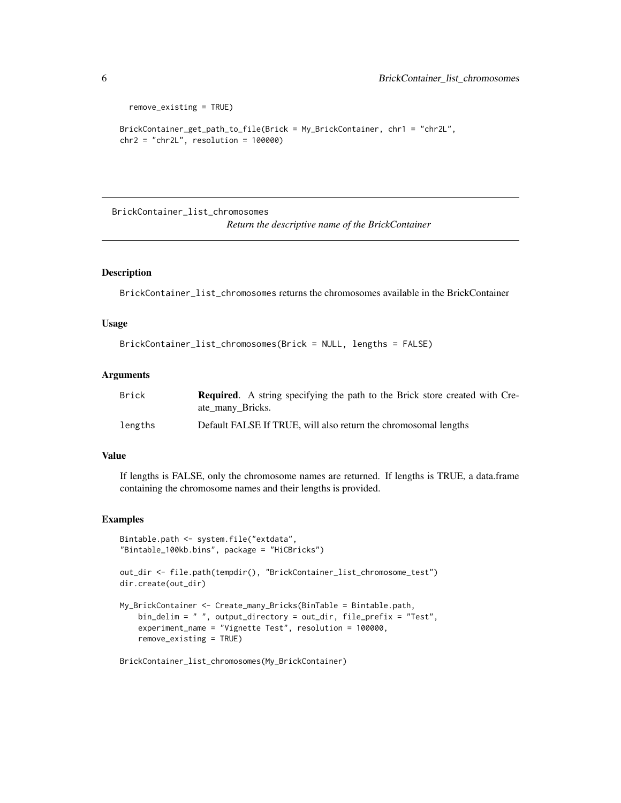```
remove_existing = TRUE)
BrickContainer_get_path_to_file(Brick = My_BrickContainer, chr1 = "chr2L",
chr2 = "chr2L", resolution = 100000)
```
BrickContainer\_list\_chromosomes

*Return the descriptive name of the BrickContainer*

### Description

BrickContainer\_list\_chromosomes returns the chromosomes available in the BrickContainer

### Usage

```
BrickContainer_list_chromosomes(Brick = NULL, lengths = FALSE)
```
#### **Arguments**

| Brick   | <b>Required.</b> A string specifying the path to the Brick store created with Cre-<br>ate many Bricks. |
|---------|--------------------------------------------------------------------------------------------------------|
| lengths | Default FALSE If TRUE, will also return the chromosomal lengths                                        |

### Value

If lengths is FALSE, only the chromosome names are returned. If lengths is TRUE, a data.frame containing the chromosome names and their lengths is provided.

### Examples

```
Bintable.path <- system.file("extdata",
"Bintable_100kb.bins", package = "HiCBricks")
out_dir <- file.path(tempdir(), "BrickContainer_list_chromosome_test")
dir.create(out_dir)
My_BrickContainer <- Create_many_Bricks(BinTable = Bintable.path,
    bin_delim = " ", output_directory = out_dir, file_prefix = "Test",
    experiment_name = "Vignette Test", resolution = 100000,
    remove_existing = TRUE)
```
BrickContainer\_list\_chromosomes(My\_BrickContainer)

<span id="page-5-0"></span>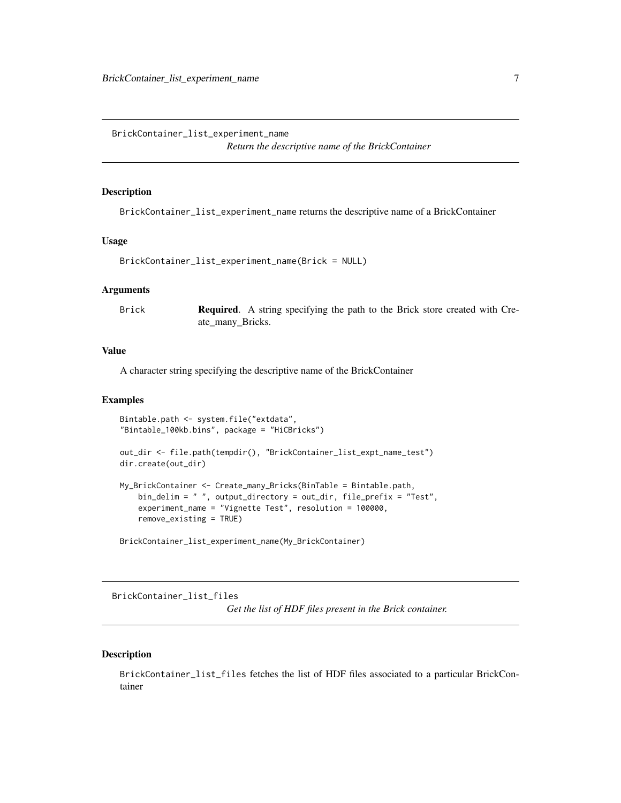<span id="page-6-0"></span>BrickContainer\_list\_experiment\_name

*Return the descriptive name of the BrickContainer*

### **Description**

BrickContainer\_list\_experiment\_name returns the descriptive name of a BrickContainer

### Usage

```
BrickContainer_list_experiment_name(Brick = NULL)
```
### Arguments

Brick **Required.** A string specifying the path to the Brick store created with Create\_many\_Bricks.

### Value

A character string specifying the descriptive name of the BrickContainer

#### Examples

```
Bintable.path <- system.file("extdata",
"Bintable_100kb.bins", package = "HiCBricks")
out_dir <- file.path(tempdir(), "BrickContainer_list_expt_name_test")
dir.create(out_dir)
My_BrickContainer <- Create_many_Bricks(BinTable = Bintable.path,
    bin_delim = " ", output_directory = out_dir, file_prefix = "Test",
   experiment_name = "Vignette Test", resolution = 100000,
   remove_existing = TRUE)
```
BrickContainer\_list\_experiment\_name(My\_BrickContainer)

BrickContainer\_list\_files

*Get the list of HDF files present in the Brick container.*

### Description

BrickContainer\_list\_files fetches the list of HDF files associated to a particular BrickContainer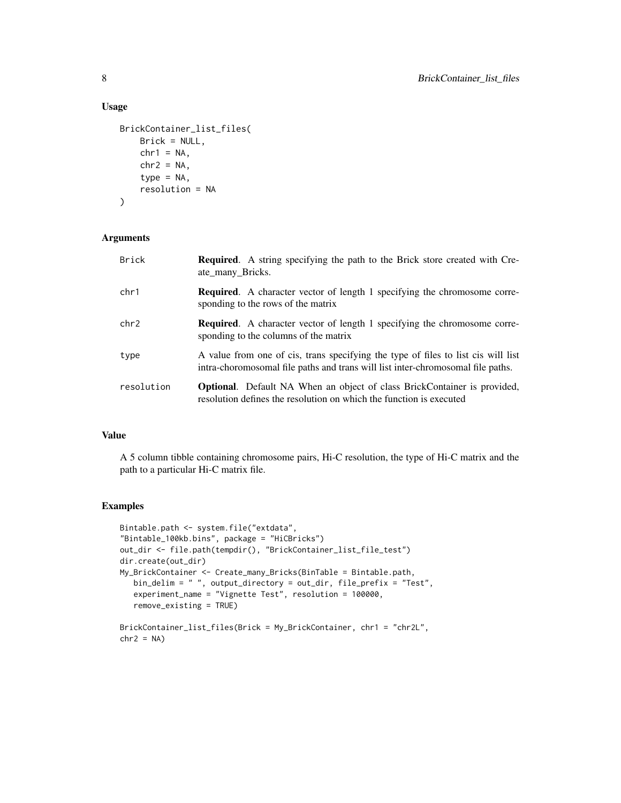### Usage

```
BrickContainer_list_files(
    Brick = NULL,
    chr1 = NA,
    chr2 = NA,
    type = NA,
    resolution = NA
\mathcal{L}
```
### Arguments

| <b>Brick</b> | <b>Required.</b> A string specifying the path to the Brick store created with Cre-<br>ate_many_Bricks.                                                               |
|--------------|----------------------------------------------------------------------------------------------------------------------------------------------------------------------|
| chr1         | <b>Required.</b> A character vector of length 1 specifying the chromosome corre-<br>sponding to the rows of the matrix                                               |
| chr2         | <b>Required.</b> A character vector of length 1 specifying the chromosome corre-<br>sponding to the columns of the matrix                                            |
| type         | A value from one of cis, trans specifying the type of files to list cis will list<br>intra-choromosomal file paths and trans will list inter-chromosomal file paths. |
| resolution   | <b>Optional.</b> Default NA When an object of class BrickContainer is provided,<br>resolution defines the resolution on which the function is executed               |

### Value

A 5 column tibble containing chromosome pairs, Hi-C resolution, the type of Hi-C matrix and the path to a particular Hi-C matrix file.

```
Bintable.path <- system.file("extdata",
"Bintable_100kb.bins", package = "HiCBricks")
out_dir <- file.path(tempdir(), "BrickContainer_list_file_test")
dir.create(out_dir)
My_BrickContainer <- Create_many_Bricks(BinTable = Bintable.path,
  bin_delim = " ", output_directory = out_dir, file_prefix = "Test",
   experiment_name = "Vignette Test", resolution = 100000,
   remove_existing = TRUE)
BrickContainer_list_files(Brick = My_BrickContainer, chr1 = "chr2L",
chr2 = NA)
```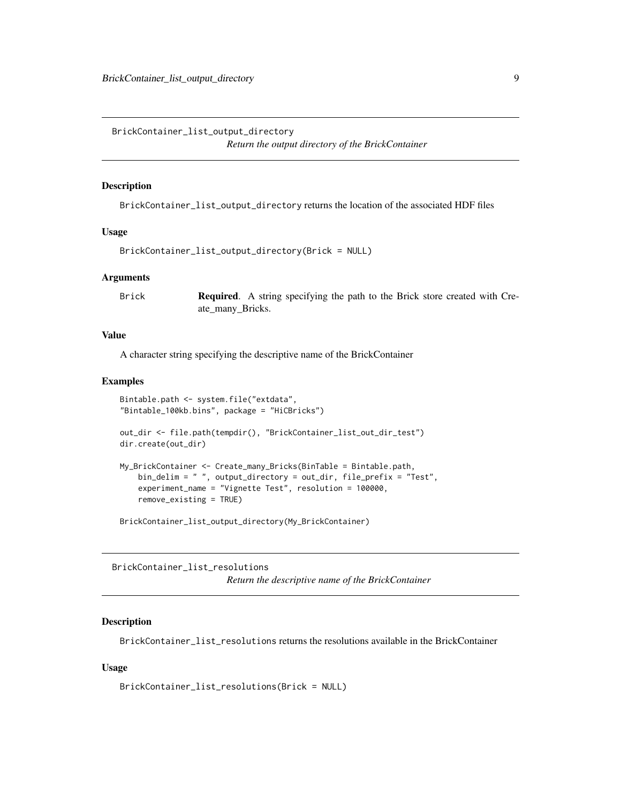<span id="page-8-0"></span>BrickContainer\_list\_output\_directory *Return the output directory of the BrickContainer*

### Description

BrickContainer\_list\_output\_directory returns the location of the associated HDF files

#### Usage

```
BrickContainer_list_output_directory(Brick = NULL)
```
### Arguments

Brick **Required.** A string specifying the path to the Brick store created with Create\_many\_Bricks.

### Value

A character string specifying the descriptive name of the BrickContainer

#### Examples

```
Bintable.path <- system.file("extdata",
"Bintable_100kb.bins", package = "HiCBricks")
out_dir <- file.path(tempdir(), "BrickContainer_list_out_dir_test")
dir.create(out_dir)
My_BrickContainer <- Create_many_Bricks(BinTable = Bintable.path,
    bin_delim = " ", output_directory = out_dir, file_prefix = "Test",
    experiment_name = "Vignette Test", resolution = 100000,
   remove_existing = TRUE)
```
BrickContainer\_list\_output\_directory(My\_BrickContainer)

BrickContainer\_list\_resolutions *Return the descriptive name of the BrickContainer*

### Description

BrickContainer\_list\_resolutions returns the resolutions available in the BrickContainer

### Usage

```
BrickContainer_list_resolutions(Brick = NULL)
```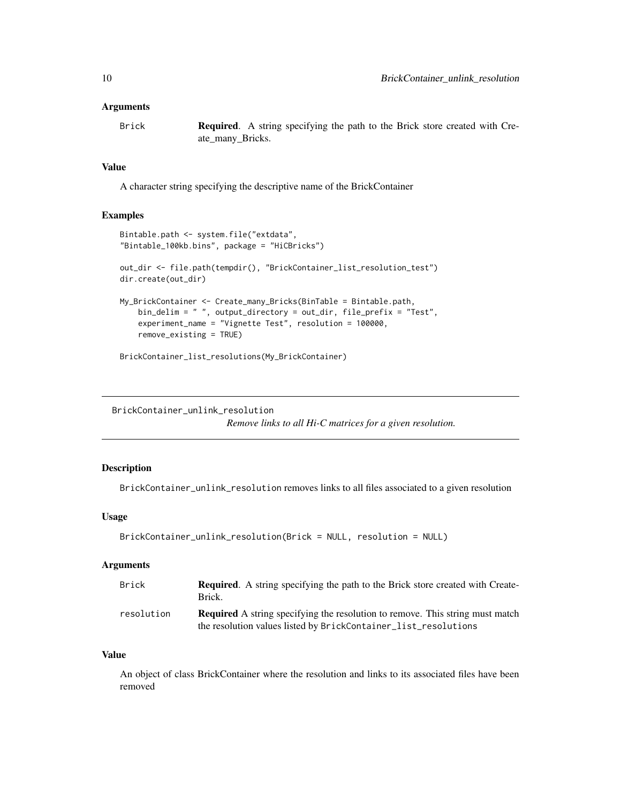<span id="page-9-0"></span>Brick **Required.** A string specifying the path to the Brick store created with Create\_many\_Bricks.

### Value

A character string specifying the descriptive name of the BrickContainer

### Examples

```
Bintable.path <- system.file("extdata",
"Bintable_100kb.bins", package = "HiCBricks")
out_dir <- file.path(tempdir(), "BrickContainer_list_resolution_test")
dir.create(out_dir)
My_BrickContainer <- Create_many_Bricks(BinTable = Bintable.path,
   bin_delim = " ", output_directory = out_dir, file_prefix = "Test",
   experiment_name = "Vignette Test", resolution = 100000,
    remove_existing = TRUE)
BrickContainer_list_resolutions(My_BrickContainer)
```
BrickContainer\_unlink\_resolution

*Remove links to all Hi-C matrices for a given resolution.*

### Description

BrickContainer\_unlink\_resolution removes links to all files associated to a given resolution

### Usage

```
BrickContainer_unlink_resolution(Brick = NULL, resolution = NULL)
```
### Arguments

| <b>Brick</b> | <b>Required.</b> A string specifying the path to the Brick store created with Create-<br>Brick.                                                         |
|--------------|---------------------------------------------------------------------------------------------------------------------------------------------------------|
| resolution   | <b>Required</b> A string specifying the resolution to remove. This string must match<br>the resolution values listed by BrickContainer_list_resolutions |

### Value

An object of class BrickContainer where the resolution and links to its associated files have been removed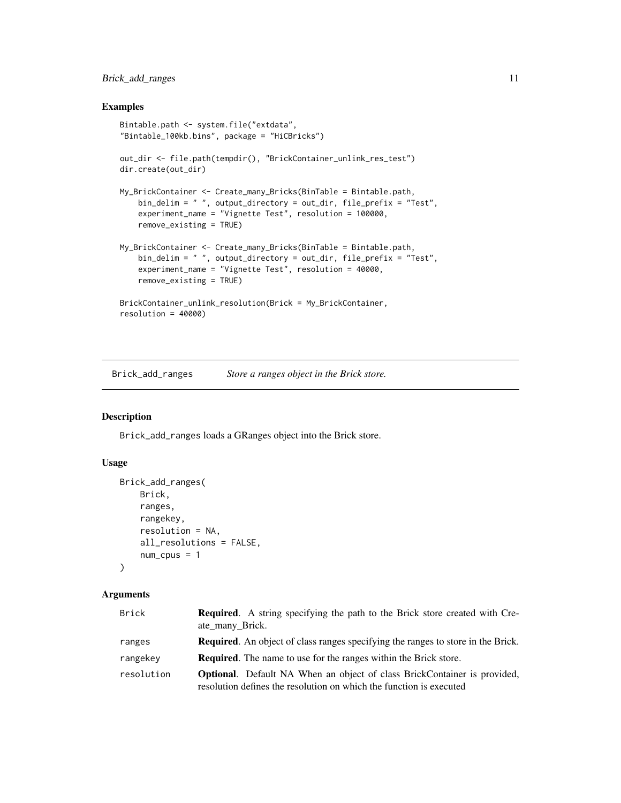### <span id="page-10-0"></span>Brick\_add\_ranges 11

### Examples

```
Bintable.path <- system.file("extdata",
"Bintable_100kb.bins", package = "HiCBricks")
out_dir <- file.path(tempdir(), "BrickContainer_unlink_res_test")
dir.create(out_dir)
My_BrickContainer <- Create_many_Bricks(BinTable = Bintable.path,
    bin_delim = " ", output_directory = out_dir, file_prefix = "Test",
    experiment_name = "Vignette Test", resolution = 100000,
    remove_existing = TRUE)
My_BrickContainer <- Create_many_Bricks(BinTable = Bintable.path,
   bin_delim = " ", output_directory = out_dir, file_prefix = "Test",
    experiment_name = "Vignette Test", resolution = 40000,
   remove_existing = TRUE)
BrickContainer_unlink_resolution(Brick = My_BrickContainer,
resolution = 40000)
```
<span id="page-10-1"></span>Brick\_add\_ranges *Store a ranges object in the Brick store.*

### Description

Brick\_add\_ranges loads a GRanges object into the Brick store.

#### Usage

```
Brick_add_ranges(
    Brick,
    ranges,
    rangekey,
    resolution = NA,
    all_resolutions = FALSE,
    num\_cpus = 1\lambda
```
### Arguments

| <b>Brick</b> | <b>Required.</b> A string specifying the path to the Brick store created with Cre-<br>ate many Brick.                                                  |
|--------------|--------------------------------------------------------------------------------------------------------------------------------------------------------|
|              |                                                                                                                                                        |
| ranges       | <b>Required.</b> An object of class ranges specifying the ranges to store in the Brick.                                                                |
| rangekey     | <b>Required.</b> The name to use for the ranges within the Brick store.                                                                                |
| resolution   | <b>Optional.</b> Default NA When an object of class BrickContainer is provided,<br>resolution defines the resolution on which the function is executed |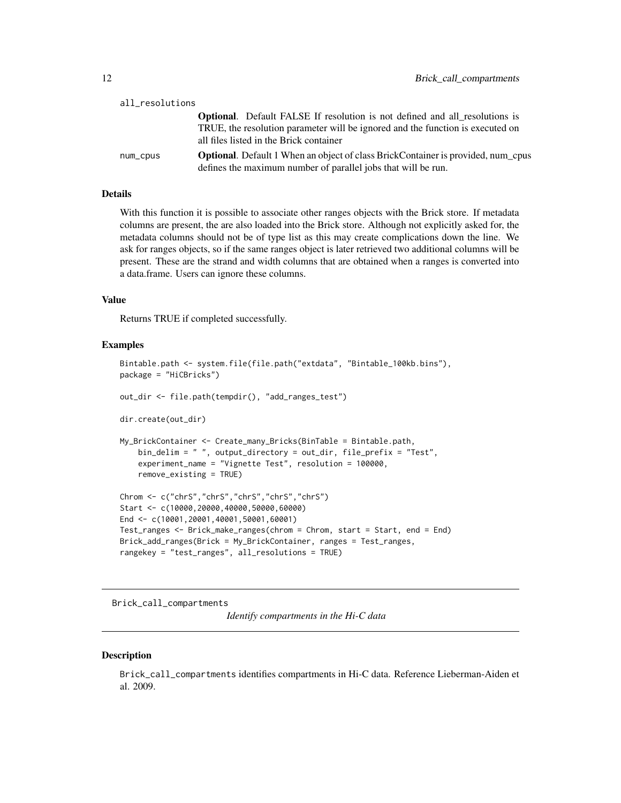<span id="page-11-0"></span>

| all_resolutions |                                                                                                                                                                                                                 |
|-----------------|-----------------------------------------------------------------------------------------------------------------------------------------------------------------------------------------------------------------|
|                 | <b>Optional.</b> Default FALSE If resolution is not defined and all resolutions is<br>TRUE, the resolution parameter will be ignored and the function is executed on<br>all files listed in the Brick container |
| num_cpus        | <b>Optional.</b> Default 1 When an object of class BrickContainer is provided, num_cpus<br>defines the maximum number of parallel jobs that will be run.                                                        |

### Details

With this function it is possible to associate other ranges objects with the Brick store. If metadata columns are present, the are also loaded into the Brick store. Although not explicitly asked for, the metadata columns should not be of type list as this may create complications down the line. We ask for ranges objects, so if the same ranges object is later retrieved two additional columns will be present. These are the strand and width columns that are obtained when a ranges is converted into a data.frame. Users can ignore these columns.

### Value

Returns TRUE if completed successfully.

#### Examples

```
Bintable.path <- system.file(file.path("extdata", "Bintable_100kb.bins"),
package = "HiCBricks")
out_dir <- file.path(tempdir(), "add_ranges_test")
dir.create(out_dir)
My_BrickContainer <- Create_many_Bricks(BinTable = Bintable.path,
   bin_delim = " ", output_directory = out_dir, file_prefix = "Test",
    experiment_name = "Vignette Test", resolution = 100000,
   remove_existing = TRUE)
Chrom <- c("chrS","chrS","chrS","chrS","chrS")
Start <- c(10000,20000,40000,50000,60000)
End <- c(10001,20001,40001,50001,60001)
Test_ranges <- Brick_make_ranges(chrom = Chrom, start = Start, end = End)
Brick_add_ranges(Brick = My_BrickContainer, ranges = Test_ranges,
rangekey = "test_ranges", all_resolutions = TRUE)
```
Brick\_call\_compartments

*Identify compartments in the Hi-C data*

#### **Description**

Brick\_call\_compartments identifies compartments in Hi-C data. Reference Lieberman-Aiden et al. 2009.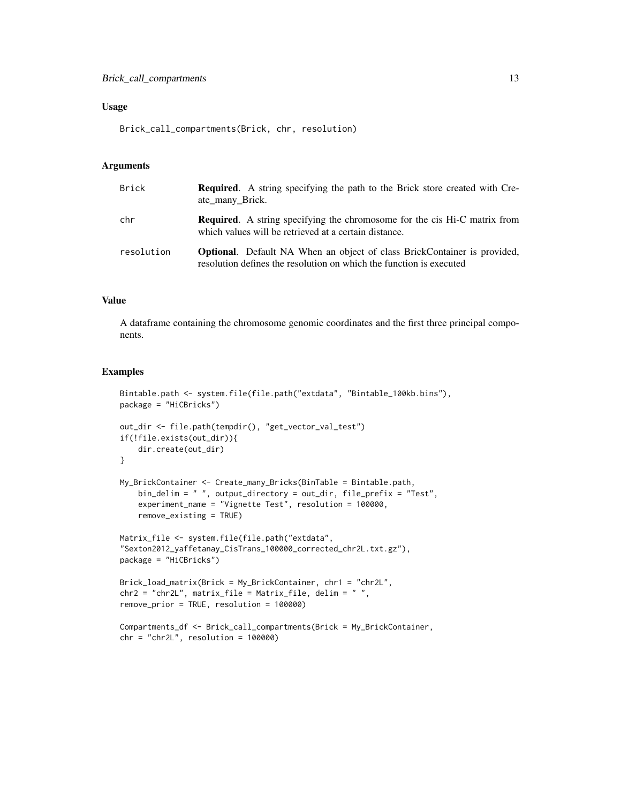#### Usage

Brick\_call\_compartments(Brick, chr, resolution)

#### Arguments

| Brick      | <b>Required.</b> A string specifying the path to the Brick store created with Cre-<br>ate_many_Brick.                                                  |
|------------|--------------------------------------------------------------------------------------------------------------------------------------------------------|
| chr        | <b>Required.</b> A string specifying the chromosome for the cis Hi-C matrix from<br>which values will be retrieved at a certain distance.              |
| resolution | <b>Optional.</b> Default NA When an object of class BrickContainer is provided,<br>resolution defines the resolution on which the function is executed |

### Value

A dataframe containing the chromosome genomic coordinates and the first three principal components.

```
Bintable.path <- system.file(file.path("extdata", "Bintable_100kb.bins"),
package = "HiCBricks")
out_dir <- file.path(tempdir(), "get_vector_val_test")
if(!file.exists(out_dir)){
    dir.create(out_dir)
}
My_BrickContainer <- Create_many_Bricks(BinTable = Bintable.path,
   bin_delim = " ", output_directory = out_dir, file_prefix = "Test",
    experiment_name = "Vignette Test", resolution = 100000,
   remove_existing = TRUE)
Matrix_file <- system.file(file.path("extdata",
"Sexton2012_yaffetanay_CisTrans_100000_corrected_chr2L.txt.gz"),
package = "HiCBricks")
Brick_load_matrix(Brick = My_BrickContainer, chr1 = "chr2L",
chr2 = "chr2L", matrix_file = Matrix_file, delim = " ",
remove_prior = TRUE, resolution = 100000)
Compartments_df <- Brick_call_compartments(Brick = My_BrickContainer,
chr = "chr2L", resolution = 100000)
```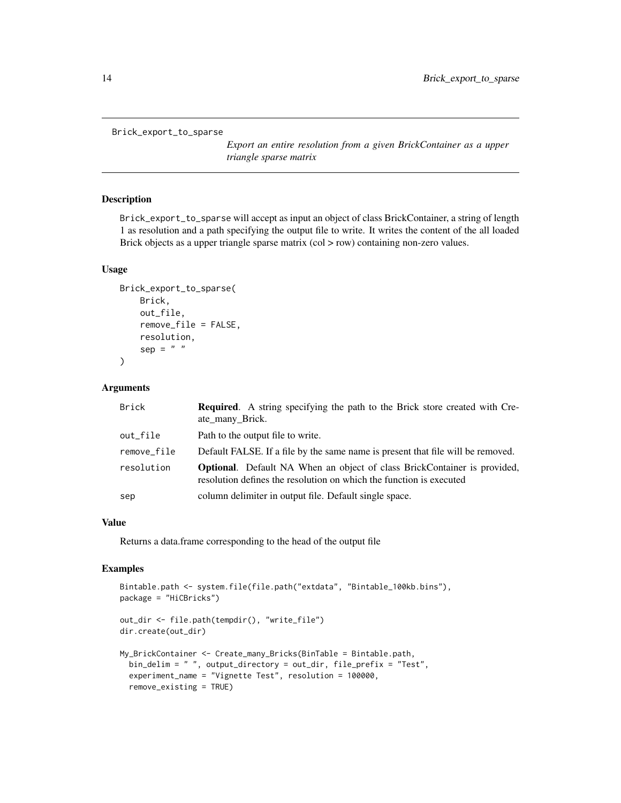<span id="page-13-0"></span>Brick\_export\_to\_sparse

*Export an entire resolution from a given BrickContainer as a upper triangle sparse matrix*

### Description

Brick\_export\_to\_sparse will accept as input an object of class BrickContainer, a string of length 1 as resolution and a path specifying the output file to write. It writes the content of the all loaded Brick objects as a upper triangle sparse matrix (col > row) containing non-zero values.

#### Usage

```
Brick_export_to_sparse(
    Brick,
    out_file,
    remove_file = FALSE,
    resolution,
    sep = " "\lambda
```
### Arguments

| <b>Brick</b> | <b>Required.</b> A string specifying the path to the Brick store created with Cre-<br>ate_many_Brick.                                                  |
|--------------|--------------------------------------------------------------------------------------------------------------------------------------------------------|
| out_file     | Path to the output file to write.                                                                                                                      |
| remove file  | Default FALSE. If a file by the same name is present that file will be removed.                                                                        |
| resolution   | <b>Optional.</b> Default NA When an object of class BrickContainer is provided,<br>resolution defines the resolution on which the function is executed |
| sep          | column delimiter in output file. Default single space.                                                                                                 |

### Value

Returns a data.frame corresponding to the head of the output file

```
Bintable.path <- system.file(file.path("extdata", "Bintable_100kb.bins"),
package = "HiCBricks")
out_dir <- file.path(tempdir(), "write_file")
dir.create(out_dir)
My_BrickContainer <- Create_many_Bricks(BinTable = Bintable.path,
  bin_delim = " ", output_directory = out_dir, file_prefix = "Test",
  experiment_name = "Vignette Test", resolution = 100000,
  remove_existing = TRUE)
```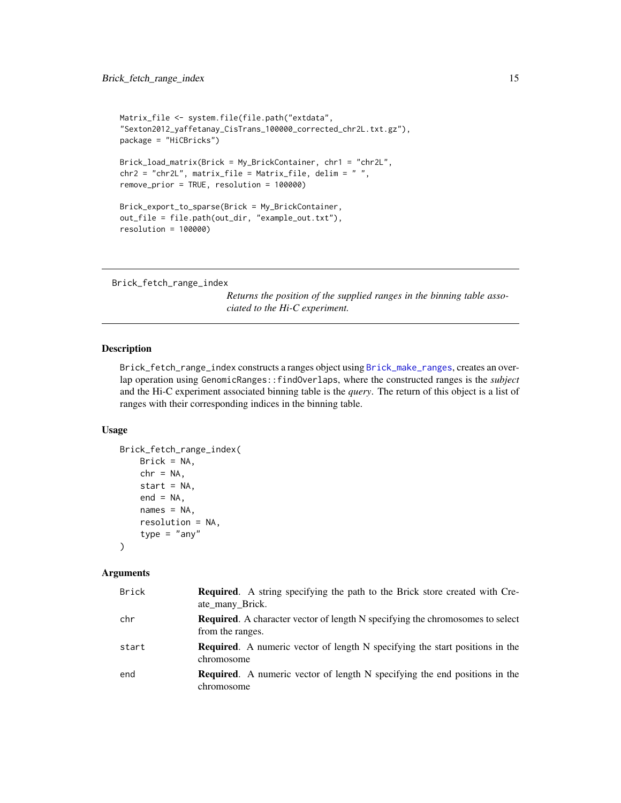```
Matrix_file <- system.file(file.path("extdata",
"Sexton2012_yaffetanay_CisTrans_100000_corrected_chr2L.txt.gz"),
package = "HiCBricks")
Brick_load_matrix(Brick = My_BrickContainer, chr1 = "chr2L",
chr2 = "chr2L", matrix_file = Matrix_file, delim = " ",
remove_prior = TRUE, resolution = 100000)
Brick_export_to_sparse(Brick = My_BrickContainer,
out_file = file.path(out_dir, "example_out.txt"),
resolution = 100000)
```

```
Brick_fetch_range_index
```
*Returns the position of the supplied ranges in the binning table associated to the Hi-C experiment.*

### Description

Brick\_fetch\_range\_index constructs a ranges object using [Brick\\_make\\_ranges](#page-44-1), creates an overlap operation using GenomicRanges::findOverlaps, where the constructed ranges is the *subject* and the Hi-C experiment associated binning table is the *query*. The return of this object is a list of ranges with their corresponding indices in the binning table.

### Usage

```
Brick_fetch_range_index(
   Brick = NA,
    chr = NA,
    start = NA,
   end = NA,
   names = NA,
    resolution = NA,
    type = "any"
```

```
)
```
#### Arguments

| <b>Brick</b> | <b>Required.</b> A string specifying the path to the Brick store created with Cre-<br>ate many Brick.    |
|--------------|----------------------------------------------------------------------------------------------------------|
| chr          | <b>Required.</b> A character vector of length N specifying the chromosomes to select<br>from the ranges. |
| start        | <b>Required.</b> A numeric vector of length N specifying the start positions in the<br>chromosome        |
| end          | <b>Required.</b> A numeric vector of length N specifying the end positions in the<br>chromosome          |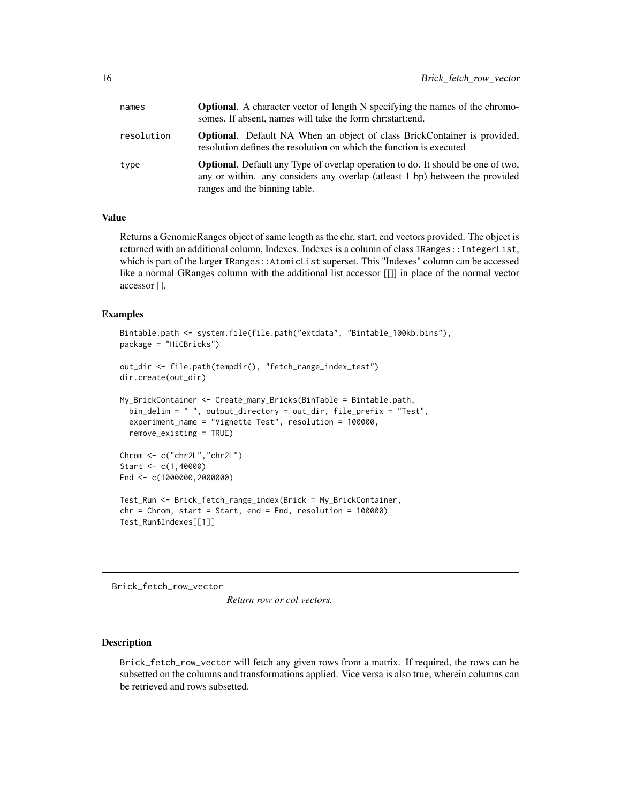<span id="page-15-0"></span>

| names      | <b>Optional.</b> A character vector of length N specifying the names of the chromo-<br>somes. If absent, names will take the form christartiend.                                                         |
|------------|----------------------------------------------------------------------------------------------------------------------------------------------------------------------------------------------------------|
| resolution | <b>Optional.</b> Default NA When an object of class BrickContainer is provided,<br>resolution defines the resolution on which the function is executed                                                   |
| type       | <b>Optional.</b> Default any Type of overlap operation to do. It should be one of two,<br>any or within. any considers any overlap (at least 1 bp) between the provided<br>ranges and the binning table. |

### Value

Returns a GenomicRanges object of same length as the chr, start, end vectors provided. The object is returned with an additional column, Indexes. Indexes is a column of class IRanges::IntegerList, which is part of the larger IRanges::AtomicList superset. This "Indexes" column can be accessed like a normal GRanges column with the additional list accessor [[]] in place of the normal vector accessor [].

#### Examples

```
Bintable.path <- system.file(file.path("extdata", "Bintable_100kb.bins"),
package = "HiCBricks")
```

```
out_dir <- file.path(tempdir(), "fetch_range_index_test")
dir.create(out_dir)
```

```
My_BrickContainer <- Create_many_Bricks(BinTable = Bintable.path,
  bin_delim = " ", output_directory = out_dir, file_prefix = "Test",
  experiment_name = "Vignette Test", resolution = 100000,
  remove_existing = TRUE)
Chrom <- c("chr2L","chr2L")
Start <- c(1,40000)
End <- c(1000000,2000000)
Test_Run <- Brick_fetch_range_index(Brick = My_BrickContainer,
chr = Chrom, start = Start, end = End, resolution = 100000)
Test_Run$Indexes[[1]]
```
<span id="page-15-1"></span>Brick\_fetch\_row\_vector

*Return row or col vectors.*

#### Description

Brick\_fetch\_row\_vector will fetch any given rows from a matrix. If required, the rows can be subsetted on the columns and transformations applied. Vice versa is also true, wherein columns can be retrieved and rows subsetted.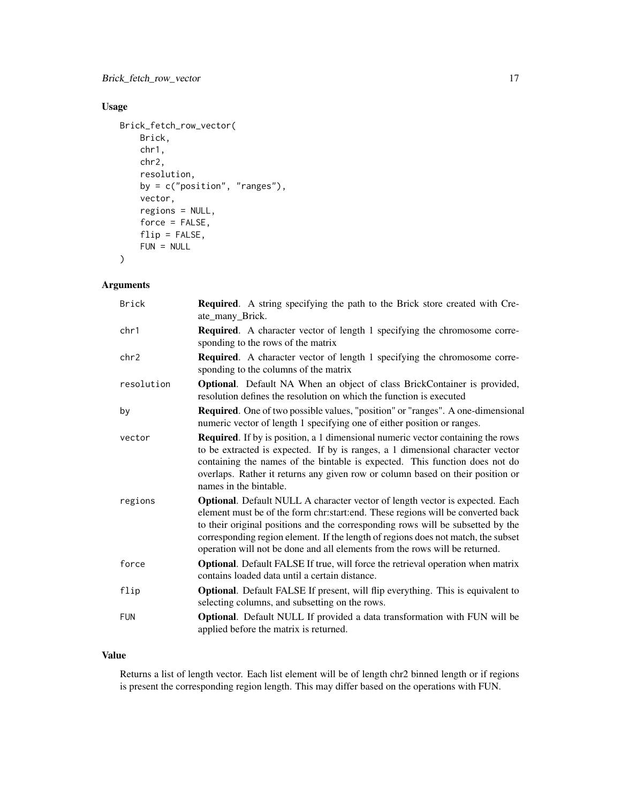### Usage

```
Brick_fetch_row_vector(
   Brick,
    chr1,
   chr2,
    resolution,
   by = c("position", "ranges"),
    vector,
    regions = NULL,
    force = FALSE,
    flip = FALSE,
   FUN = NULL
)
```
### Arguments

| <b>Brick</b> | <b>Required.</b> A string specifying the path to the Brick store created with Cre-<br>ate_many_Brick.                                                                                                                                                                                                                                                                                                                  |
|--------------|------------------------------------------------------------------------------------------------------------------------------------------------------------------------------------------------------------------------------------------------------------------------------------------------------------------------------------------------------------------------------------------------------------------------|
| chr1         | <b>Required.</b> A character vector of length 1 specifying the chromosome corre-<br>sponding to the rows of the matrix                                                                                                                                                                                                                                                                                                 |
| chr2         | <b>Required.</b> A character vector of length 1 specifying the chromosome corre-<br>sponding to the columns of the matrix                                                                                                                                                                                                                                                                                              |
| resolution   | <b>Optional.</b> Default NA When an object of class BrickContainer is provided,<br>resolution defines the resolution on which the function is executed                                                                                                                                                                                                                                                                 |
| by           | <b>Required.</b> One of two possible values, "position" or "ranges". A one-dimensional<br>numeric vector of length 1 specifying one of either position or ranges.                                                                                                                                                                                                                                                      |
| vector       | <b>Required.</b> If by is position, a 1 dimensional numeric vector containing the rows<br>to be extracted is expected. If by is ranges, a 1 dimensional character vector<br>containing the names of the bintable is expected. This function does not do<br>overlaps. Rather it returns any given row or column based on their position or<br>names in the bintable.                                                    |
| regions      | Optional. Default NULL A character vector of length vector is expected. Each<br>element must be of the form chr:start:end. These regions will be converted back<br>to their original positions and the corresponding rows will be subsetted by the<br>corresponding region element. If the length of regions does not match, the subset<br>operation will not be done and all elements from the rows will be returned. |
| force        | <b>Optional.</b> Default FALSE If true, will force the retrieval operation when matrix<br>contains loaded data until a certain distance.                                                                                                                                                                                                                                                                               |
| flip         | <b>Optional.</b> Default FALSE If present, will flip everything. This is equivalent to<br>selecting columns, and subsetting on the rows.                                                                                                                                                                                                                                                                               |
| <b>FUN</b>   | Optional. Default NULL If provided a data transformation with FUN will be<br>applied before the matrix is returned.                                                                                                                                                                                                                                                                                                    |

### Value

Returns a list of length vector. Each list element will be of length chr2 binned length or if regions is present the corresponding region length. This may differ based on the operations with FUN.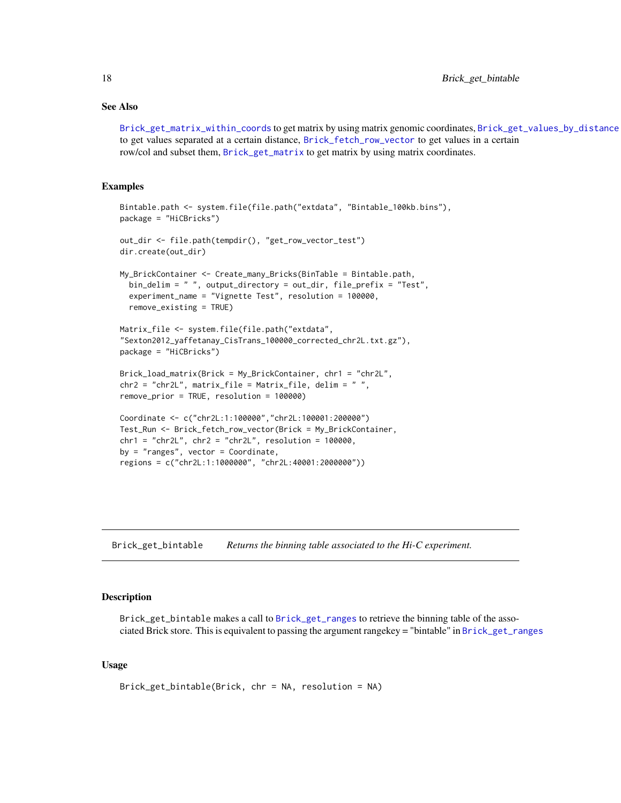### <span id="page-17-0"></span>See Also

[Brick\\_get\\_matrix\\_within\\_coords](#page-23-1) to get matrix by using matrix genomic coordinates, [Brick\\_get\\_values\\_by\\_distance](#page-26-1) to get values separated at a certain distance, [Brick\\_fetch\\_row\\_vector](#page-15-1) to get values in a certain row/col and subset them, [Brick\\_get\\_matrix](#page-20-1) to get matrix by using matrix coordinates.

#### Examples

```
Bintable.path <- system.file(file.path("extdata", "Bintable_100kb.bins"),
package = "HiCBricks")
out_dir <- file.path(tempdir(), "get_row_vector_test")
dir.create(out_dir)
My_BrickContainer <- Create_many_Bricks(BinTable = Bintable.path,
 bin_delim = " ", output_directory = out_dir, file_prefix = "Test",
 experiment_name = "Vignette Test", resolution = 100000,
 remove_existing = TRUE)
Matrix_file <- system.file(file.path("extdata",
"Sexton2012_yaffetanay_CisTrans_100000_corrected_chr2L.txt.gz"),
package = "HiCBricks")
Brick_load_matrix(Brick = My_BrickContainer, chr1 = "chr2L",
chr2 = "chr2L", matrix_file = Matrix_file, delim = " ",
remove_prior = TRUE, resolution = 100000)
Coordinate <- c("chr2L:1:100000","chr2L:100001:200000")
Test_Run <- Brick_fetch_row_vector(Brick = My_BrickContainer,
chr1 = "chr2L", chr2 = "chr2L", resolution = 100000,by = "ranges", vector = Coordinate,
regions = c("chr2L:1:1000000", "chr2L:40001:2000000"))
```
<span id="page-17-1"></span>Brick\_get\_bintable *Returns the binning table associated to the Hi-C experiment.*

### Description

Brick\_get\_bintable makes a call to [Brick\\_get\\_ranges](#page-25-1) to retrieve the binning table of the associated Brick store. This is equivalent to passing the argument rangekey = "bintable" in [Brick\\_get\\_ranges](#page-25-1)

### Usage

```
Brick_get_bintable(Brick, chr = NA, resolution = NA)
```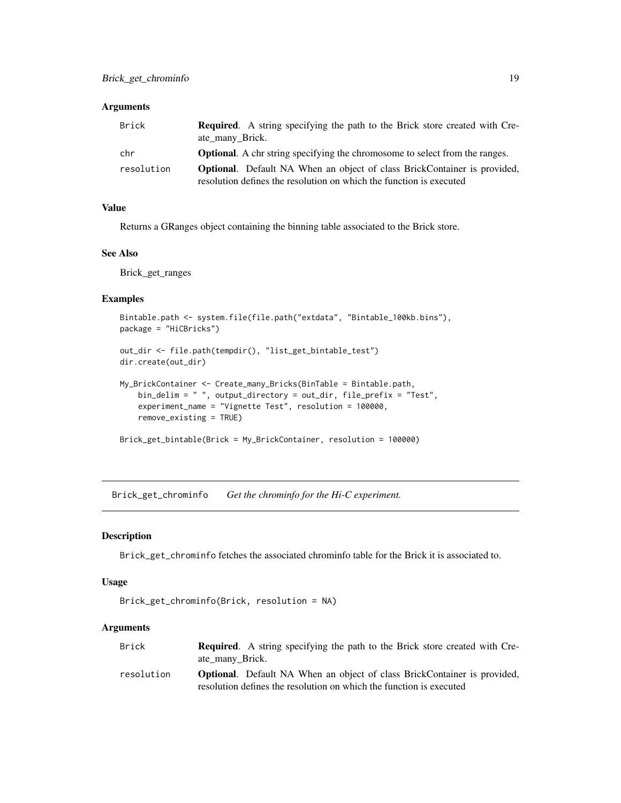<span id="page-18-0"></span>

| Brick      | <b>Required.</b> A string specifying the path to the Brick store created with Cre-<br>ate many Brick. |
|------------|-------------------------------------------------------------------------------------------------------|
| chr        | <b>Optional.</b> A chr string specifying the chromosome to select from the ranges.                    |
| resolution | <b>Optional.</b> Default NA When an object of class BrickContainer is provided,                       |
|            | resolution defines the resolution on which the function is executed                                   |

### Value

Returns a GRanges object containing the binning table associated to the Brick store.

#### See Also

Brick\_get\_ranges

#### Examples

```
Bintable.path <- system.file(file.path("extdata", "Bintable_100kb.bins"),
package = "HiCBricks")
```

```
out_dir <- file.path(tempdir(), "list_get_bintable_test")
dir.create(out_dir)
```

```
My_BrickContainer <- Create_many_Bricks(BinTable = Bintable.path,
   bin_delim = " ", output_directory = out_dir, file_prefix = "Test",
    experiment_name = "Vignette Test", resolution = 100000,
    remove_existing = TRUE)
```

```
Brick_get_bintable(Brick = My_BrickContainer, resolution = 100000)
```
<span id="page-18-1"></span>Brick\_get\_chrominfo *Get the chrominfo for the Hi-C experiment.*

### Description

Brick\_get\_chrominfo fetches the associated chrominfo table for the Brick it is associated to.

### Usage

```
Brick_get_chrominfo(Brick, resolution = NA)
```
### Arguments

| Brick      | <b>Required.</b> A string specifying the path to the Brick store created with Cre- |
|------------|------------------------------------------------------------------------------------|
|            | ate many Brick.                                                                    |
| resolution | <b>Optional.</b> Default NA When an object of class BrickContainer is provided,    |
|            | resolution defines the resolution on which the function is executed                |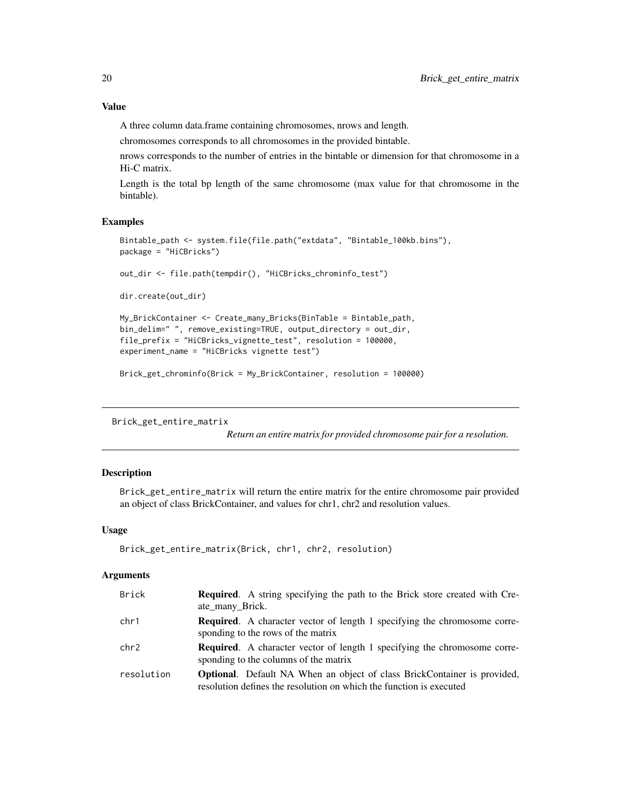### <span id="page-19-0"></span>Value

A three column data.frame containing chromosomes, nrows and length.

chromosomes corresponds to all chromosomes in the provided bintable.

nrows corresponds to the number of entries in the bintable or dimension for that chromosome in a Hi-C matrix.

Length is the total bp length of the same chromosome (max value for that chromosome in the bintable).

### Examples

```
Bintable_path <- system.file(file.path("extdata", "Bintable_100kb.bins"),
package = "HiCBricks")
```
out\_dir <- file.path(tempdir(), "HiCBricks\_chrominfo\_test")

dir.create(out\_dir)

```
My_BrickContainer <- Create_many_Bricks(BinTable = Bintable_path,
bin_delim=" ", remove_existing=TRUE, output_directory = out_dir,
file_prefix = "HiCBricks_vignette_test", resolution = 100000,
experiment_name = "HiCBricks vignette test")
```

```
Brick_get_chrominfo(Brick = My_BrickContainer, resolution = 100000)
```
Brick\_get\_entire\_matrix

*Return an entire matrix for provided chromosome pair for a resolution.*

### Description

Brick\_get\_entire\_matrix will return the entire matrix for the entire chromosome pair provided an object of class BrickContainer, and values for chr1, chr2 and resolution values.

### Usage

```
Brick_get_entire_matrix(Brick, chr1, chr2, resolution)
```
#### **Arguments**

| <b>Brick</b> | <b>Required.</b> A string specifying the path to the Brick store created with Cre-<br>ate_many_Brick.                                                  |
|--------------|--------------------------------------------------------------------------------------------------------------------------------------------------------|
| chr1         | <b>Required.</b> A character vector of length 1 specifying the chromosome corre-<br>sponding to the rows of the matrix                                 |
| chr2         | <b>Required.</b> A character vector of length 1 specifying the chromosome corre-<br>sponding to the columns of the matrix                              |
| resolution   | <b>Optional.</b> Default NA When an object of class BrickContainer is provided,<br>resolution defines the resolution on which the function is executed |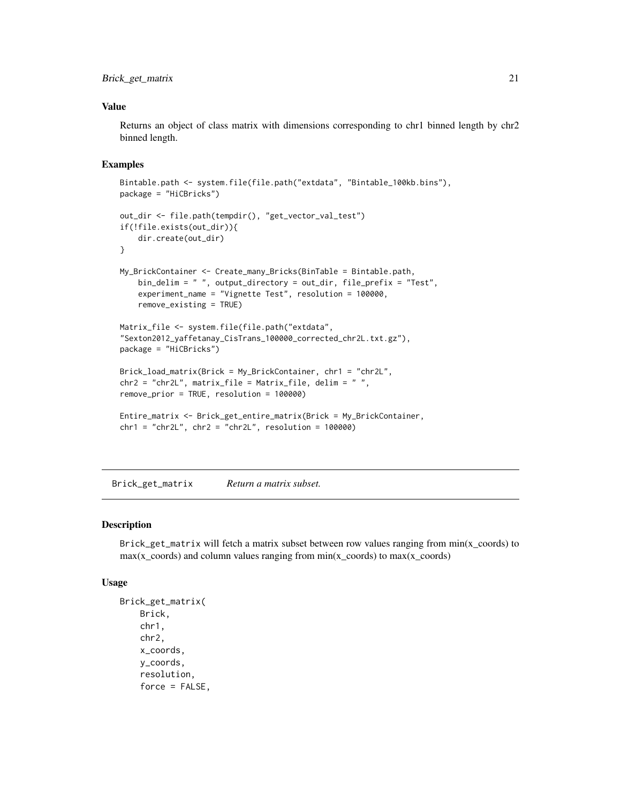### <span id="page-20-0"></span>Brick\_get\_matrix 21

#### Value

Returns an object of class matrix with dimensions corresponding to chr1 binned length by chr2 binned length.

### Examples

```
Bintable.path <- system.file(file.path("extdata", "Bintable_100kb.bins"),
package = "HiCBricks")
out_dir <- file.path(tempdir(), "get_vector_val_test")
if(!file.exists(out_dir)){
    dir.create(out_dir)
}
My_BrickContainer <- Create_many_Bricks(BinTable = Bintable.path,
    bin_delim = " ", output_directory = out_dir, file_prefix = "Test",
    experiment_name = "Vignette Test", resolution = 100000,
    remove_existing = TRUE)
Matrix_file <- system.file(file.path("extdata",
"Sexton2012_yaffetanay_CisTrans_100000_corrected_chr2L.txt.gz"),
package = "HiCBricks")
Brick_load_matrix(Brick = My_BrickContainer, chr1 = "chr2L",
chr2 = "chr2L", matrix_file = Matrix_file, delim = " ",
remove_prior = TRUE, resolution = 100000)
Entire_matrix <- Brick_get_entire_matrix(Brick = My_BrickContainer,
chr1 = "chr2L", chr2 = "chr2L", resolution = 100000)
```
<span id="page-20-1"></span>Brick\_get\_matrix *Return a matrix subset.*

### Description

Brick\_get\_matrix will fetch a matrix subset between row values ranging from min(x\_coords) to  $max(x\_coordinates)$  and column values ranging from  $min(x\_coordinates)$  to max $(x\_coordinates)$ 

#### Usage

```
Brick_get_matrix(
   Brick,
   chr1,
   chr2,
    x_coords,
    y_coords,
    resolution,
    force = FALSE,
```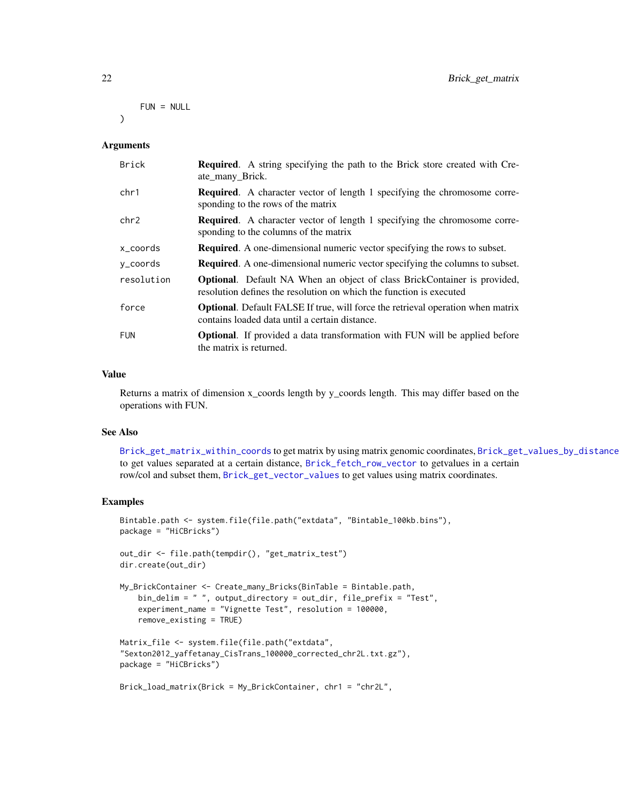### FUN = NULL

<span id="page-21-0"></span>)

### Arguments

| <b>Brick</b> | <b>Required.</b> A string specifying the path to the Brick store created with Cre-<br>ate many Brick.                                                  |
|--------------|--------------------------------------------------------------------------------------------------------------------------------------------------------|
| chr1         | <b>Required.</b> A character vector of length 1 specifying the chromosome corre-<br>sponding to the rows of the matrix                                 |
| chr2         | <b>Required.</b> A character vector of length 1 specifying the chromosome corre-<br>sponding to the columns of the matrix                              |
| x_coords     | <b>Required.</b> A one-dimensional numeric vector specifying the rows to subset.                                                                       |
| y_coords     | <b>Required.</b> A one-dimensional numeric vector specifying the columns to subset.                                                                    |
| resolution   | <b>Optional.</b> Default NA When an object of class BrickContainer is provided,<br>resolution defines the resolution on which the function is executed |
| force        | <b>Optional.</b> Default FALSE If true, will force the retrieval operation when matrix<br>contains loaded data until a certain distance.               |
| <b>FUN</b>   | <b>Optional.</b> If provided a data transformation with FUN will be applied before<br>the matrix is returned.                                          |

### Value

Returns a matrix of dimension x\_coords length by y\_coords length. This may differ based on the operations with FUN.

### See Also

[Brick\\_get\\_matrix\\_within\\_coords](#page-23-1) to get matrix by using matrix genomic coordinates, [Brick\\_get\\_values\\_by\\_distance](#page-26-1) to get values separated at a certain distance, [Brick\\_fetch\\_row\\_vector](#page-15-1) to getvalues in a certain row/col and subset them, [Brick\\_get\\_vector\\_values](#page-28-1) to get values using matrix coordinates.

```
Bintable.path <- system.file(file.path("extdata", "Bintable_100kb.bins"),
package = "HiCBricks")
out_dir <- file.path(tempdir(), "get_matrix_test")
dir.create(out_dir)
My_BrickContainer <- Create_many_Bricks(BinTable = Bintable.path,
   bin_delim = " ", output_directory = out_dir, file_prefix = "Test",
    experiment_name = "Vignette Test", resolution = 100000,
   remove_existing = TRUE)
Matrix_file <- system.file(file.path("extdata",
"Sexton2012_yaffetanay_CisTrans_100000_corrected_chr2L.txt.gz"),
package = "HiCBricks")
Brick_load_matrix(Brick = My_BrickContainer, chr1 = "chr2L",
```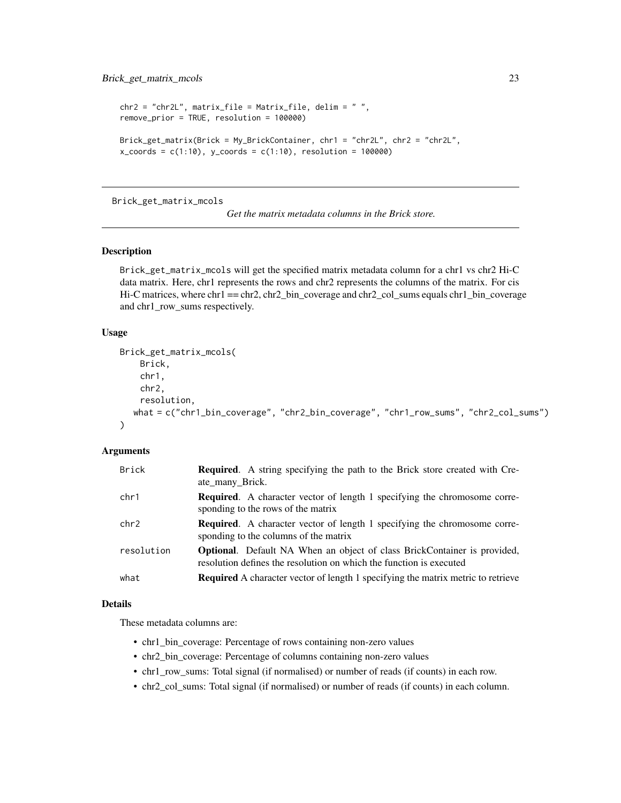```
chr2 = "chr2L", matrix_file = Matrix_file, delim = " ",
remove_prior = TRUE, resolution = 100000)
Brick_get_matrix(Brick = My_BrickContainer, chr1 = "chr2L", chr2 = "chr2L",
x_{\text{1}} = c(1:10), y_{\text{2}} = c(1:10), r = 100000)
```
<span id="page-22-1"></span>Brick\_get\_matrix\_mcols

*Get the matrix metadata columns in the Brick store.*

#### Description

Brick\_get\_matrix\_mcols will get the specified matrix metadata column for a chr1 vs chr2 Hi-C data matrix. Here, chr1 represents the rows and chr2 represents the columns of the matrix. For cis Hi-C matrices, where chr1 == chr2, chr2\_bin\_coverage and chr2\_col\_sums equals chr1\_bin\_coverage and chr1\_row\_sums respectively.

### Usage

```
Brick_get_matrix_mcols(
    Brick,
    chr1,
    chr2,
    resolution,
  what = c("chr1_bin_coverage", "chr2_bin_coverage", "chr1_row_sums", "chr2_col_sums")
)
```
### Arguments

| Brick      | <b>Required.</b> A string specifying the path to the Brick store created with Cre-<br>ate_many_Brick.                                                  |
|------------|--------------------------------------------------------------------------------------------------------------------------------------------------------|
| chr1       | <b>Required.</b> A character vector of length 1 specifying the chromosome corre-<br>sponding to the rows of the matrix                                 |
| chr2       | <b>Required.</b> A character vector of length 1 specifying the chromosome corre-<br>sponding to the columns of the matrix                              |
| resolution | <b>Optional.</b> Default NA When an object of class BrickContainer is provided,<br>resolution defines the resolution on which the function is executed |
| what       | <b>Required</b> A character vector of length 1 specifying the matrix metric to retrieve                                                                |

#### Details

These metadata columns are:

- chr1\_bin\_coverage: Percentage of rows containing non-zero values
- chr2\_bin\_coverage: Percentage of columns containing non-zero values
- chr1\_row\_sums: Total signal (if normalised) or number of reads (if counts) in each row.
- chr2\_col\_sums: Total signal (if normalised) or number of reads (if counts) in each column.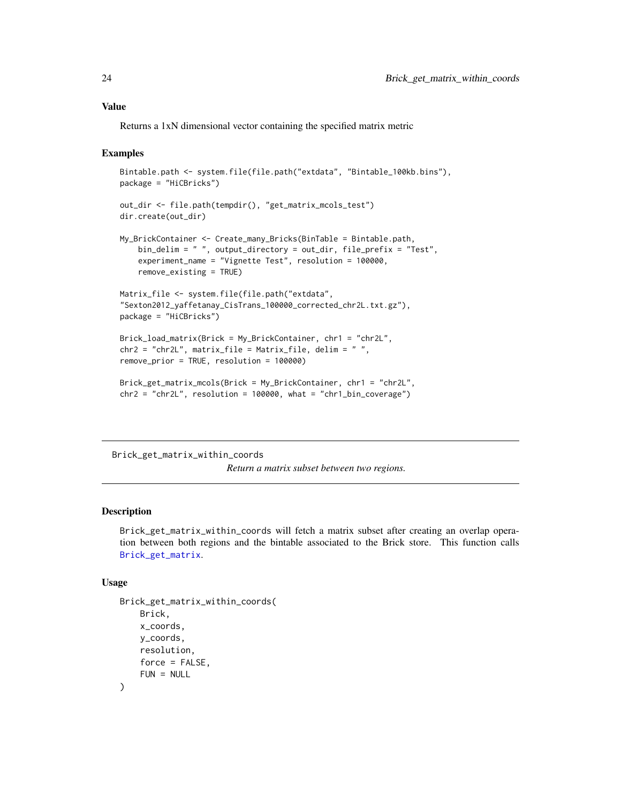#### <span id="page-23-0"></span>Value

Returns a 1xN dimensional vector containing the specified matrix metric

### Examples

```
Bintable.path <- system.file(file.path("extdata", "Bintable_100kb.bins"),
package = "HiCBricks")
out_dir <- file.path(tempdir(), "get_matrix_mcols_test")
dir.create(out_dir)
My_BrickContainer <- Create_many_Bricks(BinTable = Bintable.path,
    bin_delim = " ", output_directory = out_dir, file_prefix = "Test",
    experiment_name = "Vignette Test", resolution = 100000,
   remove_existing = TRUE)
Matrix_file <- system.file(file.path("extdata",
"Sexton2012_yaffetanay_CisTrans_100000_corrected_chr2L.txt.gz"),
package = "HiCBricks")
Brick_load_matrix(Brick = My_BrickContainer, chr1 = "chr2L",
chr2 = "chr2L", matrix_file = Matrix_file, delim = " ",
remove_prior = TRUE, resolution = 100000)
Brick_get_matrix_mcols(Brick = My_BrickContainer, chr1 = "chr2L",
chr2 = "chr2L", resolution = 100000, what = "chr1_bin_coverage")
```
<span id="page-23-1"></span>Brick\_get\_matrix\_within\_coords

*Return a matrix subset between two regions.*

### Description

Brick\_get\_matrix\_within\_coords will fetch a matrix subset after creating an overlap operation between both regions and the bintable associated to the Brick store. This function calls [Brick\\_get\\_matrix](#page-20-1).

#### Usage

```
Brick_get_matrix_within_coords(
    Brick,
    x_coords,
   y_coords,
    resolution,
   force = FALSE,FUN = NULL
)
```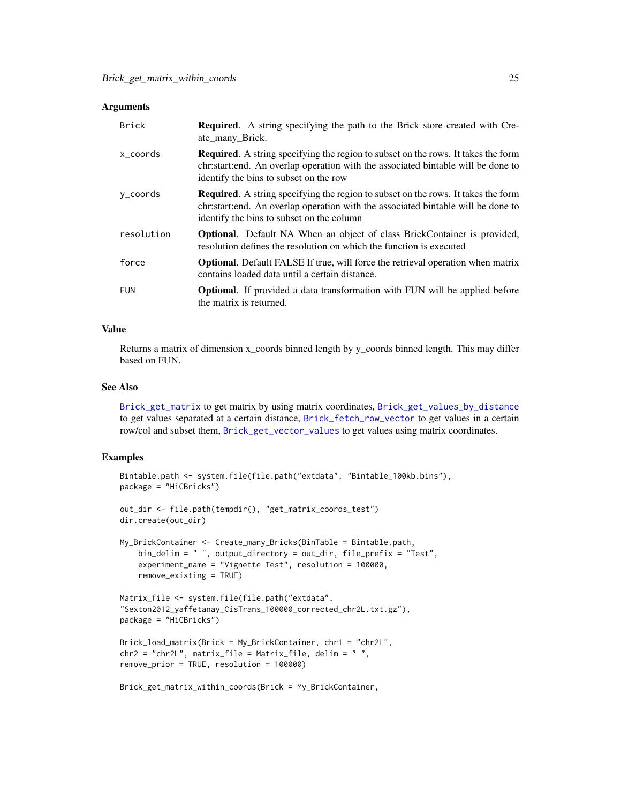<span id="page-24-0"></span>

| <b>Brick</b> | <b>Required.</b> A string specifying the path to the Brick store created with Cre-<br>ate_many_Brick.                                                                                                                     |
|--------------|---------------------------------------------------------------------------------------------------------------------------------------------------------------------------------------------------------------------------|
| x coords     | <b>Required.</b> A string specifying the region to subset on the rows. It takes the form<br>chr:start:end. An overlap operation with the associated bintable will be done to<br>identify the bins to subset on the row    |
| y_coords     | <b>Required.</b> A string specifying the region to subset on the rows. It takes the form<br>chr:start:end. An overlap operation with the associated bintable will be done to<br>identify the bins to subset on the column |
| resolution   | <b>Optional.</b> Default NA When an object of class BrickContainer is provided,<br>resolution defines the resolution on which the function is executed                                                                    |
| force        | <b>Optional.</b> Default FALSE If true, will force the retrieval operation when matrix<br>contains loaded data until a certain distance.                                                                                  |
| <b>FUN</b>   | <b>Optional.</b> If provided a data transformation with FUN will be applied before<br>the matrix is returned.                                                                                                             |

### Value

Returns a matrix of dimension x\_coords binned length by y\_coords binned length. This may differ based on FUN.

#### See Also

[Brick\\_get\\_matrix](#page-20-1) to get matrix by using matrix coordinates, [Brick\\_get\\_values\\_by\\_distance](#page-26-1) to get values separated at a certain distance, [Brick\\_fetch\\_row\\_vector](#page-15-1) to get values in a certain row/col and subset them, [Brick\\_get\\_vector\\_values](#page-28-1) to get values using matrix coordinates.

```
Bintable.path <- system.file(file.path("extdata", "Bintable_100kb.bins"),
package = "HiCBricks")
out_dir <- file.path(tempdir(), "get_matrix_coords_test")
dir.create(out_dir)
My_BrickContainer <- Create_many_Bricks(BinTable = Bintable.path,
   bin_delim = " ", output_directory = out_dir, file_prefix = "Test",
    experiment_name = "Vignette Test", resolution = 100000,
   remove_existing = TRUE)
Matrix_file <- system.file(file.path("extdata",
"Sexton2012_yaffetanay_CisTrans_100000_corrected_chr2L.txt.gz"),
package = "HiCBricks")
Brick_load_matrix(Brick = My_BrickContainer, chr1 = "chr2L",
chr2 = "chr2L", matrix_file = Matrix_file, delim = "",remove_prior = TRUE, resolution = 100000)
Brick_get_matrix_within_coords(Brick = My_BrickContainer,
```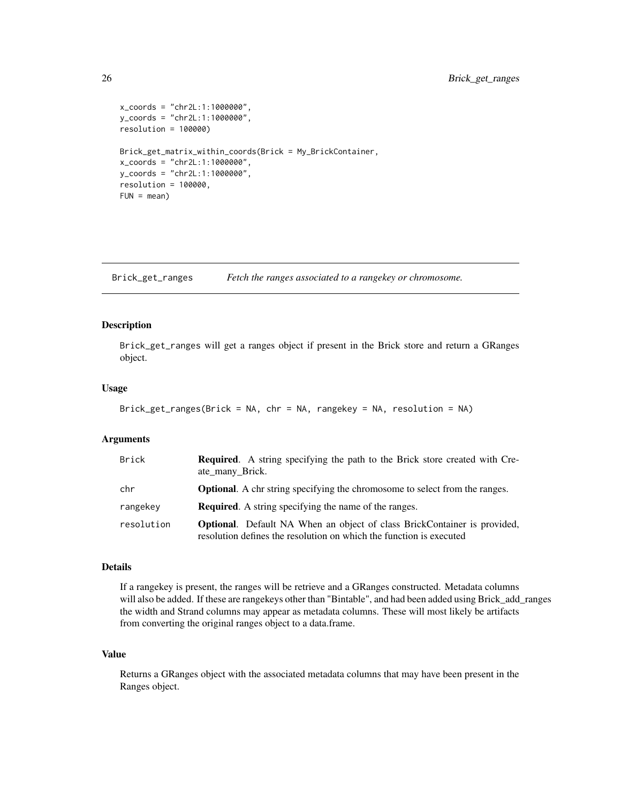```
x_coords = "chr2L:1:1000000",
y_coords = "chr2L:1:1000000",
resolution = 100000)
Brick_get_matrix_within_coords(Brick = My_BrickContainer,
x_coords = "chr2L:1:1000000",
y_coords = "chr2L:1:1000000",
resolution = 100000,
FUN = mean)
```
<span id="page-25-1"></span>Brick\_get\_ranges *Fetch the ranges associated to a rangekey or chromosome.*

### Description

Brick\_get\_ranges will get a ranges object if present in the Brick store and return a GRanges object.

### Usage

```
Brick_get_ranges(Brick = NA, chr = NA, rangekey = NA, resolution = NA)
```
### Arguments

| Brick      | <b>Required.</b> A string specifying the path to the Brick store created with Cre-<br>ate_many_Brick.                                                  |
|------------|--------------------------------------------------------------------------------------------------------------------------------------------------------|
| chr        | <b>Optional.</b> A chr string specifying the chromosome to select from the ranges.                                                                     |
| rangekey   | <b>Required.</b> A string specifying the name of the ranges.                                                                                           |
| resolution | <b>Optional.</b> Default NA When an object of class BrickContainer is provided,<br>resolution defines the resolution on which the function is executed |

### Details

If a rangekey is present, the ranges will be retrieve and a GRanges constructed. Metadata columns will also be added. If these are rangekeys other than "Bintable", and had been added using Brick\_add\_ranges the width and Strand columns may appear as metadata columns. These will most likely be artifacts from converting the original ranges object to a data.frame.

### Value

Returns a GRanges object with the associated metadata columns that may have been present in the Ranges object.

<span id="page-25-0"></span>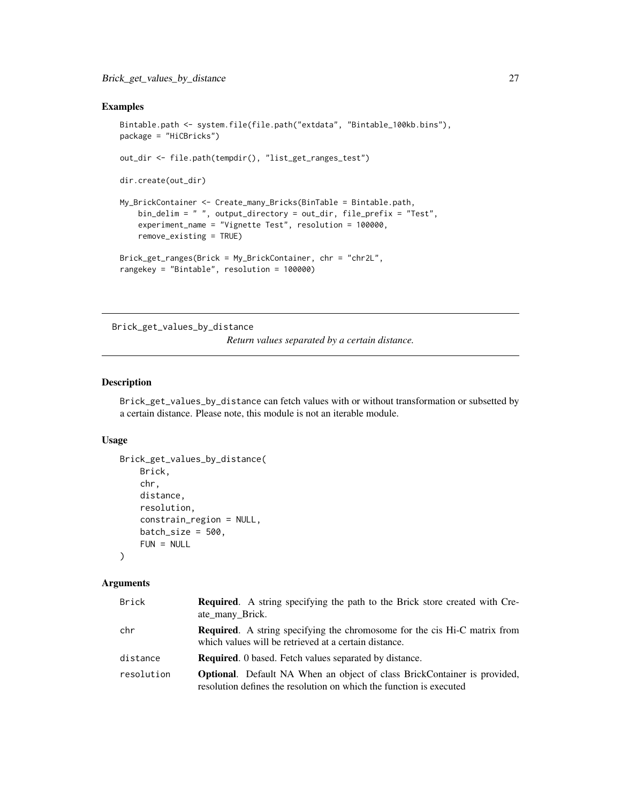### <span id="page-26-0"></span>Examples

```
Bintable.path <- system.file(file.path("extdata", "Bintable_100kb.bins"),
package = "HiCBricks")
out_dir <- file.path(tempdir(), "list_get_ranges_test")
dir.create(out_dir)
My_BrickContainer <- Create_many_Bricks(BinTable = Bintable.path,
    bin_delim = " ", output_directory = out_dir, file_prefix = "Test",
    experiment_name = "Vignette Test", resolution = 100000,
    remove_existing = TRUE)
Brick_get_ranges(Brick = My_BrickContainer, chr = "chr2L",
rangekey = "Bintable", resolution = 100000)
```
<span id="page-26-1"></span>Brick\_get\_values\_by\_distance

*Return values separated by a certain distance.*

### Description

Brick\_get\_values\_by\_distance can fetch values with or without transformation or subsetted by a certain distance. Please note, this module is not an iterable module.

### Usage

```
Brick_get_values_by_distance(
   Brick,
    chr,
    distance,
    resolution,
   constrain_region = NULL,
   batch_size = 500,
   FUN = NULL
)
```
#### Arguments

| Brick      | <b>Required.</b> A string specifying the path to the Brick store created with Cre-<br>ate_many_Brick.                                                  |
|------------|--------------------------------------------------------------------------------------------------------------------------------------------------------|
| chr        | <b>Required.</b> A string specifying the chromosome for the cis Hi-C matrix from<br>which values will be retrieved at a certain distance.              |
| distance   | <b>Required.</b> 0 based. Fetch values separated by distance.                                                                                          |
| resolution | <b>Optional.</b> Default NA When an object of class BrickContainer is provided,<br>resolution defines the resolution on which the function is executed |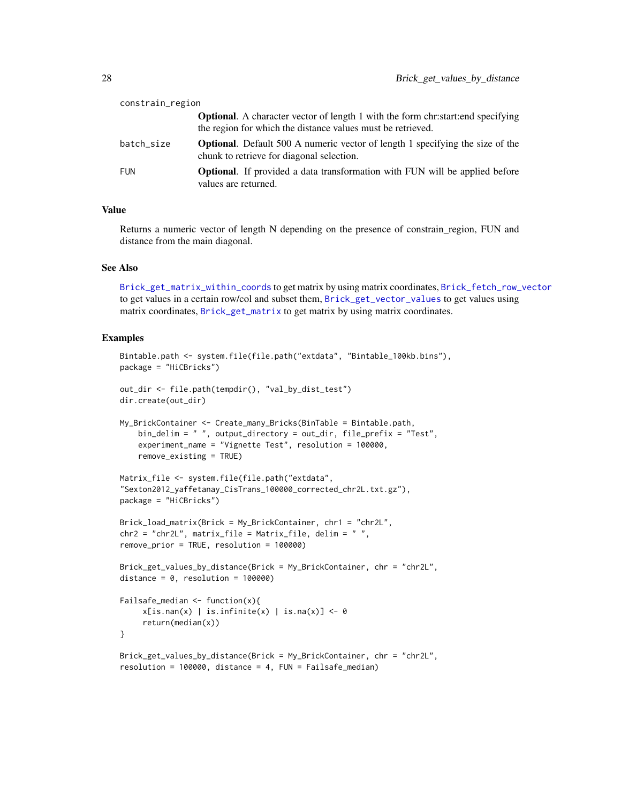<span id="page-27-0"></span>

| constrain_region |                                                                                                                                                         |  |
|------------------|---------------------------------------------------------------------------------------------------------------------------------------------------------|--|
|                  | <b>Optional.</b> A character vector of length 1 with the form chr: start: end specifying<br>the region for which the distance values must be retrieved. |  |
| batch size       | <b>Optional.</b> Default 500 A numeric vector of length 1 specifying the size of the<br>chunk to retrieve for diagonal selection.                       |  |
| FUN              | <b>Optional.</b> If provided a data transformation with FUN will be applied before<br>values are returned.                                              |  |

### Value

Returns a numeric vector of length N depending on the presence of constrain region, FUN and distance from the main diagonal.

### See Also

[Brick\\_get\\_matrix\\_within\\_coords](#page-23-1) to get matrix by using matrix coordinates, [Brick\\_fetch\\_row\\_vector](#page-15-1) to get values in a certain row/col and subset them, [Brick\\_get\\_vector\\_values](#page-28-1) to get values using matrix coordinates, [Brick\\_get\\_matrix](#page-20-1) to get matrix by using matrix coordinates.

```
Bintable.path <- system.file(file.path("extdata", "Bintable_100kb.bins"),
package = "HiCBricks")
out_dir <- file.path(tempdir(), "val_by_dist_test")
dir.create(out_dir)
My_BrickContainer <- Create_many_Bricks(BinTable = Bintable.path,
    bin_delim = " ", output_directory = out_dir, file_prefix = "Test",
    experiment_name = "Vignette Test", resolution = 100000,
   remove_existing = TRUE)
Matrix_file <- system.file(file.path("extdata",
"Sexton2012_yaffetanay_CisTrans_100000_corrected_chr2L.txt.gz"),
package = "HiCBricks")
Brick_load_matrix(Brick = My_BrickContainer, chr1 = "chr2L",
chr2 = "chr2L", matrix_file = Matrix_file, delim = " ",
remove_prior = TRUE, resolution = 100000)
Brick_get_values_by_distance(Brick = My_BrickContainer, chr = "chr2L",
distance = 0, resolution = 100000)
Failsafe_median <- function(x){
    x[is.nan(x) | is.infinite(x) | is.na(x)] <- 0
     return(median(x))
}
Brick_get_values_by_distance(Brick = My_BrickContainer, chr = "chr2L",
resolution = 100000, distance = 4, FUN = Failsafe_median)
```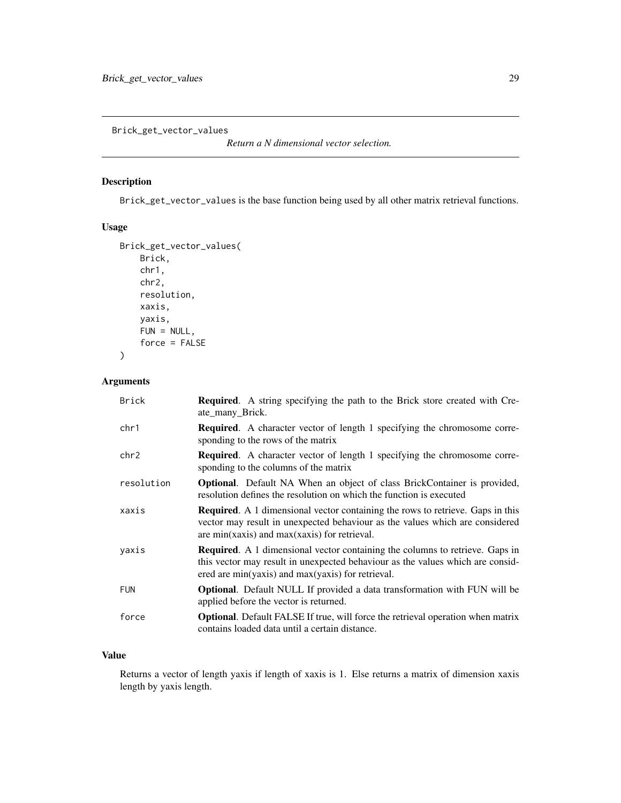<span id="page-28-1"></span><span id="page-28-0"></span>Brick\_get\_vector\_values

*Return a N dimensional vector selection.*

### Description

Brick\_get\_vector\_values is the base function being used by all other matrix retrieval functions.

#### Usage

```
Brick_get_vector_values(
   Brick,
    chr1,
    chr2,
    resolution,
   xaxis,
   yaxis,
   FUN = NULL,force = FALSE
```
)

### Arguments

| <b>Brick</b> | <b>Required.</b> A string specifying the path to the Brick store created with Cre-<br>ate_many_Brick.                                                                                                                      |
|--------------|----------------------------------------------------------------------------------------------------------------------------------------------------------------------------------------------------------------------------|
| chr1         | <b>Required.</b> A character vector of length 1 specifying the chromosome corre-<br>sponding to the rows of the matrix                                                                                                     |
| chr2         | <b>Required.</b> A character vector of length 1 specifying the chromosome corre-<br>sponding to the columns of the matrix                                                                                                  |
| resolution   | Optional. Default NA When an object of class BrickContainer is provided,<br>resolution defines the resolution on which the function is executed                                                                            |
| xaxis        | <b>Required.</b> A 1 dimensional vector containing the rows to retrieve. Gaps in this<br>vector may result in unexpected behaviour as the values which are considered<br>are min(xaxis) and $max(xaxis)$ for retrieval.    |
| yaxis        | <b>Required.</b> A 1 dimensional vector containing the columns to retrieve. Gaps in<br>this vector may result in unexpected behaviour as the values which are consid-<br>ered are min(yaxis) and max(yaxis) for retrieval. |
| <b>FUN</b>   | <b>Optional.</b> Default NULL If provided a data transformation with FUN will be<br>applied before the vector is returned.                                                                                                 |
| force        | <b>Optional.</b> Default FALSE If true, will force the retrieval operation when matrix<br>contains loaded data until a certain distance.                                                                                   |

### Value

Returns a vector of length yaxis if length of xaxis is 1. Else returns a matrix of dimension xaxis length by yaxis length.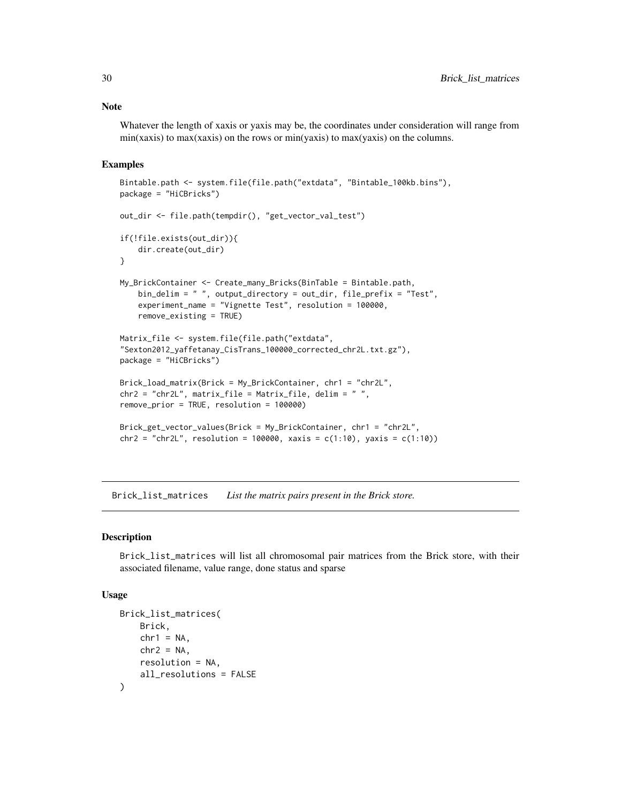#### Note

Whatever the length of xaxis or yaxis may be, the coordinates under consideration will range from  $min(xaxis)$  to  $max(xaxis)$  on the rows or  $min(yaxis)$  to  $max(yaxis)$  on the columns.

### Examples

```
Bintable.path <- system.file(file.path("extdata", "Bintable_100kb.bins"),
package = "HiCBricks")
out_dir <- file.path(tempdir(), "get_vector_val_test")
if(!file.exists(out_dir)){
    dir.create(out_dir)
}
My_BrickContainer <- Create_many_Bricks(BinTable = Bintable.path,
    bin_delim = " ", output_directory = out_dir, file_prefix = "Test",
    experiment_name = "Vignette Test", resolution = 100000,
   remove_existing = TRUE)
Matrix_file <- system.file(file.path("extdata",
"Sexton2012_yaffetanay_CisTrans_100000_corrected_chr2L.txt.gz"),
package = "HiCBricks")
Brick_load_matrix(Brick = My_BrickContainer, chr1 = "chr2L",
chr2 = "chr2L", matrix_file = Matrix_file, delim = " ",
remove_prior = TRUE, resolution = 100000)
Brick_get_vector_values(Brick = My_BrickContainer, chr1 = "chr2L",
chr2 = "chr2L", resolution = 100000, xaxis = c(1:10), yaxis = c(1:10))
```
<span id="page-29-1"></span>Brick\_list\_matrices *List the matrix pairs present in the Brick store.*

#### Description

Brick\_list\_matrices will list all chromosomal pair matrices from the Brick store, with their associated filename, value range, done status and sparse

#### Usage

```
Brick_list_matrices(
    Brick,
   chr1 = NA,
   chr2 = NA,
    resolution = NA,
   all_resolutions = FALSE
)
```
<span id="page-29-0"></span>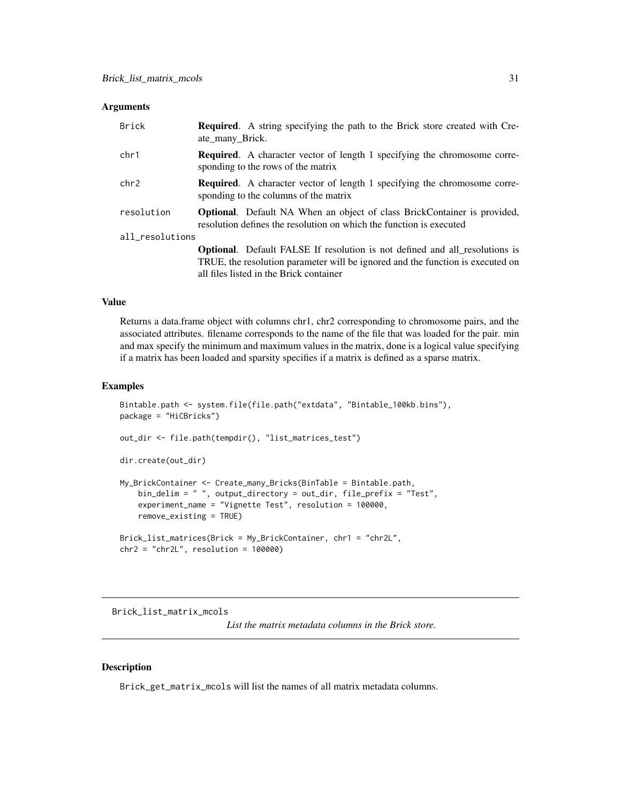<span id="page-30-0"></span>

| Brick           | <b>Required.</b> A string specifying the path to the Brick store created with Cre-<br>ate many Brick.                                                                |
|-----------------|----------------------------------------------------------------------------------------------------------------------------------------------------------------------|
| chr1            | <b>Required.</b> A character vector of length 1 specifying the chromosome corre-<br>sponding to the rows of the matrix                                               |
| chr2            | <b>Required.</b> A character vector of length 1 specifying the chromosome corre-<br>sponding to the columns of the matrix                                            |
| resolution      | <b>Optional.</b> Default NA When an object of class BrickContainer is provided,<br>resolution defines the resolution on which the function is executed               |
| all_resolutions |                                                                                                                                                                      |
|                 | <b>Optional.</b> Default FALSE If resolution is not defined and all resolutions is<br>TRUE, the resolution parameter will be ignored and the function is executed on |
|                 | all files listed in the Brick container                                                                                                                              |

#### Value

Returns a data.frame object with columns chr1, chr2 corresponding to chromosome pairs, and the associated attributes. filename corresponds to the name of the file that was loaded for the pair. min and max specify the minimum and maximum values in the matrix, done is a logical value specifying if a matrix has been loaded and sparsity specifies if a matrix is defined as a sparse matrix.

#### Examples

```
Bintable.path <- system.file(file.path("extdata", "Bintable_100kb.bins"),
package = "HiCBricks")
out_dir <- file.path(tempdir(), "list_matrices_test")
dir.create(out_dir)
My_BrickContainer <- Create_many_Bricks(BinTable = Bintable.path,
    bin_delim = " ", output_directory = out_dir, file_prefix = "Test",
    experiment_name = "Vignette Test", resolution = 100000,
   remove_existing = TRUE)
Brick_list_matrices(Brick = My_BrickContainer, chr1 = "chr2L",
chr2 = "chr2L", resolution = 100000)
```
Brick\_list\_matrix\_mcols

*List the matrix metadata columns in the Brick store.*

### Description

Brick\_get\_matrix\_mcols will list the names of all matrix metadata columns.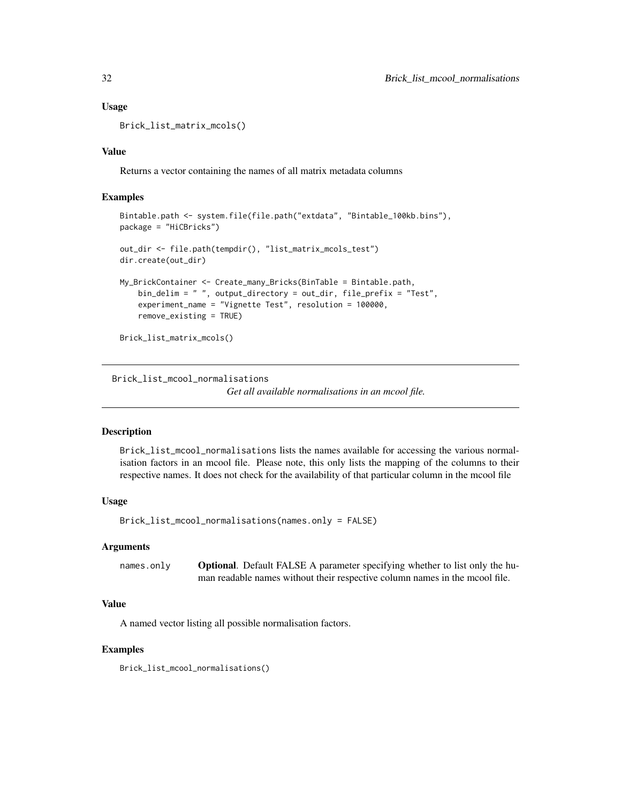### Usage

Brick\_list\_matrix\_mcols()

### Value

Returns a vector containing the names of all matrix metadata columns

### Examples

```
Bintable.path <- system.file(file.path("extdata", "Bintable_100kb.bins"),
package = "HiCBricks")
out_dir <- file.path(tempdir(), "list_matrix_mcols_test")
dir.create(out_dir)
My_BrickContainer <- Create_many_Bricks(BinTable = Bintable.path,
    bin_delim = " ", output_directory = out_dir, file_prefix = "Test",
    experiment_name = "Vignette Test", resolution = 100000,
    remove_existing = TRUE)
Brick_list_matrix_mcols()
```
<span id="page-31-1"></span>Brick\_list\_mcool\_normalisations

*Get all available normalisations in an mcool file.*

#### **Description**

Brick\_list\_mcool\_normalisations lists the names available for accessing the various normalisation factors in an mcool file. Please note, this only lists the mapping of the columns to their respective names. It does not check for the availability of that particular column in the mcool file

### Usage

Brick\_list\_mcool\_normalisations(names.only = FALSE)

#### **Arguments**

names.only **Optional.** Default FALSE A parameter specifying whether to list only the human readable names without their respective column names in the mcool file.

### Value

A named vector listing all possible normalisation factors.

### Examples

Brick\_list\_mcool\_normalisations()

<span id="page-31-0"></span>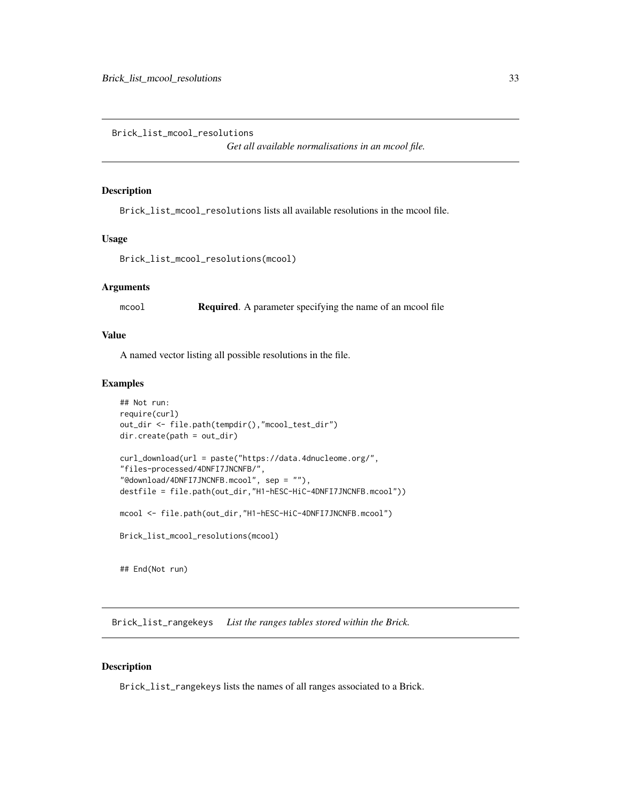<span id="page-32-1"></span><span id="page-32-0"></span>Brick\_list\_mcool\_resolutions

*Get all available normalisations in an mcool file.*

### Description

Brick\_list\_mcool\_resolutions lists all available resolutions in the mcool file.

### Usage

```
Brick_list_mcool_resolutions(mcool)
```
### Arguments

mcool **Required.** A parameter specifying the name of an mcool file

### Value

A named vector listing all possible resolutions in the file.

### Examples

```
## Not run:
require(curl)
out_dir <- file.path(tempdir(),"mcool_test_dir")
dir.create(path = out_dir)
curl_download(url = paste("https://data.4dnucleome.org/",
"files-processed/4DNFI7JNCNFB/",
"@download/4DNFI7JNCNFB.mcool", sep = ""),
destfile = file.path(out_dir,"H1-hESC-HiC-4DNFI7JNCNFB.mcool"))
mcool <- file.path(out_dir,"H1-hESC-HiC-4DNFI7JNCNFB.mcool")
Brick_list_mcool_resolutions(mcool)
## End(Not run)
```
<span id="page-32-2"></span>Brick\_list\_rangekeys *List the ranges tables stored within the Brick.*

### Description

Brick\_list\_rangekeys lists the names of all ranges associated to a Brick.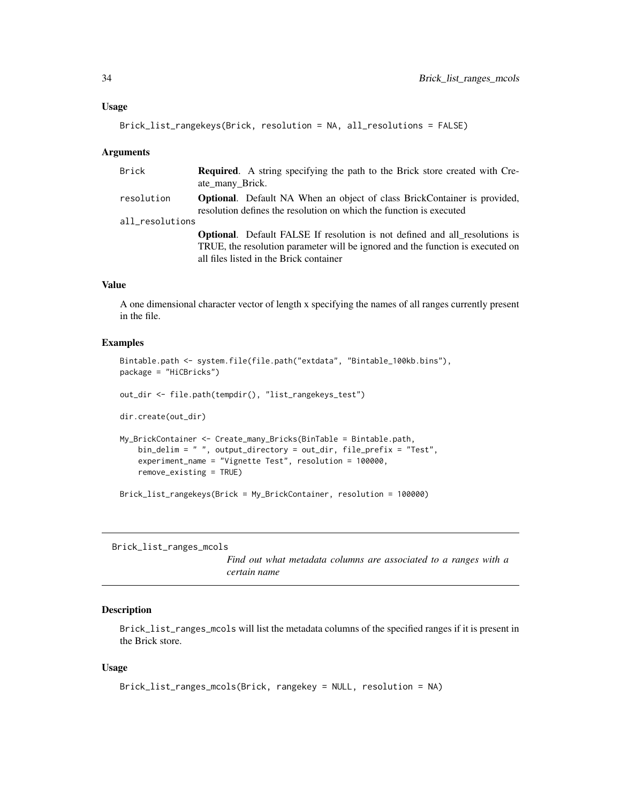### <span id="page-33-0"></span>Usage

```
Brick_list_rangekeys(Brick, resolution = NA, all_resolutions = FALSE)
```
### **Arguments**

| Brick           | <b>Required.</b> A string specifying the path to the Brick store created with Cre-<br>ate many Brick.                                                                                                           |
|-----------------|-----------------------------------------------------------------------------------------------------------------------------------------------------------------------------------------------------------------|
| resolution      | <b>Optional.</b> Default NA When an object of class BrickContainer is provided,<br>resolution defines the resolution on which the function is executed                                                          |
| all_resolutions |                                                                                                                                                                                                                 |
|                 | <b>Optional.</b> Default FALSE If resolution is not defined and all resolutions is<br>TRUE, the resolution parameter will be ignored and the function is executed on<br>all files listed in the Brick container |

### Value

A one dimensional character vector of length x specifying the names of all ranges currently present in the file.

#### Examples

```
Bintable.path <- system.file(file.path("extdata", "Bintable_100kb.bins"),
package = "HiCBricks")
out_dir <- file.path(tempdir(), "list_rangekeys_test")
dir.create(out_dir)
My_BrickContainer <- Create_many_Bricks(BinTable = Bintable.path,
   bin_delim = " ", output_directory = out_dir, file_prefix = "Test",
   experiment_name = "Vignette Test", resolution = 100000,
   remove_existing = TRUE)
Brick_list_rangekeys(Brick = My_BrickContainer, resolution = 100000)
```

```
Brick_list_ranges_mcols
```
*Find out what metadata columns are associated to a ranges with a certain name*

### Description

Brick\_list\_ranges\_mcols will list the metadata columns of the specified ranges if it is present in the Brick store.

### Usage

```
Brick_list_ranges_mcols(Brick, rangekey = NULL, resolution = NA)
```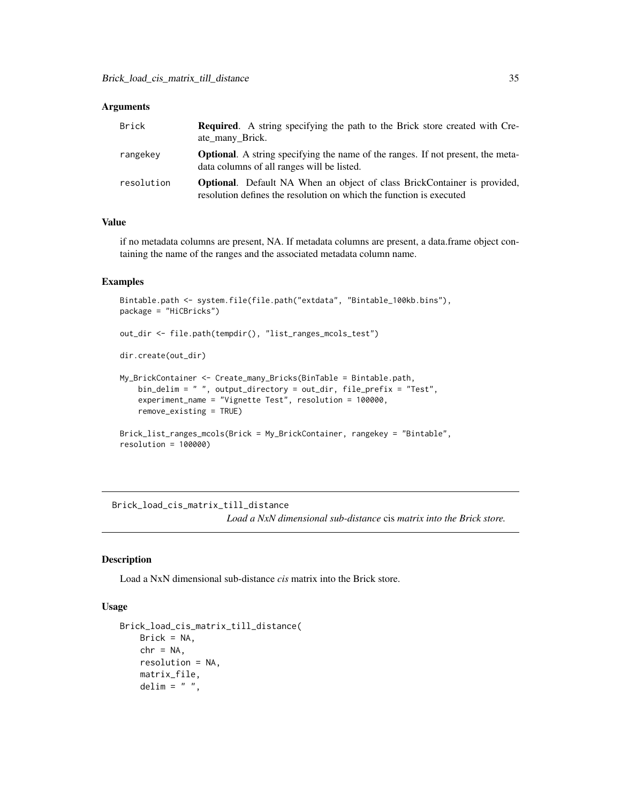<span id="page-34-0"></span>

| Brick      | <b>Required.</b> A string specifying the path to the Brick store created with Cre-<br>ate_many_Brick.                                                  |
|------------|--------------------------------------------------------------------------------------------------------------------------------------------------------|
| rangekey   | <b>Optional.</b> A string specifying the name of the ranges. If not present, the meta-<br>data columns of all ranges will be listed.                   |
| resolution | <b>Optional.</b> Default NA When an object of class BrickContainer is provided,<br>resolution defines the resolution on which the function is executed |

### Value

if no metadata columns are present, NA. If metadata columns are present, a data.frame object containing the name of the ranges and the associated metadata column name.

### Examples

```
Bintable.path <- system.file(file.path("extdata", "Bintable_100kb.bins"),
package = "HiCBricks")
out_dir <- file.path(tempdir(), "list_ranges_mcols_test")
dir.create(out_dir)
My_BrickContainer <- Create_many_Bricks(BinTable = Bintable.path,
   bin_delim = " ", output_directory = out_dir, file_prefix = "Test",
   experiment_name = "Vignette Test", resolution = 100000,
   remove_existing = TRUE)
Brick_list_ranges_mcols(Brick = My_BrickContainer, rangekey = "Bintable",
resolution = 100000)
```
<span id="page-34-1"></span>Brick\_load\_cis\_matrix\_till\_distance *Load a NxN dimensional sub-distance* cis *matrix into the Brick store.*

### Description

Load a NxN dimensional sub-distance *cis* matrix into the Brick store.

### Usage

```
Brick_load_cis_matrix_till_distance(
   Brick = NA,
   chr = NA,
   resolution = NA,
   matrix_file,
   delim = " "
```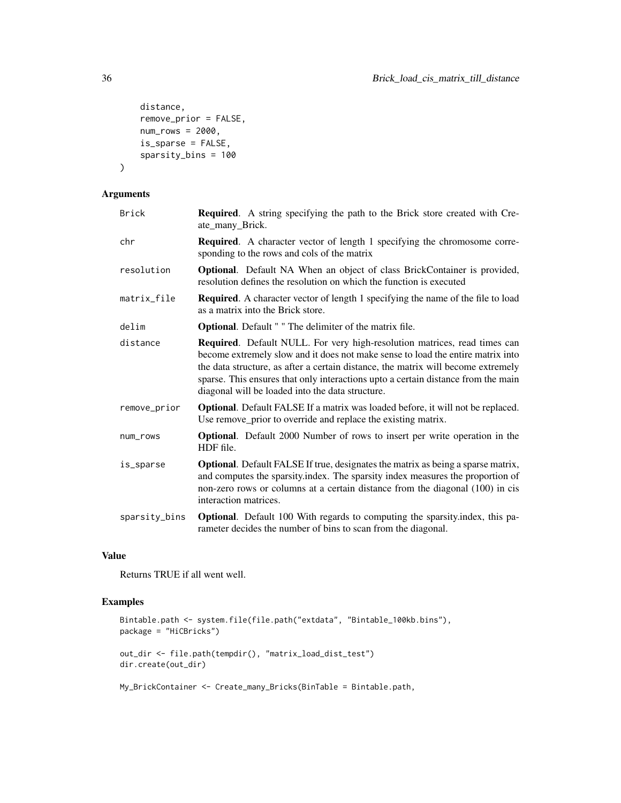```
distance,
    remove_prior = FALSE,
    num\_rows = 2000,is_sparse = FALSE,
    sparsity_bins = 100
\mathcal{L}
```

| <b>Brick</b>  | <b>Required.</b> A string specifying the path to the Brick store created with Cre-<br>ate_many_Brick.                                                                                                                                                                                                                                                                                      |
|---------------|--------------------------------------------------------------------------------------------------------------------------------------------------------------------------------------------------------------------------------------------------------------------------------------------------------------------------------------------------------------------------------------------|
| chr           | <b>Required.</b> A character vector of length 1 specifying the chromosome corre-<br>sponding to the rows and cols of the matrix                                                                                                                                                                                                                                                            |
| resolution    | <b>Optional.</b> Default NA When an object of class BrickContainer is provided,<br>resolution defines the resolution on which the function is executed                                                                                                                                                                                                                                     |
| matrix_file   | <b>Required.</b> A character vector of length 1 specifying the name of the file to load<br>as a matrix into the Brick store.                                                                                                                                                                                                                                                               |
| delim         | <b>Optional.</b> Default " " The delimiter of the matrix file.                                                                                                                                                                                                                                                                                                                             |
| distance      | Required. Default NULL. For very high-resolution matrices, read times can<br>become extremely slow and it does not make sense to load the entire matrix into<br>the data structure, as after a certain distance, the matrix will become extremely<br>sparse. This ensures that only interactions upto a certain distance from the main<br>diagonal will be loaded into the data structure. |
| remove_prior  | <b>Optional.</b> Default FALSE If a matrix was loaded before, it will not be replaced.<br>Use remove_prior to override and replace the existing matrix.                                                                                                                                                                                                                                    |
| num_rows      | <b>Optional.</b> Default 2000 Number of rows to insert per write operation in the<br>HDF file.                                                                                                                                                                                                                                                                                             |
| is_sparse     | <b>Optional.</b> Default FALSE If true, designates the matrix as being a sparse matrix,<br>and computes the sparsity index. The sparsity index measures the proportion of<br>non-zero rows or columns at a certain distance from the diagonal (100) in cis<br>interaction matrices.                                                                                                        |
| sparsity_bins | <b>Optional</b> . Default 100 With regards to computing the sparsity index, this pa-<br>rameter decides the number of bins to scan from the diagonal.                                                                                                                                                                                                                                      |

### Value

Returns TRUE if all went well.

### Examples

```
Bintable.path <- system.file(file.path("extdata", "Bintable_100kb.bins"),
package = "HiCBricks")
out_dir <- file.path(tempdir(), "matrix_load_dist_test")
dir.create(out_dir)
```
My\_BrickContainer <- Create\_many\_Bricks(BinTable = Bintable.path,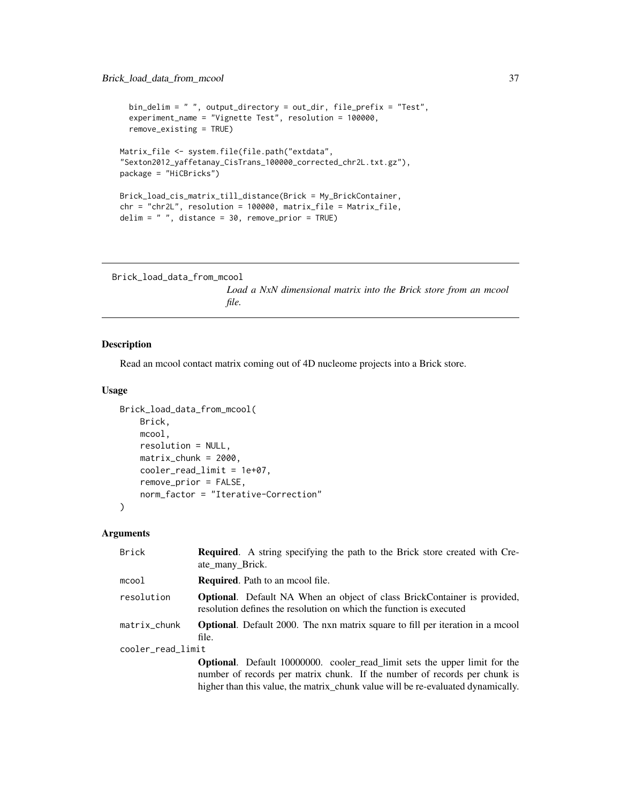```
bin_delim = " ", output_directory = out_dir, file_prefix = "Test",
  experiment_name = "Vignette Test", resolution = 100000,
  remove_existing = TRUE)
Matrix_file <- system.file(file.path("extdata",
"Sexton2012_yaffetanay_CisTrans_100000_corrected_chr2L.txt.gz"),
package = "HiCBricks")
Brick_load_cis_matrix_till_distance(Brick = My_BrickContainer,
chr = "chr2L", resolution = 100000, matrix_file = Matrix_file,
delim = " ", distance = 30, remove_prior = TRUE)
```

```
Brick_load_data_from_mcool
```
*Load a NxN dimensional matrix into the Brick store from an mcool file.*

#### Description

Read an mcool contact matrix coming out of 4D nucleome projects into a Brick store.

### Usage

```
Brick_load_data_from_mcool(
    Brick,
    mcool,
    resolution = NULL,
    matrix\_chunk = 2000,cooler_read_limit = 1e+07,
    remove_prior = FALSE,
    norm_factor = "Iterative-Correction"
\mathcal{L}
```
### Arguments

| <b>Brick</b>      | <b>Required.</b> A string specifying the path to the Brick store created with Cre-<br>ate many Brick.                                                  |  |
|-------------------|--------------------------------------------------------------------------------------------------------------------------------------------------------|--|
| mcool             | Required. Path to an mcool file.                                                                                                                       |  |
| resolution        | <b>Optional.</b> Default NA When an object of class BrickContainer is provided,<br>resolution defines the resolution on which the function is executed |  |
| matrix_chunk      | <b>Optional.</b> Default 2000. The nxn matrix square to fill per iteration in a moool<br>file.                                                         |  |
| cooler_read_limit |                                                                                                                                                        |  |
|                   | <b>Optional.</b> Default 10000000. cooler_read_limit sets the upper limit for the                                                                      |  |
|                   | number of records per matrix chunk. If the number of records per chunk is                                                                              |  |
|                   | higher than this value, the matrix_chunk value will be re-evaluated dynamically.                                                                       |  |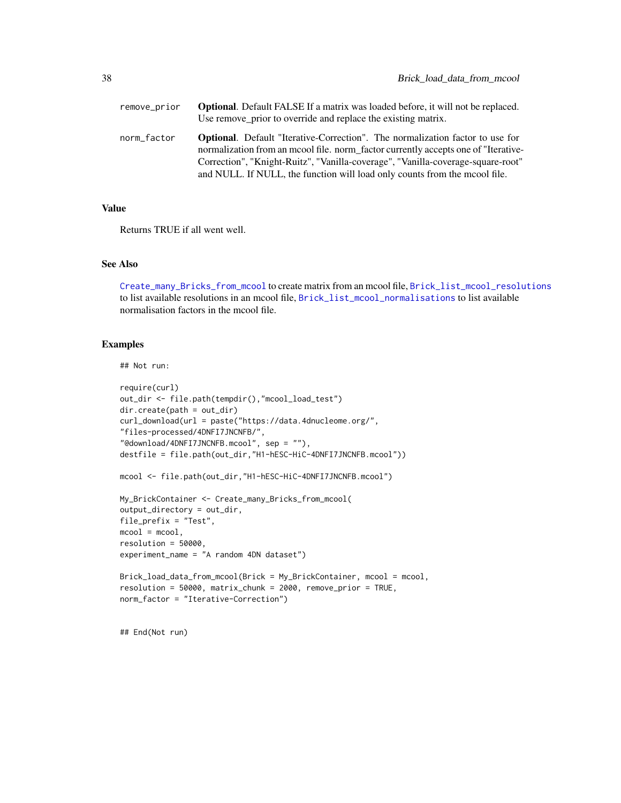<span id="page-37-0"></span>

| remove_prior | <b>Optional.</b> Default FALSE If a matrix was loaded before, it will not be replaced.<br>Use remove prior to override and replace the existing matrix.                                                                                                                                                                                     |
|--------------|---------------------------------------------------------------------------------------------------------------------------------------------------------------------------------------------------------------------------------------------------------------------------------------------------------------------------------------------|
| norm_factor  | <b>Optional.</b> Default "Iterative-Correction". The normalization factor to use for<br>normalization from an moool file. norm factor currently accepts one of "Iterative-<br>Correction", "Knight-Ruitz", "Vanilla-coverage", "Vanilla-coverage-square-root"<br>and NULL. If NULL, the function will load only counts from the mcool file. |

### Value

Returns TRUE if all went well.

### See Also

[Create\\_many\\_Bricks\\_from\\_mcool](#page-62-1) to create matrix from an mcool file, [Brick\\_list\\_mcool\\_resolutions](#page-32-1) to list available resolutions in an mcool file, [Brick\\_list\\_mcool\\_normalisations](#page-31-1) to list available normalisation factors in the mcool file.

### Examples

## Not run:

```
require(curl)
out_dir <- file.path(tempdir(),"mcool_load_test")
dir.create(path = out_dir)
curl_download(url = paste("https://data.4dnucleome.org/",
"files-processed/4DNFI7JNCNFB/",
"@download/4DNFI7JNCNFB.mcool", sep = ""),
destfile = file.path(out_dir,"H1-hESC-HiC-4DNFI7JNCNFB.mcool"))
mcool <- file.path(out_dir,"H1-hESC-HiC-4DNFI7JNCNFB.mcool")
My_BrickContainer <- Create_many_Bricks_from_mcool(
output_directory = out_dir,
file_prefix = "Test",
mcool = mcool,resolution = 50000,
experiment_name = "A random 4DN dataset")
Brick_load_data_from_mcool(Brick = My_BrickContainer, mcool = mcool,
resolution = 50000, matrix_chunk = 2000, remove_prior = TRUE,
norm_factor = "Iterative-Correction")
```
## End(Not run)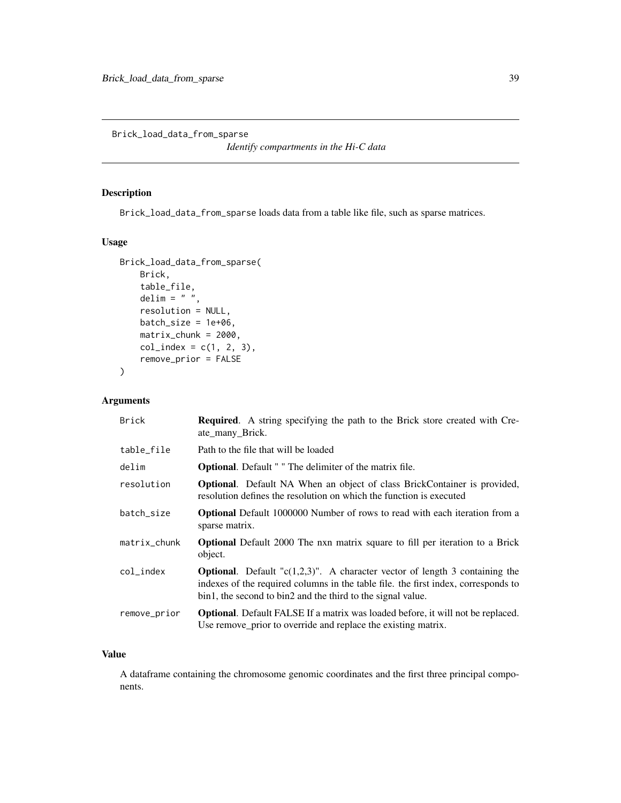<span id="page-38-0"></span>Brick\_load\_data\_from\_sparse

*Identify compartments in the Hi-C data*

### Description

Brick\_load\_data\_from\_sparse loads data from a table like file, such as sparse matrices.

### Usage

```
Brick_load_data_from_sparse(
    Brick,
    table_file,
    delim = " "resolution = NULL,
    batch_size = 1e+06,
    matrix_chunk = 2000,
    col_index = c(1, 2, 3),remove_prior = FALSE
\mathcal{L}
```
### Arguments

| <b>Brick</b> | <b>Required.</b> A string specifying the path to the Brick store created with Cre-<br>ate many Brick.                                                                                                                                       |
|--------------|---------------------------------------------------------------------------------------------------------------------------------------------------------------------------------------------------------------------------------------------|
| table_file   | Path to the file that will be loaded                                                                                                                                                                                                        |
| delim        | <b>Optional.</b> Default " " The delimiter of the matrix file.                                                                                                                                                                              |
| resolution   | <b>Optional.</b> Default NA When an object of class BrickContainer is provided,<br>resolution defines the resolution on which the function is executed                                                                                      |
| batch_size   | <b>Optional</b> Default 1000000 Number of rows to read with each iteration from a<br>sparse matrix.                                                                                                                                         |
| matrix_chunk | Optional Default 2000 The nxn matrix square to fill per iteration to a Brick<br>object.                                                                                                                                                     |
| col index    | <b>Optional.</b> Default " $c(1,2,3)$ ". A character vector of length 3 containing the<br>indexes of the required columns in the table file. the first index, corresponds to<br>bin1, the second to bin2 and the third to the signal value. |
| remove_prior | <b>Optional.</b> Default FALSE If a matrix was loaded before, it will not be replaced.<br>Use remove_prior to override and replace the existing matrix.                                                                                     |

### Value

A dataframe containing the chromosome genomic coordinates and the first three principal components.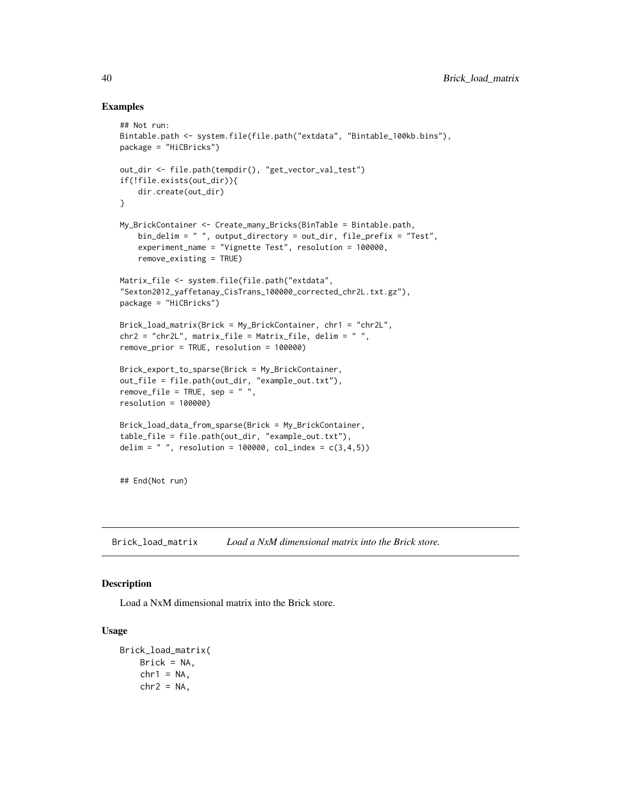### Examples

```
## Not run:
Bintable.path <- system.file(file.path("extdata", "Bintable_100kb.bins"),
package = "HiCBricks")
out_dir <- file.path(tempdir(), "get_vector_val_test")
if(!file.exists(out_dir)){
    dir.create(out_dir)
}
My_BrickContainer <- Create_many_Bricks(BinTable = Bintable.path,
    bin_delim = " ", output_directory = out_dir, file_prefix = "Test",
    experiment_name = "Vignette Test", resolution = 100000,
   remove_existing = TRUE)
Matrix_file <- system.file(file.path("extdata",
"Sexton2012_yaffetanay_CisTrans_100000_corrected_chr2L.txt.gz"),
package = "HiCBricks")
Brick_load_matrix(Brick = My_BrickContainer, chr1 = "chr2L",
chr2 = "chr2L", matrix_file = Matrix_file, delim = " ",
remove_prior = TRUE, resolution = 100000)
Brick_export_to_sparse(Brick = My_BrickContainer,
out_file = file.path(out_dir, "example_out.txt"),
remove_file = TRUE, sep = "",resolution = 100000)
Brick_load_data_from_sparse(Brick = My_BrickContainer,
table_file = file.path(out_dir, "example_out.txt"),
delim = " ", resolution = 100000, col_index = c(3, 4, 5))
## End(Not run)
```
<span id="page-39-1"></span>Brick\_load\_matrix *Load a NxM dimensional matrix into the Brick store.*

#### Description

Load a NxM dimensional matrix into the Brick store.

#### Usage

```
Brick_load_matrix(
   Brick = NA,
   chr1 = NA,
   chr2 = NA,
```
<span id="page-39-0"></span>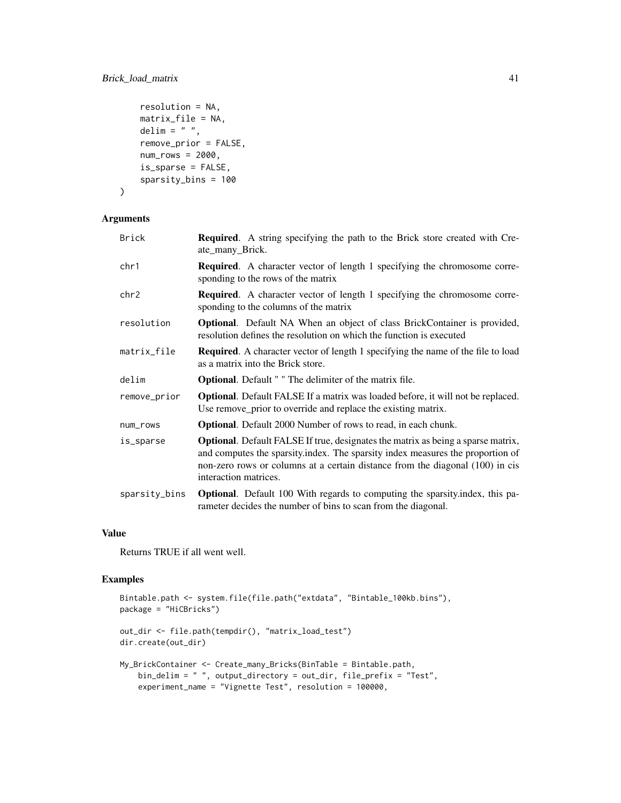```
resolution = NA,
matrix_file = NA,
delim = " ".
remove_prior = FALSE,
num\_rows = 2000,is_sparse = FALSE,
sparsity_bins = 100
```
)

| Brick         | Required. A string specifying the path to the Brick store created with Cre-<br>ate_many_Brick.                                                                                                                                                                                      |
|---------------|-------------------------------------------------------------------------------------------------------------------------------------------------------------------------------------------------------------------------------------------------------------------------------------|
| chr1          | <b>Required.</b> A character vector of length 1 specifying the chromosome corre-<br>sponding to the rows of the matrix                                                                                                                                                              |
| chr2          | <b>Required.</b> A character vector of length 1 specifying the chromosome corre-<br>sponding to the columns of the matrix                                                                                                                                                           |
| resolution    | <b>Optional.</b> Default NA When an object of class BrickContainer is provided,<br>resolution defines the resolution on which the function is executed                                                                                                                              |
| matrix_file   | <b>Required.</b> A character vector of length 1 specifying the name of the file to load<br>as a matrix into the Brick store.                                                                                                                                                        |
| delim         | <b>Optional.</b> Default " " The delimiter of the matrix file.                                                                                                                                                                                                                      |
| remove_prior  | <b>Optional.</b> Default FALSE If a matrix was loaded before, it will not be replaced.<br>Use remove_prior to override and replace the existing matrix.                                                                                                                             |
| num_rows      | <b>Optional.</b> Default 2000 Number of rows to read, in each chunk.                                                                                                                                                                                                                |
| is_sparse     | <b>Optional.</b> Default FALSE If true, designates the matrix as being a sparse matrix,<br>and computes the sparsity index. The sparsity index measures the proportion of<br>non-zero rows or columns at a certain distance from the diagonal (100) in cis<br>interaction matrices. |
| sparsity_bins | <b>Optional.</b> Default 100 With regards to computing the sparsity index, this pa-<br>rameter decides the number of bins to scan from the diagonal.                                                                                                                                |

### Value

Returns TRUE if all went well.

```
Bintable.path <- system.file(file.path("extdata", "Bintable_100kb.bins"),
package = "HiCBricks")
out_dir <- file.path(tempdir(), "matrix_load_test")
dir.create(out_dir)
My_BrickContainer <- Create_many_Bricks(BinTable = Bintable.path,
   bin_delim = " ", output_directory = out_dir, file_prefix = "Test",
   experiment_name = "Vignette Test", resolution = 100000,
```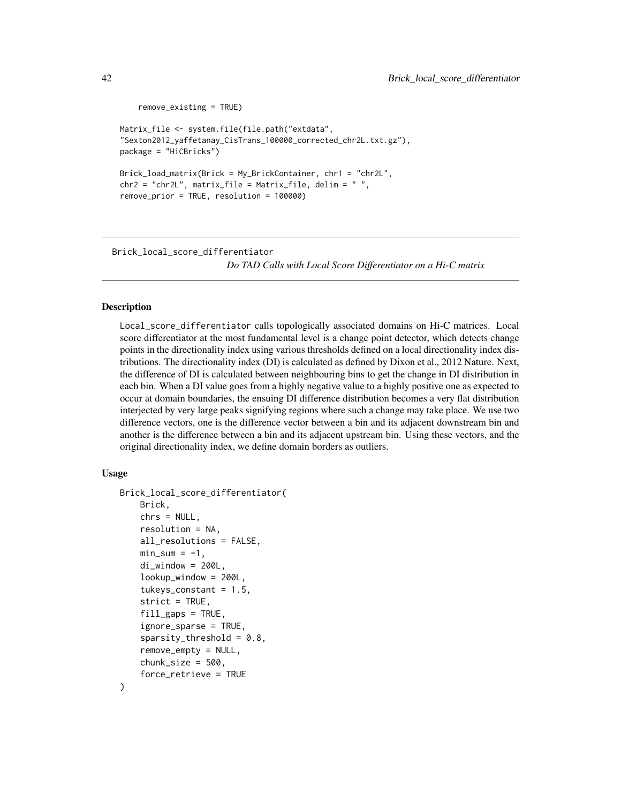```
remove_existing = TRUE)
Matrix_file <- system.file(file.path("extdata",
"Sexton2012_yaffetanay_CisTrans_100000_corrected_chr2L.txt.gz"),
package = "HiCBricks")
Brick_load_matrix(Brick = My_BrickContainer, chr1 = "chr2L",
chr2 = "chr2L", matrix_file = Matrix_file, delim = "",remove_prior = TRUE, resolution = 100000)
```
<span id="page-41-1"></span>Brick\_local\_score\_differentiator *Do TAD Calls with Local Score Differentiator on a Hi-C matrix*

### Description

Local\_score\_differentiator calls topologically associated domains on Hi-C matrices. Local score differentiator at the most fundamental level is a change point detector, which detects change points in the directionality index using various thresholds defined on a local directionality index distributions. The directionality index (DI) is calculated as defined by Dixon et al., 2012 Nature. Next, the difference of DI is calculated between neighbouring bins to get the change in DI distribution in each bin. When a DI value goes from a highly negative value to a highly positive one as expected to occur at domain boundaries, the ensuing DI difference distribution becomes a very flat distribution interjected by very large peaks signifying regions where such a change may take place. We use two difference vectors, one is the difference vector between a bin and its adjacent downstream bin and another is the difference between a bin and its adjacent upstream bin. Using these vectors, and the original directionality index, we define domain borders as outliers.

### Usage

```
Brick_local_score_differentiator(
    Brick,
    chrs = NULL,
    resolution = NA,
    all_resolutions = FALSE,
    min\_sum = -1,
    di\_window = 200L,lookup_window = 200L,
    tukeys_constant = 1.5,
    strict = TRUE,
    fill\_gaps = TRUE,ignore_sparse = TRUE,
    sparsity_threshold = 0.8,
    remove_empty = NULL,
    chunk_size = 500,
    force_retrieve = TRUE
)
```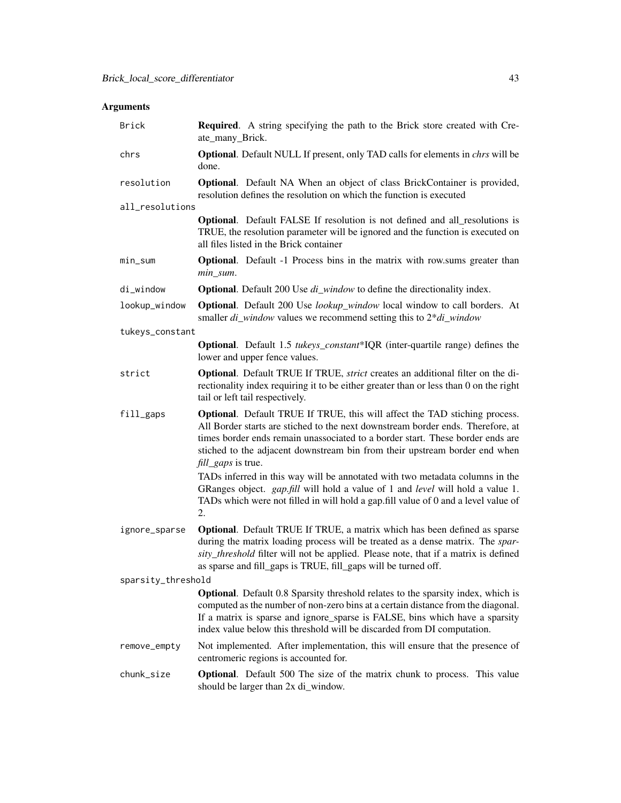| Brick              | <b>Required.</b> A string specifying the path to the Brick store created with Cre-<br>ate_many_Brick.                                                                                                                                                                                                                                                             |  |
|--------------------|-------------------------------------------------------------------------------------------------------------------------------------------------------------------------------------------------------------------------------------------------------------------------------------------------------------------------------------------------------------------|--|
| chrs               | Optional. Default NULL If present, only TAD calls for elements in <i>chrs</i> will be<br>done.                                                                                                                                                                                                                                                                    |  |
| resolution         | <b>Optional.</b> Default NA When an object of class BrickContainer is provided,<br>resolution defines the resolution on which the function is executed                                                                                                                                                                                                            |  |
| all_resolutions    |                                                                                                                                                                                                                                                                                                                                                                   |  |
|                    | Optional. Default FALSE If resolution is not defined and all_resolutions is<br>TRUE, the resolution parameter will be ignored and the function is executed on<br>all files listed in the Brick container                                                                                                                                                          |  |
| $min\_sum$         | <b>Optional.</b> Default -1 Process bins in the matrix with row.sums greater than<br>min_sum.                                                                                                                                                                                                                                                                     |  |
| di_window          | <b>Optional</b> . Default 200 Use di_window to define the directionality index.                                                                                                                                                                                                                                                                                   |  |
| lookup_window      | <b>Optional</b> . Default 200 Use lookup_window local window to call borders. At<br>smaller $di\_window$ values we recommend setting this to $2 * di\_window$                                                                                                                                                                                                     |  |
| tukeys_constant    |                                                                                                                                                                                                                                                                                                                                                                   |  |
|                    | <b>Optional</b> . Default 1.5 tukeys_constant*IQR (inter-quartile range) defines the<br>lower and upper fence values.                                                                                                                                                                                                                                             |  |
| strict             | Optional. Default TRUE If TRUE, strict creates an additional filter on the di-<br>rectionality index requiring it to be either greater than or less than 0 on the right<br>tail or left tail respectively.                                                                                                                                                        |  |
| fill_gaps          | <b>Optional.</b> Default TRUE If TRUE, this will affect the TAD stiching process.<br>All Border starts are stiched to the next downstream border ends. Therefore, at<br>times border ends remain unassociated to a border start. These border ends are<br>stiched to the adjacent downstream bin from their upstream border end when<br><i>fill_gaps</i> is true. |  |
|                    | TADs inferred in this way will be annotated with two metadata columns in the<br>GRanges object. gap.fill will hold a value of 1 and level will hold a value 1.<br>TADs which were not filled in will hold a gap.fill value of 0 and a level value of<br>2.                                                                                                        |  |
| ignore_sparse      | Optional. Default TRUE If TRUE, a matrix which has been defined as sparse<br>during the matrix loading process will be treated as a dense matrix. The spar-<br>sity_threshold filter will not be applied. Please note, that if a matrix is defined<br>as sparse and fill_gaps is TRUE, fill_gaps will be turned off.                                              |  |
| sparsity_threshold |                                                                                                                                                                                                                                                                                                                                                                   |  |
|                    | <b>Optional</b> . Default 0.8 Sparsity threshold relates to the sparsity index, which is<br>computed as the number of non-zero bins at a certain distance from the diagonal.<br>If a matrix is sparse and ignore_sparse is FALSE, bins which have a sparsity<br>index value below this threshold will be discarded from DI computation.                           |  |
| remove_empty       | Not implemented. After implementation, this will ensure that the presence of<br>centromeric regions is accounted for.                                                                                                                                                                                                                                             |  |
| chunk_size         | <b>Optional.</b> Default 500 The size of the matrix chunk to process. This value<br>should be larger than 2x di_window.                                                                                                                                                                                                                                           |  |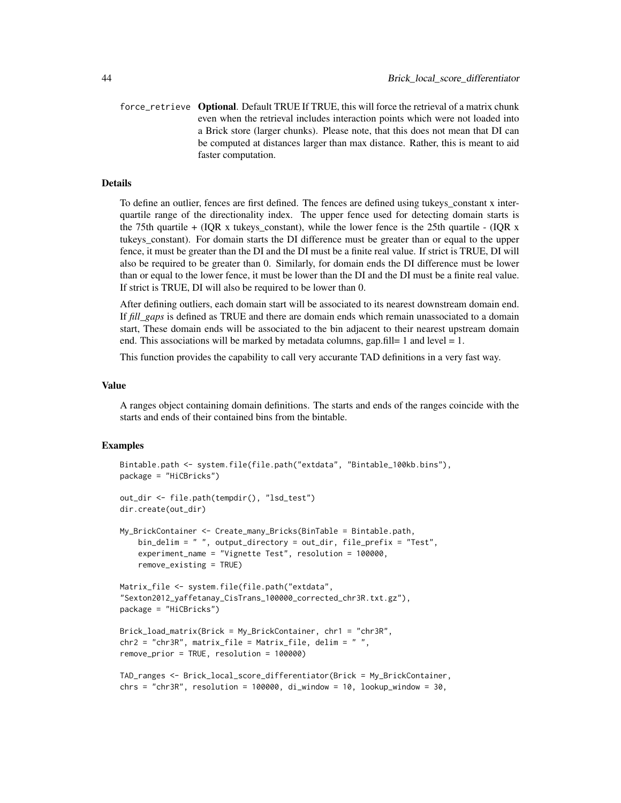force\_retrieve Optional. Default TRUE If TRUE, this will force the retrieval of a matrix chunk even when the retrieval includes interaction points which were not loaded into a Brick store (larger chunks). Please note, that this does not mean that DI can be computed at distances larger than max distance. Rather, this is meant to aid faster computation.

#### Details

To define an outlier, fences are first defined. The fences are defined using tukeys\_constant x interquartile range of the directionality index. The upper fence used for detecting domain starts is the 75th quartile  $+$  (IQR x tukeys constant), while the lower fence is the 25th quartile - (IQR x tukeys\_constant). For domain starts the DI difference must be greater than or equal to the upper fence, it must be greater than the DI and the DI must be a finite real value. If strict is TRUE, DI will also be required to be greater than 0. Similarly, for domain ends the DI difference must be lower than or equal to the lower fence, it must be lower than the DI and the DI must be a finite real value. If strict is TRUE, DI will also be required to be lower than 0.

After defining outliers, each domain start will be associated to its nearest downstream domain end. If *fill\_gaps* is defined as TRUE and there are domain ends which remain unassociated to a domain start, These domain ends will be associated to the bin adjacent to their nearest upstream domain end. This associations will be marked by metadata columns, gap.fill= 1 and level = 1.

This function provides the capability to call very accurante TAD definitions in a very fast way.

#### Value

A ranges object containing domain definitions. The starts and ends of the ranges coincide with the starts and ends of their contained bins from the bintable.

```
Bintable.path <- system.file(file.path("extdata", "Bintable_100kb.bins"),
package = "HiCBricks")
out_dir <- file.path(tempdir(), "lsd_test")
dir.create(out_dir)
My_BrickContainer <- Create_many_Bricks(BinTable = Bintable.path,
   bin_delim = " ", output_directory = out_dir, file_prefix = "Test",
    experiment_name = "Vignette Test", resolution = 100000,
    remove_existing = TRUE)
Matrix_file <- system.file(file.path("extdata",
"Sexton2012_yaffetanay_CisTrans_100000_corrected_chr3R.txt.gz"),
package = "HiCBricks")
Brick_load_matrix(Brick = My_BrickContainer, chr1 = "chr3R",
chr2 = "chr3R", matrix_file = Matrix_file, delim = "",remove_prior = TRUE, resolution = 100000)
TAD_ranges <- Brick_local_score_differentiator(Brick = My_BrickContainer,
chrs = "chr3R", resolution = 100000, di_window = 10, lookup_window = 30,
```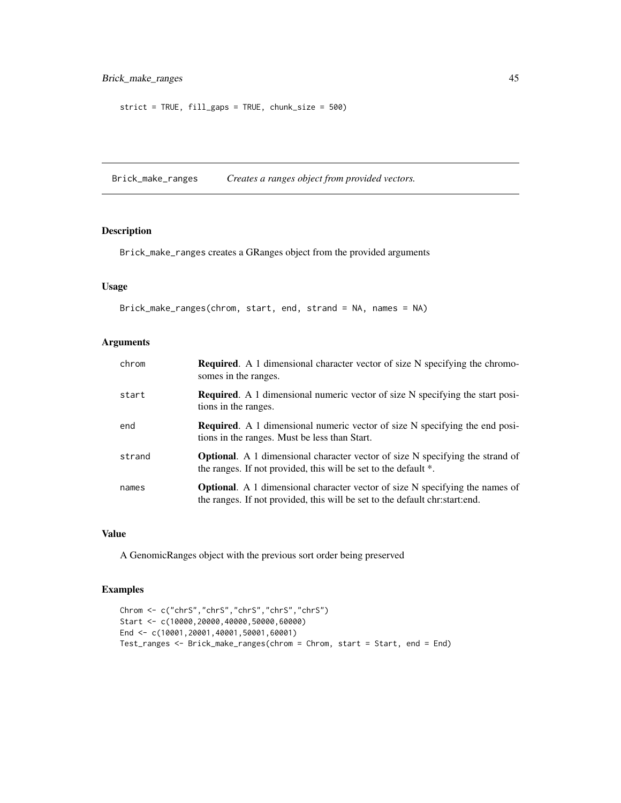```
strict = TRUE, fill_gaps = TRUE, chunk_size = 500)
```
<span id="page-44-1"></span>Brick\_make\_ranges *Creates a ranges object from provided vectors.*

### Description

Brick\_make\_ranges creates a GRanges object from the provided arguments

### Usage

```
Brick_make_ranges(chrom, start, end, strand = NA, names = NA)
```
### Arguments

| chrom  | <b>Required.</b> A 1 dimensional character vector of size N specifying the chromo-<br>somes in the ranges.                                                         |
|--------|--------------------------------------------------------------------------------------------------------------------------------------------------------------------|
| start  | <b>Required.</b> A 1 dimensional numeric vector of size N specifying the start posi-<br>tions in the ranges.                                                       |
| end    | <b>Required.</b> A 1 dimensional numeric vector of size N specifying the end posi-<br>tions in the ranges. Must be less than Start.                                |
| strand | <b>Optional.</b> A 1 dimensional character vector of size N specifying the strand of<br>the ranges. If not provided, this will be set to the default *.            |
| names  | <b>Optional.</b> A 1 dimensional character vector of size N specifying the names of<br>the ranges. If not provided, this will be set to the default christartiend. |

### Value

A GenomicRanges object with the previous sort order being preserved

```
Chrom <- c("chrS","chrS","chrS","chrS","chrS")
Start <- c(10000,20000,40000,50000,60000)
End <- c(10001,20001,40001,50001,60001)
Test_ranges <- Brick_make_ranges(chrom = Chrom, start = Start, end = End)
```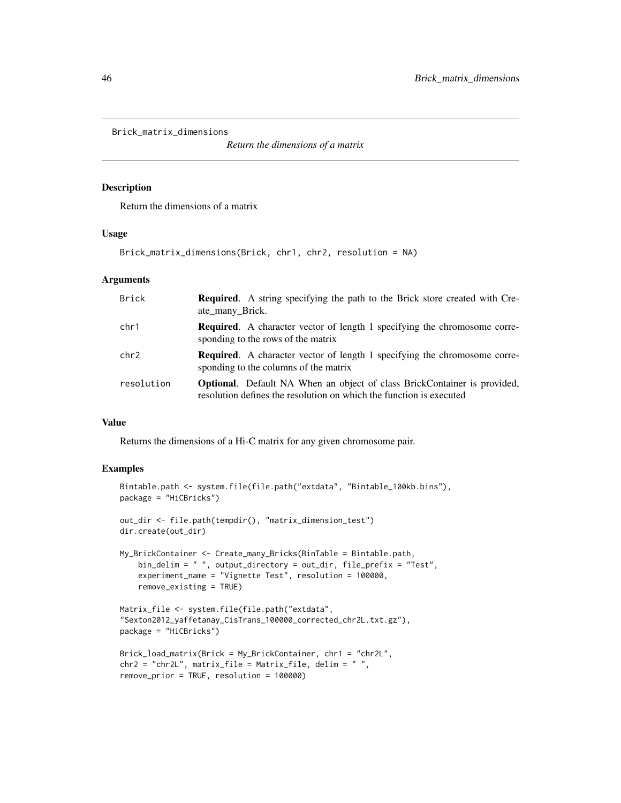```
Brick_matrix_dimensions
```
*Return the dimensions of a matrix*

### Description

Return the dimensions of a matrix

### Usage

```
Brick_matrix_dimensions(Brick, chr1, chr2, resolution = NA)
```
### Arguments

| Brick      | <b>Required.</b> A string specifying the path to the Brick store created with Cre-<br>ate_many_Brick.                                                  |
|------------|--------------------------------------------------------------------------------------------------------------------------------------------------------|
| chr1       | <b>Required.</b> A character vector of length 1 specifying the chromosome corre-<br>sponding to the rows of the matrix                                 |
| chr2       | <b>Required.</b> A character vector of length 1 specifying the chromosome corre-<br>sponding to the columns of the matrix                              |
| resolution | <b>Optional.</b> Default NA When an object of class BrickContainer is provided,<br>resolution defines the resolution on which the function is executed |

### Value

Returns the dimensions of a Hi-C matrix for any given chromosome pair.

```
Bintable.path <- system.file(file.path("extdata", "Bintable_100kb.bins"),
package = "HiCBricks")
out_dir <- file.path(tempdir(), "matrix_dimension_test")
dir.create(out_dir)
My_BrickContainer <- Create_many_Bricks(BinTable = Bintable.path,
   bin_delim = " ", output_directory = out_dir, file_prefix = "Test",
    experiment_name = "Vignette Test", resolution = 100000,
    remove_existing = TRUE)
Matrix_file <- system.file(file.path("extdata",
"Sexton2012_yaffetanay_CisTrans_100000_corrected_chr2L.txt.gz"),
package = "HiCBricks")
Brick_load_matrix(Brick = My_BrickContainer, chr1 = "chr2L",
chr2 = "chr2L", matrix_file = Matrix_file, delim = "",remove_prior = TRUE, resolution = 100000)
```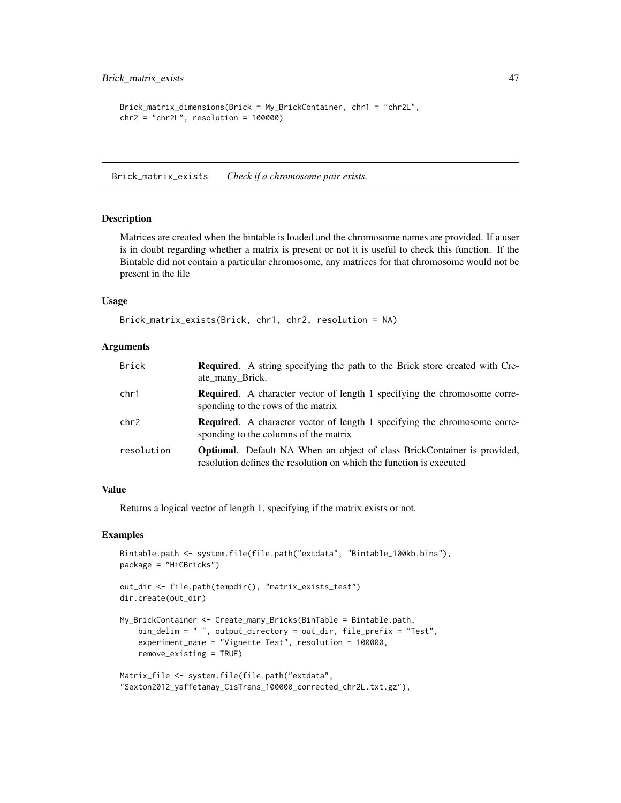```
Brick_matrix_dimensions(Brick = My_BrickContainer, chr1 = "chr2L",
chr2 = "chr2L", resolution = 100000)
```
<span id="page-46-1"></span>Brick\_matrix\_exists *Check if a chromosome pair exists.*

#### Description

Matrices are created when the bintable is loaded and the chromosome names are provided. If a user is in doubt regarding whether a matrix is present or not it is useful to check this function. If the Bintable did not contain a particular chromosome, any matrices for that chromosome would not be present in the file

#### Usage

```
Brick_matrix_exists(Brick, chr1, chr2, resolution = NA)
```
#### Arguments

| <b>Brick</b> | <b>Required.</b> A string specifying the path to the Brick store created with Cre-<br>ate_many_Brick.                                                  |
|--------------|--------------------------------------------------------------------------------------------------------------------------------------------------------|
| chr1         | <b>Required.</b> A character vector of length 1 specifying the chromosome corre-<br>sponding to the rows of the matrix                                 |
| chr2         | <b>Required.</b> A character vector of length 1 specifying the chromosome corre-<br>sponding to the columns of the matrix                              |
| resolution   | <b>Optional.</b> Default NA When an object of class BrickContainer is provided,<br>resolution defines the resolution on which the function is executed |

#### Value

Returns a logical vector of length 1, specifying if the matrix exists or not.

```
Bintable.path <- system.file(file.path("extdata", "Bintable_100kb.bins"),
package = "HiCBricks")
```

```
out_dir <- file.path(tempdir(), "matrix_exists_test")
dir.create(out_dir)
```

```
My_BrickContainer <- Create_many_Bricks(BinTable = Bintable.path,
   bin_delim = " ", output_directory = out_dir, file_prefix = "Test",
    experiment_name = "Vignette Test", resolution = 100000,
   remove_existing = TRUE)
```

```
Matrix_file <- system.file(file.path("extdata",
"Sexton2012_yaffetanay_CisTrans_100000_corrected_chr2L.txt.gz"),
```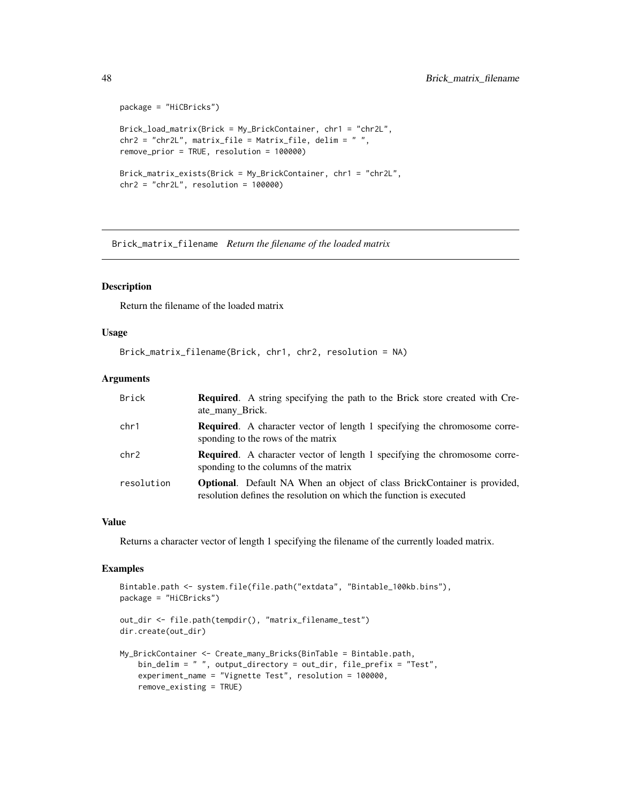```
package = "HiCBricks")
Brick_load_matrix(Brick = My_BrickContainer, chr1 = "chr2L",
chr2 = "chr2L", matrix_file = Matrix_file, delim = "",remove_prior = TRUE, resolution = 100000)
Brick_matrix_exists(Brick = My_BrickContainer, chr1 = "chr2L",
chr2 = "chr2L", resolution = 100000)
```
<span id="page-47-1"></span>Brick\_matrix\_filename *Return the filename of the loaded matrix*

#### Description

Return the filename of the loaded matrix

#### Usage

```
Brick_matrix_filename(Brick, chr1, chr2, resolution = NA)
```
#### Arguments

| Brick      | <b>Required.</b> A string specifying the path to the Brick store created with Cre-<br>ate_many_Brick.                                                  |
|------------|--------------------------------------------------------------------------------------------------------------------------------------------------------|
| chr1       | <b>Required.</b> A character vector of length 1 specifying the chromosome corre-<br>sponding to the rows of the matrix                                 |
| chr2       | <b>Required.</b> A character vector of length 1 specifying the chromosome corre-<br>sponding to the columns of the matrix                              |
| resolution | <b>Optional.</b> Default NA When an object of class BrickContainer is provided,<br>resolution defines the resolution on which the function is executed |

### Value

Returns a character vector of length 1 specifying the filename of the currently loaded matrix.

```
Bintable.path <- system.file(file.path("extdata", "Bintable_100kb.bins"),
package = "HiCBricks")
out_dir <- file.path(tempdir(), "matrix_filename_test")
dir.create(out_dir)
My_BrickContainer <- Create_many_Bricks(BinTable = Bintable.path,
    bin_delim = " ", output_directory = out_dir, file_prefix = "Test",
    experiment_name = "Vignette Test", resolution = 100000,
   remove_existing = TRUE)
```
<span id="page-47-0"></span>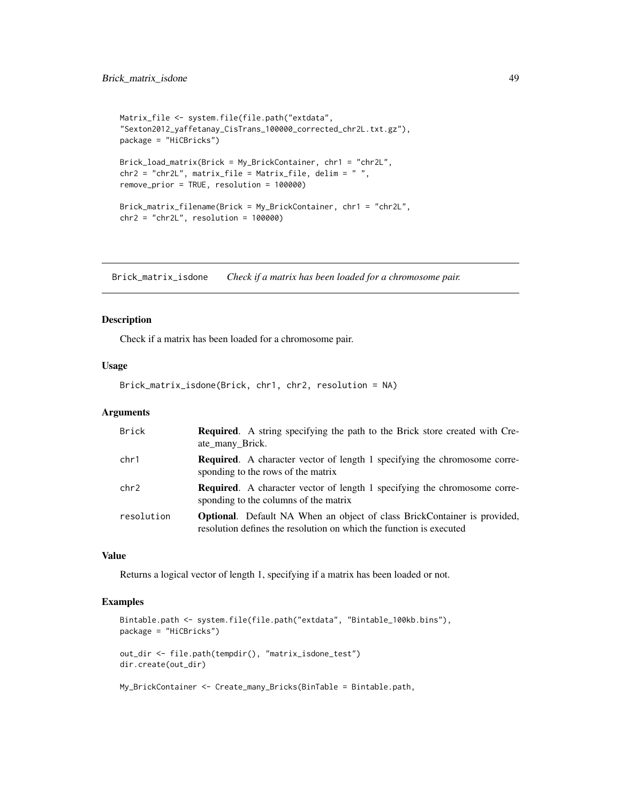```
Matrix_file <- system.file(file.path("extdata",
"Sexton2012_yaffetanay_CisTrans_100000_corrected_chr2L.txt.gz"),
package = "HiCBricks")
Brick_load_matrix(Brick = My_BrickContainer, chr1 = "chr2L",
chr2 = "chr2L", matrix_file = Matrix_file, delim = " ",
remove_prior = TRUE, resolution = 100000)
Brick_matrix_filename(Brick = My_BrickContainer, chr1 = "chr2L",
chr2 = "chr2L", resolution = 100000)
```
<span id="page-48-1"></span>Brick\_matrix\_isdone *Check if a matrix has been loaded for a chromosome pair.*

#### Description

Check if a matrix has been loaded for a chromosome pair.

### Usage

Brick\_matrix\_isdone(Brick, chr1, chr2, resolution = NA)

#### **Arguments**

| Brick      | <b>Required.</b> A string specifying the path to the Brick store created with Cre-<br>ate many Brick.                                                  |
|------------|--------------------------------------------------------------------------------------------------------------------------------------------------------|
| chr1       | <b>Required.</b> A character vector of length 1 specifying the chromosome corre-<br>sponding to the rows of the matrix                                 |
| chr2       | <b>Required.</b> A character vector of length 1 specifying the chromosome corre-<br>sponding to the columns of the matrix                              |
| resolution | <b>Optional.</b> Default NA When an object of class BrickContainer is provided,<br>resolution defines the resolution on which the function is executed |

### Value

Returns a logical vector of length 1, specifying if a matrix has been loaded or not.

```
Bintable.path <- system.file(file.path("extdata", "Bintable_100kb.bins"),
package = "HiCBricks")
out_dir <- file.path(tempdir(), "matrix_isdone_test")
dir.create(out_dir)
```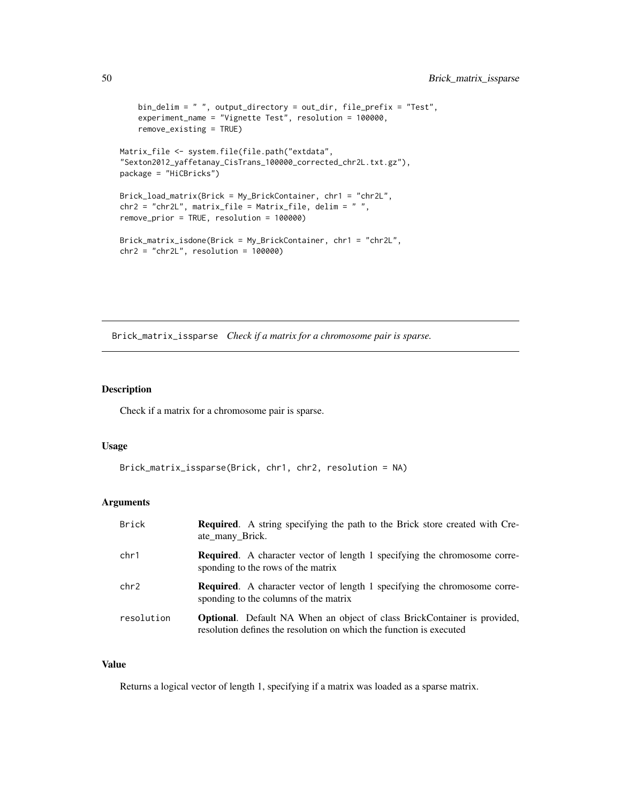```
bin_delim = " ", output_directory = out_dir, file_prefix = "Test",
    experiment_name = "Vignette Test", resolution = 100000,
   remove_existing = TRUE)
Matrix_file <- system.file(file.path("extdata",
"Sexton2012_yaffetanay_CisTrans_100000_corrected_chr2L.txt.gz"),
package = "HiCBricks")
Brick_load_matrix(Brick = My_BrickContainer, chr1 = "chr2L",
chr2 = "chr2L", matrix_file = Matrix_file, delim = "",remove_prior = TRUE, resolution = 100000)
Brick_matrix_isdone(Brick = My_BrickContainer, chr1 = "chr2L",
chr2 = "chr2L", resolution = 100000)
```
<span id="page-49-1"></span>Brick\_matrix\_issparse *Check if a matrix for a chromosome pair is sparse.*

### Description

Check if a matrix for a chromosome pair is sparse.

#### Usage

```
Brick_matrix_issparse(Brick, chr1, chr2, resolution = NA)
```
### Arguments

| <b>Brick</b> | <b>Required.</b> A string specifying the path to the Brick store created with Cre-<br>ate_many_Brick.                                                  |
|--------------|--------------------------------------------------------------------------------------------------------------------------------------------------------|
| chr1         | <b>Required.</b> A character vector of length 1 specifying the chromosome corre-<br>sponding to the rows of the matrix                                 |
| chr2         | <b>Required.</b> A character vector of length 1 specifying the chromosome corre-<br>sponding to the columns of the matrix                              |
| resolution   | <b>Optional.</b> Default NA When an object of class BrickContainer is provided,<br>resolution defines the resolution on which the function is executed |

### Value

Returns a logical vector of length 1, specifying if a matrix was loaded as a sparse matrix.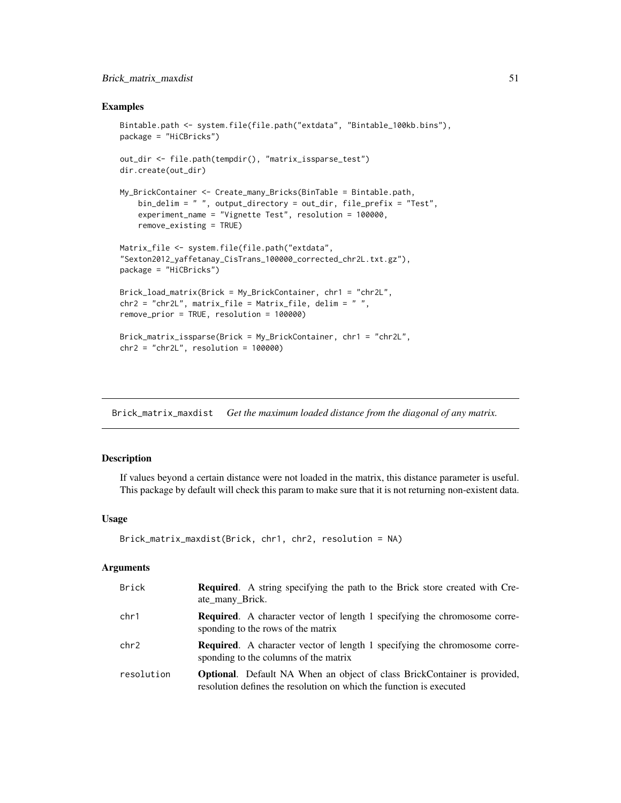### <span id="page-50-0"></span>Brick\_matrix\_maxdist 51

### Examples

```
Bintable.path <- system.file(file.path("extdata", "Bintable_100kb.bins"),
package = "HiCBricks")
out_dir <- file.path(tempdir(), "matrix_issparse_test")
dir.create(out_dir)
My_BrickContainer <- Create_many_Bricks(BinTable = Bintable.path,
    bin_delim = " ", output_directory = out_dir, file_prefix = "Test",
    experiment_name = "Vignette Test", resolution = 100000,
    remove_existing = TRUE)
Matrix_file <- system.file(file.path("extdata",
"Sexton2012_yaffetanay_CisTrans_100000_corrected_chr2L.txt.gz"),
package = "HiCBricks")
Brick_load_matrix(Brick = My_BrickContainer, chr1 = "chr2L",
chr2 = "chr2L", matrix_file = Matrix_file, delim = " ",
remove_prior = TRUE, resolution = 100000)
Brick_matrix_issparse(Brick = My_BrickContainer, chr1 = "chr2L",
chr2 = "chr2L", resolution = 100000)
```
<span id="page-50-1"></span>Brick\_matrix\_maxdist *Get the maximum loaded distance from the diagonal of any matrix.*

### Description

If values beyond a certain distance were not loaded in the matrix, this distance parameter is useful. This package by default will check this param to make sure that it is not returning non-existent data.

### Usage

```
Brick_matrix_maxdist(Brick, chr1, chr2, resolution = NA)
```
### Arguments

| Brick      | <b>Required.</b> A string specifying the path to the Brick store created with Cre-<br>ate_many_Brick.                                                  |
|------------|--------------------------------------------------------------------------------------------------------------------------------------------------------|
| chr1       | <b>Required.</b> A character vector of length 1 specifying the chromosome corre-<br>sponding to the rows of the matrix                                 |
| chr2       | <b>Required.</b> A character vector of length 1 specifying the chromosome corre-<br>sponding to the columns of the matrix                              |
| resolution | <b>Optional.</b> Default NA When an object of class BrickContainer is provided,<br>resolution defines the resolution on which the function is executed |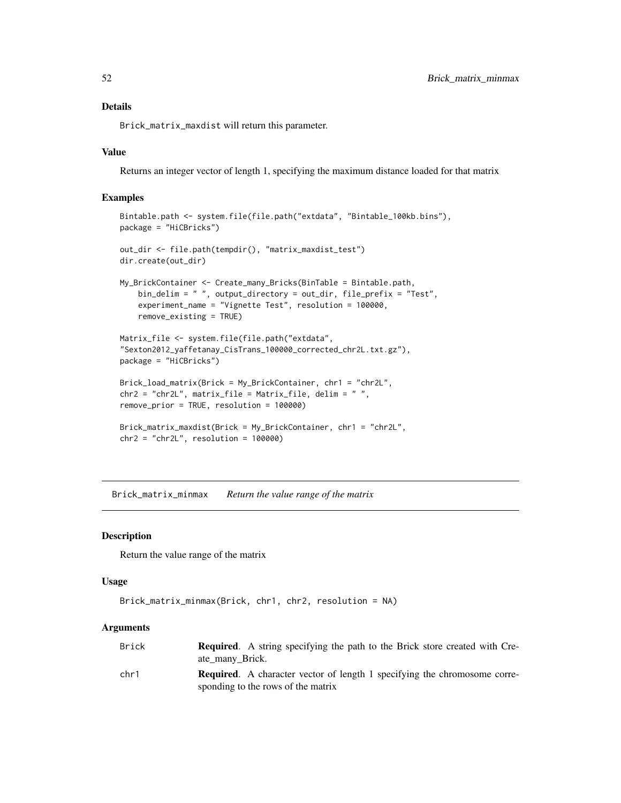### <span id="page-51-0"></span>Details

Brick\_matrix\_maxdist will return this parameter.

### Value

Returns an integer vector of length 1, specifying the maximum distance loaded for that matrix

### Examples

```
Bintable.path <- system.file(file.path("extdata", "Bintable_100kb.bins"),
package = "HiCBricks")
out_dir <- file.path(tempdir(), "matrix_maxdist_test")
dir.create(out_dir)
My_BrickContainer <- Create_many_Bricks(BinTable = Bintable.path,
   bin_delim = " ", output_directory = out_dir, file_prefix = "Test",
    experiment_name = "Vignette Test", resolution = 100000,
   remove_existing = TRUE)
Matrix_file <- system.file(file.path("extdata",
"Sexton2012_yaffetanay_CisTrans_100000_corrected_chr2L.txt.gz"),
package = "HiCBricks")
Brick_load_matrix(Brick = My_BrickContainer, chr1 = "chr2L",
chr2 = "chr2L", matrix_file = Matrix_file, delim = " ",
remove_prior = TRUE, resolution = 100000)
Brick_matrix_maxdist(Brick = My_BrickContainer, chr1 = "chr2L",
chr2 = "chr2L", resolution = 100000)
```
<span id="page-51-1"></span>Brick\_matrix\_minmax *Return the value range of the matrix*

### Description

Return the value range of the matrix

#### Usage

```
Brick_matrix_minmax(Brick, chr1, chr2, resolution = NA)
```
#### **Arguments**

| Brick | <b>Required.</b> A string specifying the path to the Brick store created with Cre-<br>ate many Brick.                  |
|-------|------------------------------------------------------------------------------------------------------------------------|
| chr1  | <b>Required.</b> A character vector of length 1 specifying the chromosome corre-<br>sponding to the rows of the matrix |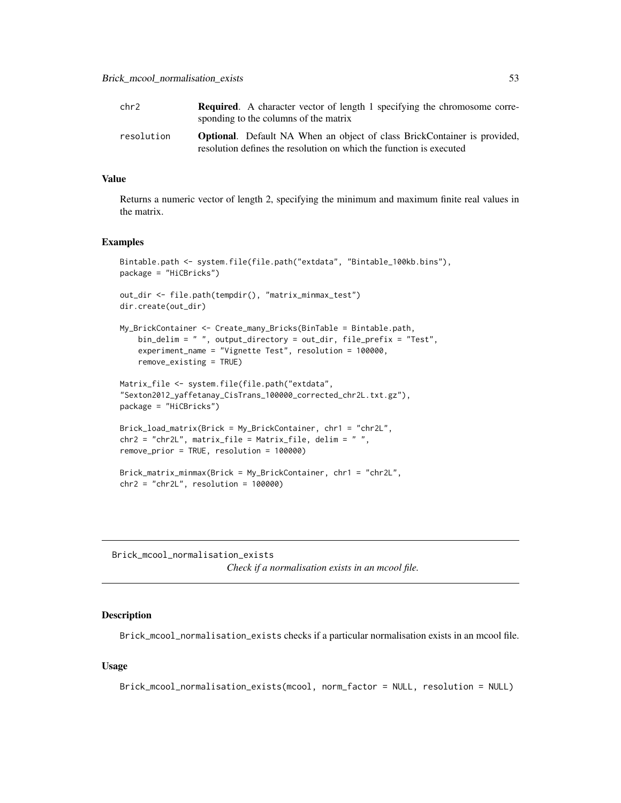<span id="page-52-0"></span>

| chr2       | <b>Required.</b> A character vector of length 1 specifying the chromosome corre-<br>sponding to the columns of the matrix                              |
|------------|--------------------------------------------------------------------------------------------------------------------------------------------------------|
| resolution | <b>Optional.</b> Default NA When an object of class BrickContainer is provided,<br>resolution defines the resolution on which the function is executed |

### Value

Returns a numeric vector of length 2, specifying the minimum and maximum finite real values in the matrix.

#### Examples

```
Bintable.path <- system.file(file.path("extdata", "Bintable_100kb.bins"),
package = "HiCBricks")
out_dir <- file.path(tempdir(), "matrix_minmax_test")
dir.create(out_dir)
My_BrickContainer <- Create_many_Bricks(BinTable = Bintable.path,
    bin_delim = " ", output_directory = out_dir, file_prefix = "Test",
    experiment_name = "Vignette Test", resolution = 100000,
    remove_existing = TRUE)
Matrix_file <- system.file(file.path("extdata",
"Sexton2012_yaffetanay_CisTrans_100000_corrected_chr2L.txt.gz"),
package = "HiCBricks")
Brick_load_matrix(Brick = My_BrickContainer, chr1 = "chr2L",
chr2 = "chr2L", matrix_file = Matrix_file, delim = " ",
remove_prior = TRUE, resolution = 100000)
Brick_matrix_minmax(Brick = My_BrickContainer, chr1 = "chr2L",
chr2 = "chr2L", resolution = 100000)
```
<span id="page-52-1"></span>Brick\_mcool\_normalisation\_exists *Check if a normalisation exists in an mcool file.*

#### **Description**

Brick\_mcool\_normalisation\_exists checks if a particular normalisation exists in an mcool file.

### Usage

Brick\_mcool\_normalisation\_exists(mcool, norm\_factor = NULL, resolution = NULL)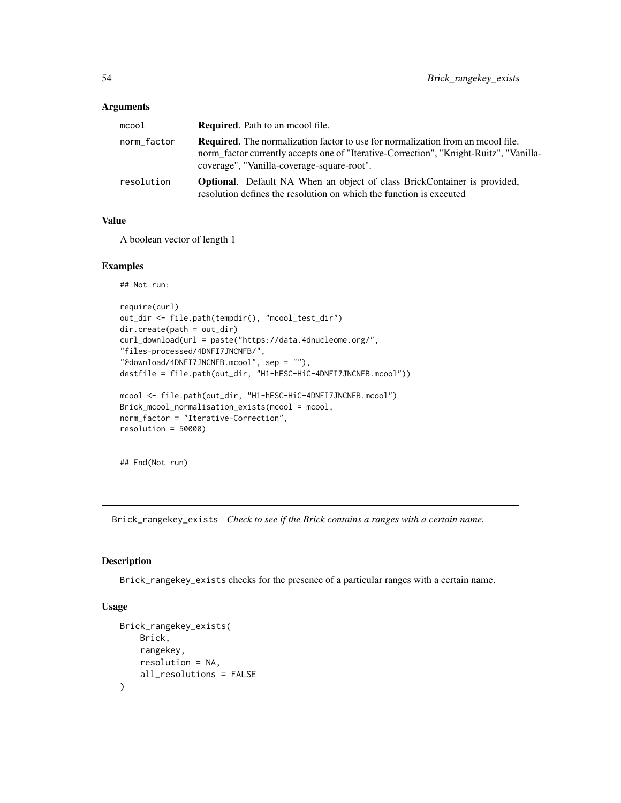<span id="page-53-0"></span>

| $m$ cool    | <b>Required.</b> Path to an moool file.                                                                                                                                                                                        |
|-------------|--------------------------------------------------------------------------------------------------------------------------------------------------------------------------------------------------------------------------------|
| norm_factor | <b>Required.</b> The normalization factor to use for normalization from an moool file.<br>norm factor currently accepts one of "Iterative-Correction", "Knight-Ruitz", "Vanilla-<br>coverage", "Vanilla-coverage-square-root". |
| resolution  | <b>Optional.</b> Default NA When an object of class BrickContainer is provided,<br>resolution defines the resolution on which the function is executed                                                                         |

### Value

A boolean vector of length 1

### Examples

```
## Not run:
```

```
require(curl)
out_dir <- file.path(tempdir(), "mcool_test_dir")
dir.create(path = out_dir)
curl_download(url = paste("https://data.4dnucleome.org/",
"files-processed/4DNFI7JNCNFB/",
"@download/4DNFI7JNCNFB.mcool", sep = ""),
destfile = file.path(out_dir, "H1-hESC-HiC-4DNFI7JNCNFB.mcool"))
```

```
mcool <- file.path(out_dir, "H1-hESC-HiC-4DNFI7JNCNFB.mcool")
Brick_mcool_normalisation_exists(mcool = mcool,
norm_factor = "Iterative-Correction",
resolution = 50000)
```

```
## End(Not run)
```
<span id="page-53-1"></span>Brick\_rangekey\_exists *Check to see if the Brick contains a ranges with a certain name.*

### Description

Brick\_rangekey\_exists checks for the presence of a particular ranges with a certain name.

### Usage

```
Brick_rangekey_exists(
   Brick,
   rangekey,
   resolution = NA,
   all_resolutions = FALSE
)
```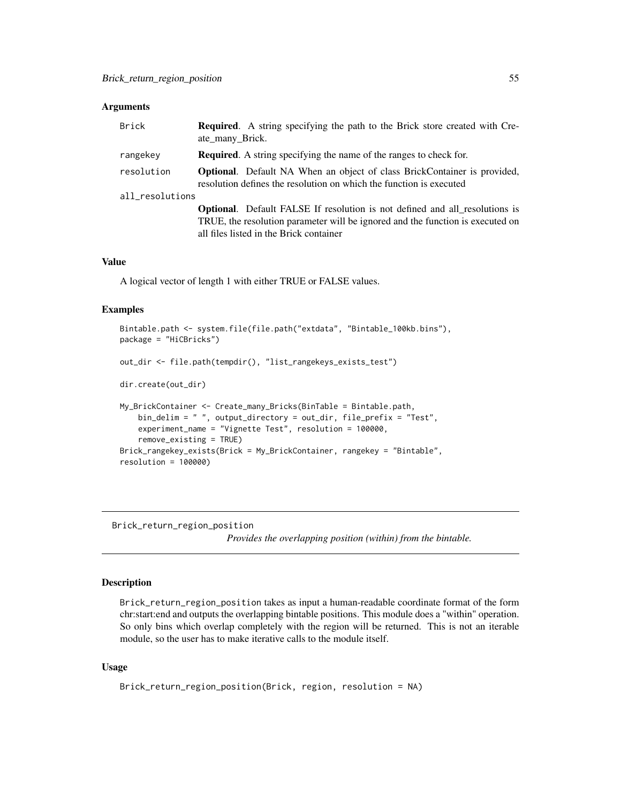<span id="page-54-0"></span>

| Brick           | <b>Required.</b> A string specifying the path to the Brick store created with Cre-<br>ate_many_Brick.                                                                                                           |
|-----------------|-----------------------------------------------------------------------------------------------------------------------------------------------------------------------------------------------------------------|
| rangekey        | <b>Required.</b> A string specifying the name of the ranges to check for.                                                                                                                                       |
| resolution      | <b>Optional.</b> Default NA When an object of class BrickContainer is provided,<br>resolution defines the resolution on which the function is executed                                                          |
| all_resolutions |                                                                                                                                                                                                                 |
|                 | <b>Optional.</b> Default FALSE If resolution is not defined and all resolutions is<br>TRUE, the resolution parameter will be ignored and the function is executed on<br>all files listed in the Brick container |

#### Value

A logical vector of length 1 with either TRUE or FALSE values.

### Examples

```
Bintable.path <- system.file(file.path("extdata", "Bintable_100kb.bins"),
package = "HiCBricks")
out_dir <- file.path(tempdir(), "list_rangekeys_exists_test")
dir.create(out_dir)
My_BrickContainer <- Create_many_Bricks(BinTable = Bintable.path,
   bin_delim = " ", output_directory = out_dir, file_prefix = "Test",
   experiment_name = "Vignette Test", resolution = 100000,
    remove_existing = TRUE)
Brick_rangekey_exists(Brick = My_BrickContainer, rangekey = "Bintable",
resolution = 100000)
```
<span id="page-54-1"></span>Brick\_return\_region\_position

*Provides the overlapping position (within) from the bintable.*

### Description

Brick\_return\_region\_position takes as input a human-readable coordinate format of the form chr:start:end and outputs the overlapping bintable positions. This module does a "within" operation. So only bins which overlap completely with the region will be returned. This is not an iterable module, so the user has to make iterative calls to the module itself.

### Usage

```
Brick_return_region_position(Brick, region, resolution = NA)
```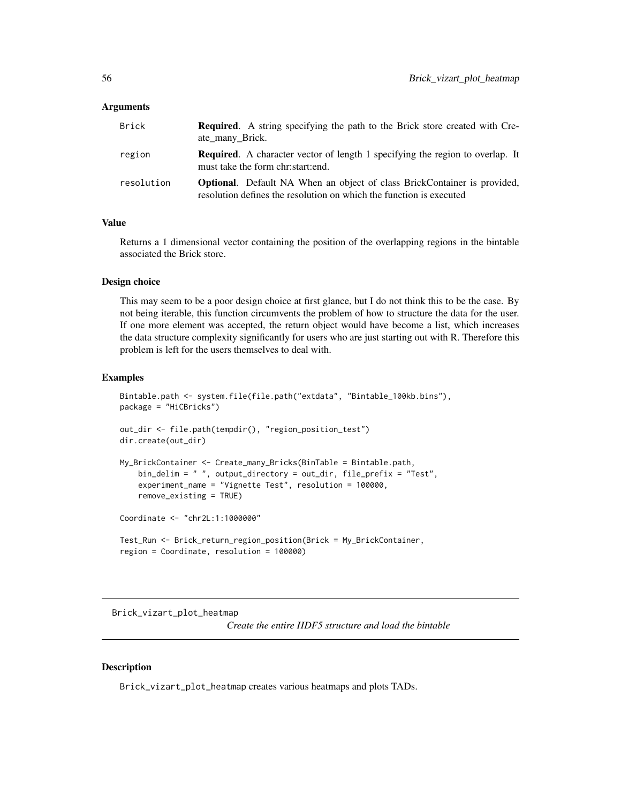<span id="page-55-0"></span>

| Brick      | <b>Required.</b> A string specifying the path to the Brick store created with Cre-<br>ate_many_Brick.                                                  |
|------------|--------------------------------------------------------------------------------------------------------------------------------------------------------|
| region     | <b>Required.</b> A character vector of length 1 specifying the region to overlap. It<br>must take the form chr: start: end.                            |
| resolution | <b>Optional.</b> Default NA When an object of class BrickContainer is provided,<br>resolution defines the resolution on which the function is executed |

### Value

Returns a 1 dimensional vector containing the position of the overlapping regions in the bintable associated the Brick store.

#### Design choice

This may seem to be a poor design choice at first glance, but I do not think this to be the case. By not being iterable, this function circumvents the problem of how to structure the data for the user. If one more element was accepted, the return object would have become a list, which increases the data structure complexity significantly for users who are just starting out with R. Therefore this problem is left for the users themselves to deal with.

#### Examples

```
Bintable.path <- system.file(file.path("extdata", "Bintable_100kb.bins"),
package = "HiCBricks")
out_dir <- file.path(tempdir(), "region_position_test")
dir.create(out_dir)
My_BrickContainer <- Create_many_Bricks(BinTable = Bintable.path,
   bin_delim = " ", output_directory = out_dir, file_prefix = "Test",
   experiment_name = "Vignette Test", resolution = 100000,
   remove_existing = TRUE)
Coordinate <- "chr2L:1:1000000"
Test_Run <- Brick_return_region_position(Brick = My_BrickContainer,
region = Coordinate, resolution = 100000)
```
<span id="page-55-1"></span>Brick\_vizart\_plot\_heatmap

*Create the entire HDF5 structure and load the bintable*

### **Description**

Brick\_vizart\_plot\_heatmap creates various heatmaps and plots TADs.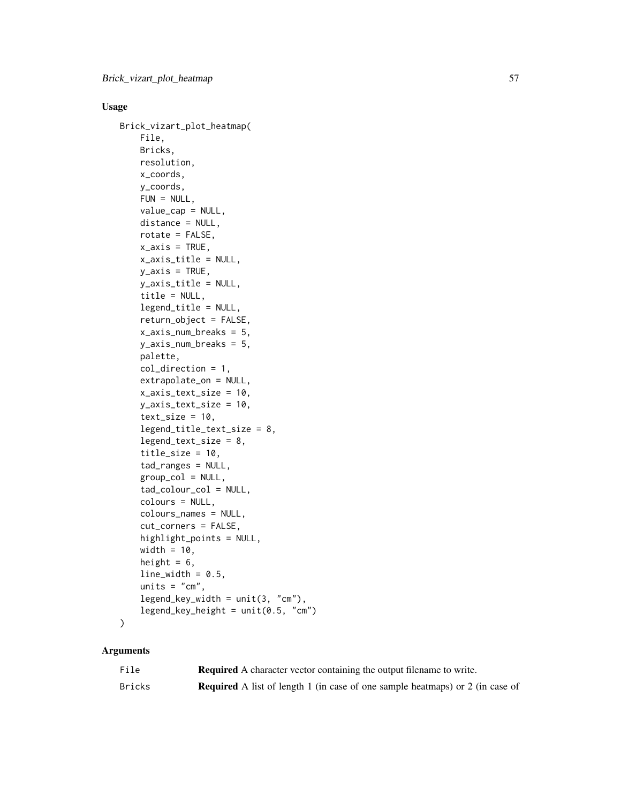### Usage

```
Brick_vizart_plot_heatmap(
   File,
   Bricks,
   resolution,
   x_coords,
    y_coords,
   FUN = NULL,
   value_cap = NULL,
   distance = NULL,
   rotate = FALSE,
   x_axis = TRUE,x_axis_title = NULL,
   y_axis = TRUE,y_axis_title = NULL,
   title = NULL,
   legend_title = NULL,
   return_object = FALSE,
   x_axis_num_breaks = 5,
   y_axis_num_breaks = 5,
   palette,
   col_direction = 1,
    extrapolate_on = NULL,
    x_axis_text_size = 10,
   y_axis_text_size = 10,
    text_size = 10,legend_title_text_size = 8,
    legend_text_size = 8,
    title_size = 10,
    tad_ranges = NULL,
    group\_col = NULL,tad_colour_col = NULL,
    colours = NULL,
    colours_names = NULL,
    cut_corners = FALSE,
   highlight_points = NULL,
   width = 10,
   height = 6,
    line\_width = 0.5,
    units = "cm",legend_{key\_width} = unit(3, "cm"),
   legend_{key_{height}} = unit(0.5, "cm")
```

```
\mathcal{L}
```
### Arguments

| File   | <b>Required</b> A character vector containing the output filename to write.          |
|--------|--------------------------------------------------------------------------------------|
| Bricks | <b>Required</b> A list of length 1 (in case of one sample heatmaps) or 2 (in case of |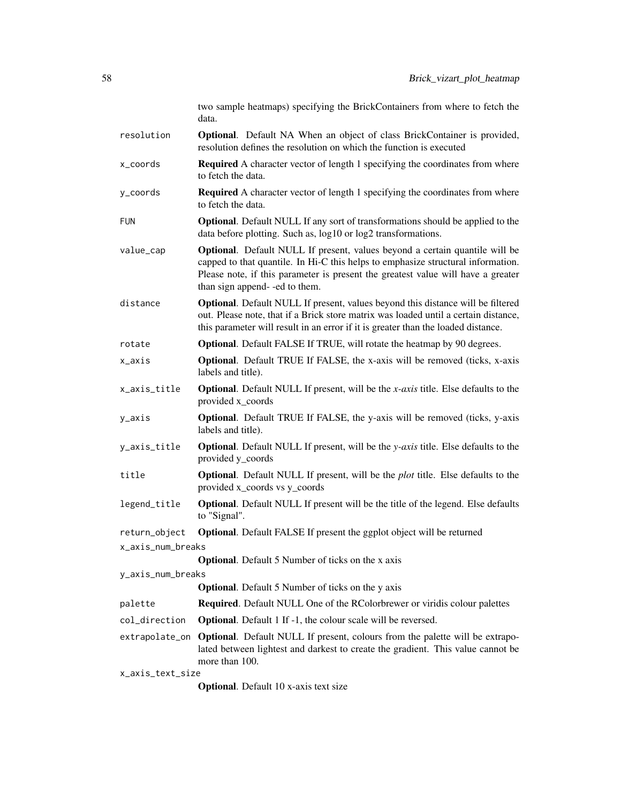|                                                                               | two sample heatmaps) specifying the BrickContainers from where to fetch the<br>data.                                                                                                                                                                                                        |  |
|-------------------------------------------------------------------------------|---------------------------------------------------------------------------------------------------------------------------------------------------------------------------------------------------------------------------------------------------------------------------------------------|--|
| resolution                                                                    | <b>Optional.</b> Default NA When an object of class BrickContainer is provided,<br>resolution defines the resolution on which the function is executed                                                                                                                                      |  |
| x_coords                                                                      | <b>Required</b> A character vector of length 1 specifying the coordinates from where<br>to fetch the data.                                                                                                                                                                                  |  |
| y_coords                                                                      | <b>Required</b> A character vector of length 1 specifying the coordinates from where<br>to fetch the data.                                                                                                                                                                                  |  |
| <b>FUN</b>                                                                    | <b>Optional.</b> Default NULL If any sort of transformations should be applied to the<br>data before plotting. Such as, log10 or log2 transformations.                                                                                                                                      |  |
| value_cap                                                                     | <b>Optional.</b> Default NULL If present, values beyond a certain quantile will be<br>capped to that quantile. In Hi-C this helps to emphasize structural information.<br>Please note, if this parameter is present the greatest value will have a greater<br>than sign append--ed to them. |  |
| distance                                                                      | Optional. Default NULL If present, values beyond this distance will be filtered<br>out. Please note, that if a Brick store matrix was loaded until a certain distance,<br>this parameter will result in an error if it is greater than the loaded distance.                                 |  |
| rotate                                                                        | <b>Optional.</b> Default FALSE If TRUE, will rotate the heatmap by 90 degrees.                                                                                                                                                                                                              |  |
| x_axis                                                                        | <b>Optional.</b> Default TRUE If FALSE, the x-axis will be removed (ticks, x-axis<br>labels and title).                                                                                                                                                                                     |  |
| x_axis_title                                                                  | <b>Optional.</b> Default NULL If present, will be the $x$ - $axis$ title. Else defaults to the<br>provided x_coords                                                                                                                                                                         |  |
| y_axis                                                                        | <b>Optional.</b> Default TRUE If FALSE, the y-axis will be removed (ticks, y-axis<br>labels and title).                                                                                                                                                                                     |  |
| y_axis_title                                                                  | <b>Optional.</b> Default NULL If present, will be the y-axis title. Else defaults to the<br>provided y_coords                                                                                                                                                                               |  |
| title                                                                         | <b>Optional.</b> Default NULL If present, will be the <i>plot</i> title. Else defaults to the<br>provided x_coords vs y_coords                                                                                                                                                              |  |
| legend_title                                                                  | <b>Optional.</b> Default NULL If present will be the title of the legend. Else defaults<br>to "Signal".                                                                                                                                                                                     |  |
| return_object                                                                 | Optional. Default FALSE If present the ggplot object will be returned                                                                                                                                                                                                                       |  |
| x_axis_num_breaks                                                             |                                                                                                                                                                                                                                                                                             |  |
| <b>Optional.</b> Default 5 Number of ticks on the x axis                      |                                                                                                                                                                                                                                                                                             |  |
| y_axis_num_breaks<br><b>Optional.</b> Default 5 Number of ticks on the y axis |                                                                                                                                                                                                                                                                                             |  |
| palette                                                                       | <b>Required.</b> Default NULL One of the RColorbrewer or viridis colour palettes                                                                                                                                                                                                            |  |
| col_direction                                                                 | <b>Optional.</b> Default 1 If -1, the colour scale will be reversed.                                                                                                                                                                                                                        |  |
|                                                                               | extrapolate_on Optional. Default NULL If present, colours from the palette will be extrapo-                                                                                                                                                                                                 |  |
|                                                                               | lated between lightest and darkest to create the gradient. This value cannot be<br>more than 100.                                                                                                                                                                                           |  |
| x_axis_text_size                                                              |                                                                                                                                                                                                                                                                                             |  |

Optional. Default 10 x-axis text size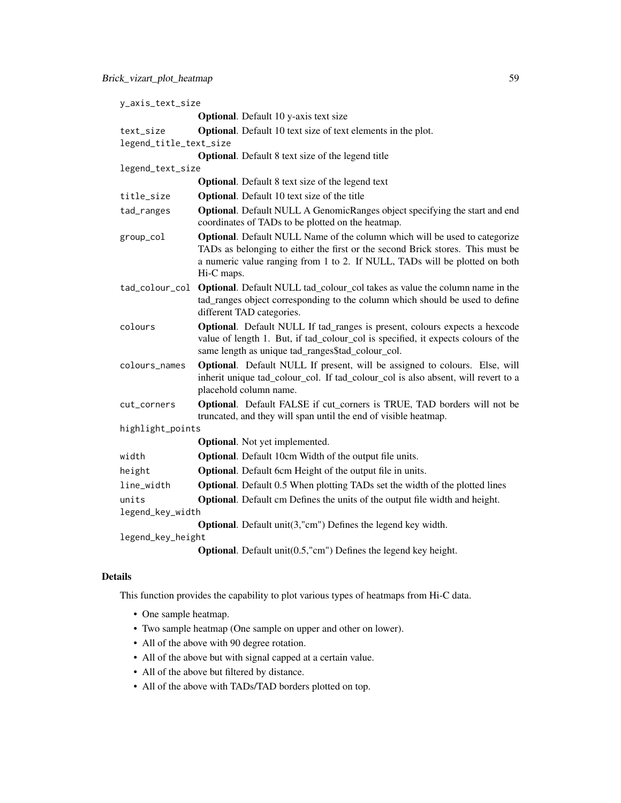| y_axis_text_size       |                                                                                                                                                                                                                                                          |
|------------------------|----------------------------------------------------------------------------------------------------------------------------------------------------------------------------------------------------------------------------------------------------------|
|                        | <b>Optional.</b> Default 10 y-axis text size                                                                                                                                                                                                             |
| text_size              | <b>Optional.</b> Default 10 text size of text elements in the plot.                                                                                                                                                                                      |
| legend_title_text_size |                                                                                                                                                                                                                                                          |
|                        | <b>Optional.</b> Default 8 text size of the legend title                                                                                                                                                                                                 |
| legend_text_size       |                                                                                                                                                                                                                                                          |
|                        | <b>Optional.</b> Default 8 text size of the legend text                                                                                                                                                                                                  |
| title_size             | <b>Optional.</b> Default 10 text size of the title                                                                                                                                                                                                       |
| tad_ranges             | <b>Optional.</b> Default NULL A GenomicRanges object specifying the start and end<br>coordinates of TADs to be plotted on the heatmap.                                                                                                                   |
| group_col              | Optional. Default NULL Name of the column which will be used to categorize<br>TADs as belonging to either the first or the second Brick stores. This must be<br>a numeric value ranging from 1 to 2. If NULL, TADs will be plotted on both<br>Hi-C maps. |
|                        | tad_colour_col Optional. Default NULL tad_colour_col takes as value the column name in the<br>tad_ranges object corresponding to the column which should be used to define<br>different TAD categories.                                                  |
| colours                | Optional. Default NULL If tad_ranges is present, colours expects a hexcode<br>value of length 1. But, if tad_colour_col is specified, it expects colours of the<br>same length as unique tad_ranges\$tad_colour_col.                                     |
| colours_names          | Optional. Default NULL If present, will be assigned to colours. Else, will<br>inherit unique tad_colour_col. If tad_colour_col is also absent, will revert to a<br>placehold column name.                                                                |
| cut_corners            | Optional. Default FALSE if cut_corners is TRUE, TAD borders will not be<br>truncated, and they will span until the end of visible heatmap.                                                                                                               |
| highlight_points       |                                                                                                                                                                                                                                                          |
|                        | <b>Optional.</b> Not yet implemented.                                                                                                                                                                                                                    |
| width                  | Optional. Default 10cm Width of the output file units.                                                                                                                                                                                                   |
| height                 | Optional. Default 6cm Height of the output file in units.                                                                                                                                                                                                |
| line_width             | <b>Optional.</b> Default 0.5 When plotting TADs set the width of the plotted lines                                                                                                                                                                       |
| units                  | <b>Optional.</b> Default cm Defines the units of the output file width and height.                                                                                                                                                                       |
| legend_key_width       |                                                                                                                                                                                                                                                          |
|                        | <b>Optional.</b> Default $unit(3, "cm")$ Defines the legend key width.                                                                                                                                                                                   |
| legend_key_height      |                                                                                                                                                                                                                                                          |
|                        | <b>Optional</b> . Default $unit(0.5, "cm")$ Defines the legend key height.                                                                                                                                                                               |

### Details

This function provides the capability to plot various types of heatmaps from Hi-C data.

- One sample heatmap.
- Two sample heatmap (One sample on upper and other on lower).
- All of the above with 90 degree rotation.
- All of the above but with signal capped at a certain value.
- All of the above but filtered by distance.
- All of the above with TADs/TAD borders plotted on top.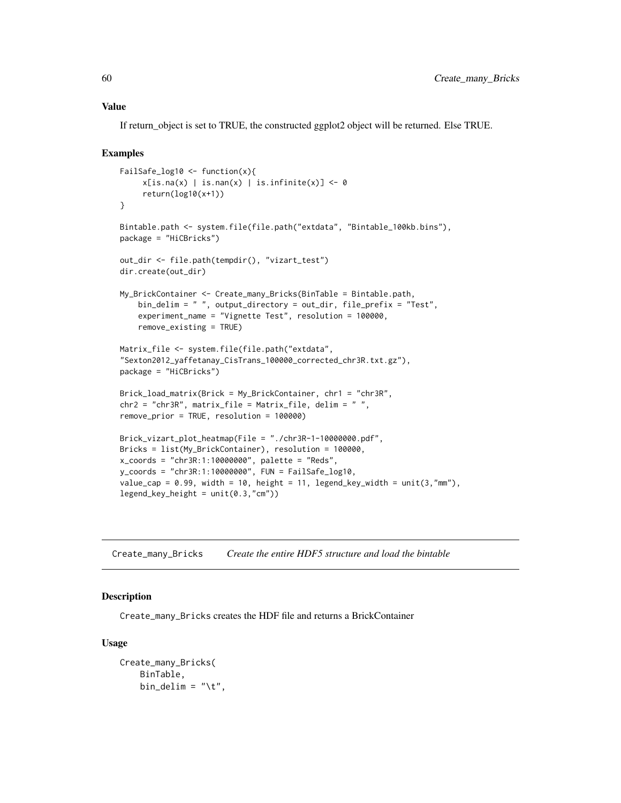#### Value

If return\_object is set to TRUE, the constructed ggplot2 object will be returned. Else TRUE.

### Examples

```
FailSafe_log10 <- function(x){
     x[is.na(x) | is.nan(x) | is.infinite(x)] <- 0
     return(log10(x+1))
}
Bintable.path <- system.file(file.path("extdata", "Bintable_100kb.bins"),
package = "HiCBricks")
out_dir <- file.path(tempdir(), "vizart_test")
dir.create(out_dir)
My_BrickContainer <- Create_many_Bricks(BinTable = Bintable.path,
    bin_delim = " ", output_directory = out_dir, file_prefix = "Test",
    experiment_name = "Vignette Test", resolution = 100000,
    remove_existing = TRUE)
Matrix_file <- system.file(file.path("extdata",
"Sexton2012_yaffetanay_CisTrans_100000_corrected_chr3R.txt.gz"),
package = "HiCBricks")
Brick_load_matrix(Brick = My_BrickContainer, chr1 = "chr3R",
chr2 = "chr3R", matrix_file = Matrix_file, delim = " ",
remove_prior = TRUE, resolution = 100000)
Brick_vizart_plot_heatmap(File = "./chr3R-1-10000000.pdf",
Bricks = list(My_BrickContainer), resolution = 100000,
x_coords = "chr3R:1:10000000", palette = "Reds",
y_coords = "chr3R:1:10000000", FUN = FailSafe_log10,
value_cap = 0.99, width = 10, height = 11, legend_key_width = unit(3,"mm"),
legend_{key_{height} = unit(0.3, "cm")
```
<span id="page-59-1"></span>Create\_many\_Bricks *Create the entire HDF5 structure and load the bintable*

### Description

Create\_many\_Bricks creates the HDF file and returns a BrickContainer

### Usage

```
Create_many_Bricks(
    BinTable,
    bin_delim = "\t t",
```
<span id="page-59-0"></span>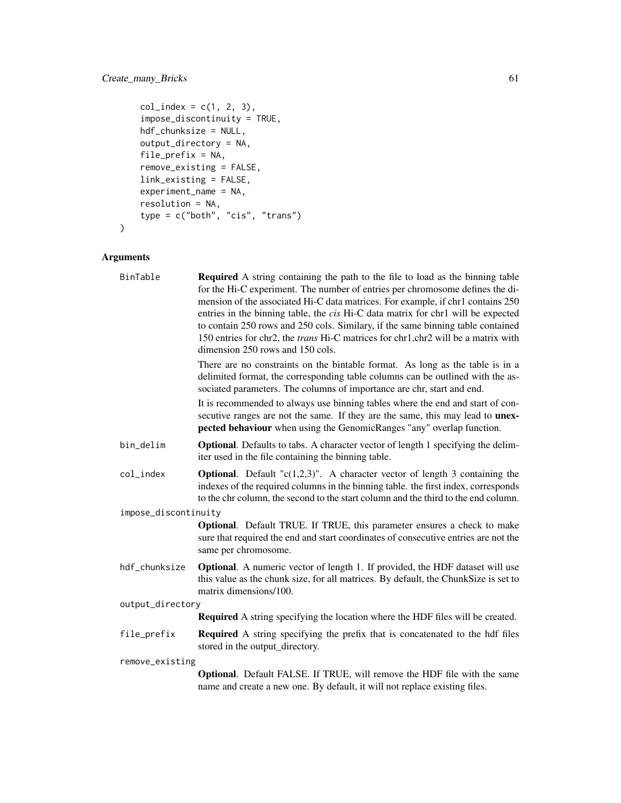### Create\_many\_Bricks 61

```
col\_index = c(1, 2, 3),impose_discontinuity = TRUE,
   hdf_chunksize = NULL,
   output_directory = NA,
   file_prefix = NA,
   remove_existing = FALSE,
   link_existing = FALSE,
   experiment_name = NA,
   resolution = NA,
   type = c("both", "cis", "trans")
)
```
### Arguments

| BinTable             | <b>Required</b> A string containing the path to the file to load as the binning table<br>for the Hi-C experiment. The number of entries per chromosome defines the di-<br>mension of the associated Hi-C data matrices. For example, if chr1 contains 250<br>entries in the binning table, the <i>cis</i> Hi-C data matrix for chr1 will be expected<br>to contain 250 rows and 250 cols. Similary, if the same binning table contained<br>150 entries for chr2, the <i>trans</i> Hi-C matrices for chr1, chr2 will be a matrix with<br>dimension 250 rows and 150 cols. |  |
|----------------------|--------------------------------------------------------------------------------------------------------------------------------------------------------------------------------------------------------------------------------------------------------------------------------------------------------------------------------------------------------------------------------------------------------------------------------------------------------------------------------------------------------------------------------------------------------------------------|--|
|                      | There are no constraints on the bintable format. As long as the table is in a<br>delimited format, the corresponding table columns can be outlined with the as-<br>sociated parameters. The columns of importance are chr, start and end.                                                                                                                                                                                                                                                                                                                                |  |
|                      | It is recommended to always use binning tables where the end and start of con-<br>secutive ranges are not the same. If they are the same, this may lead to <b>unex-</b><br>pected behaviour when using the GenomicRanges "any" overlap function.                                                                                                                                                                                                                                                                                                                         |  |
| bin_delim            | <b>Optional</b> . Defaults to tabs. A character vector of length 1 specifying the delim-<br>iter used in the file containing the binning table.                                                                                                                                                                                                                                                                                                                                                                                                                          |  |
| col_index            | <b>Optional.</b> Default " $c(1,2,3)$ ". A character vector of length 3 containing the<br>indexes of the required columns in the binning table. the first index, corresponds<br>to the chr column, the second to the start column and the third to the end column.                                                                                                                                                                                                                                                                                                       |  |
| impose_discontinuity |                                                                                                                                                                                                                                                                                                                                                                                                                                                                                                                                                                          |  |
|                      | <b>Optional.</b> Default TRUE. If TRUE, this parameter ensures a check to make<br>sure that required the end and start coordinates of consecutive entries are not the<br>same per chromosome.                                                                                                                                                                                                                                                                                                                                                                            |  |
| hdf_chunksize        | Optional. A numeric vector of length 1. If provided, the HDF dataset will use<br>this value as the chunk size, for all matrices. By default, the ChunkSize is set to<br>matrix dimensions/100.                                                                                                                                                                                                                                                                                                                                                                           |  |
| output_directory     |                                                                                                                                                                                                                                                                                                                                                                                                                                                                                                                                                                          |  |
|                      | <b>Required</b> A string specifying the location where the HDF files will be created.                                                                                                                                                                                                                                                                                                                                                                                                                                                                                    |  |
| file_prefix          | <b>Required</b> A string specifying the prefix that is concatenated to the hdf files<br>stored in the output_directory.                                                                                                                                                                                                                                                                                                                                                                                                                                                  |  |
| remove_existing      |                                                                                                                                                                                                                                                                                                                                                                                                                                                                                                                                                                          |  |
|                      | Optional. Default FALSE. If TRUE, will remove the HDF file with the same<br>name and create a new one. By default, it will not replace existing files.                                                                                                                                                                                                                                                                                                                                                                                                                   |  |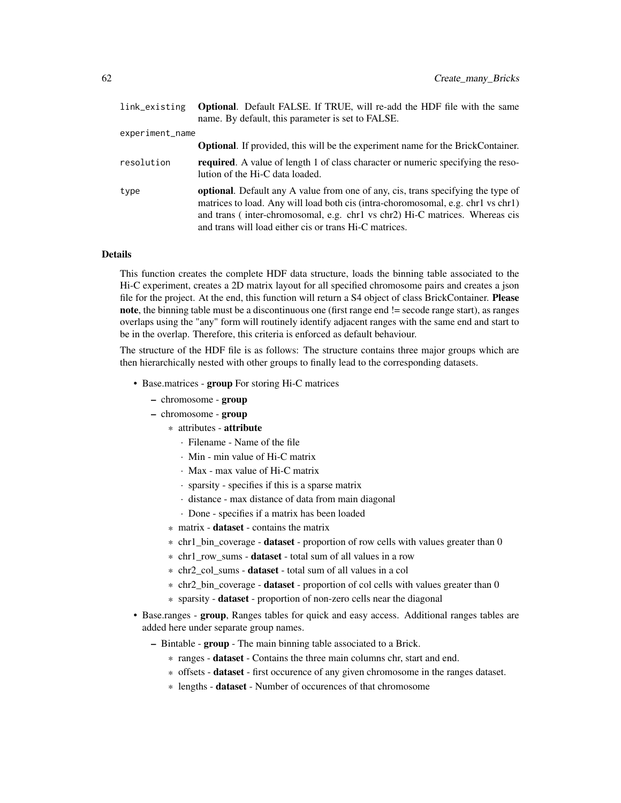| link_existing   | <b>Optional.</b> Default FALSE. If TRUE, will re-add the HDF file with the same<br>name. By default, this parameter is set to FALSE.                                                                                                                                                                          |  |
|-----------------|---------------------------------------------------------------------------------------------------------------------------------------------------------------------------------------------------------------------------------------------------------------------------------------------------------------|--|
| experiment_name |                                                                                                                                                                                                                                                                                                               |  |
|                 | <b>Optional.</b> If provided, this will be the experiment name for the BrickContainer.                                                                                                                                                                                                                        |  |
| resolution      | <b>required.</b> A value of length 1 of class character or numeric specifying the reso-<br>lution of the Hi-C data loaded.                                                                                                                                                                                    |  |
| type            | optional. Default any A value from one of any, cis, trans specifying the type of<br>matrices to load. Any will load both cis (intra-choromosomal, e.g. chr1 vs chr1)<br>and trans (inter-chromosomal, e.g. chr1 vs chr2) Hi-C matrices. Whereas cis<br>and trans will load either cis or trans Hi-C matrices. |  |

#### Details

This function creates the complete HDF data structure, loads the binning table associated to the Hi-C experiment, creates a 2D matrix layout for all specified chromosome pairs and creates a json file for the project. At the end, this function will return a S4 object of class BrickContainer. Please note, the binning table must be a discontinuous one (first range end != secode range start), as ranges overlaps using the "any" form will routinely identify adjacent ranges with the same end and start to be in the overlap. Therefore, this criteria is enforced as default behaviour.

The structure of the HDF file is as follows: The structure contains three major groups which are then hierarchically nested with other groups to finally lead to the corresponding datasets.

- Base.matrices group For storing Hi-C matrices
	- chromosome group
	- chromosome group
		- \* attributes attribute
			- · Filename Name of the file
			- · Min min value of Hi-C matrix
			- · Max max value of Hi-C matrix
			- · sparsity specifies if this is a sparse matrix
			- · distance max distance of data from main diagonal
			- · Done specifies if a matrix has been loaded
		- \* matrix dataset contains the matrix
		- \* chr1 bin coverage **dataset** proportion of row cells with values greater than 0
		- \* chr1 row sums dataset total sum of all values in a row
		- \* chr2\_col\_sums dataset total sum of all values in a col
		- \* chr2\_bin\_coverage dataset proportion of col cells with values greater than 0
		- \* sparsity dataset proportion of non-zero cells near the diagonal
- Base.ranges **group**, Ranges tables for quick and easy access. Additional ranges tables are added here under separate group names.
	- Bintable group The main binning table associated to a Brick.
		- \* ranges dataset Contains the three main columns chr, start and end.
		- \* offsets **dataset** first occurence of any given chromosome in the ranges dataset.
		- \* lengths dataset Number of occurences of that chromosome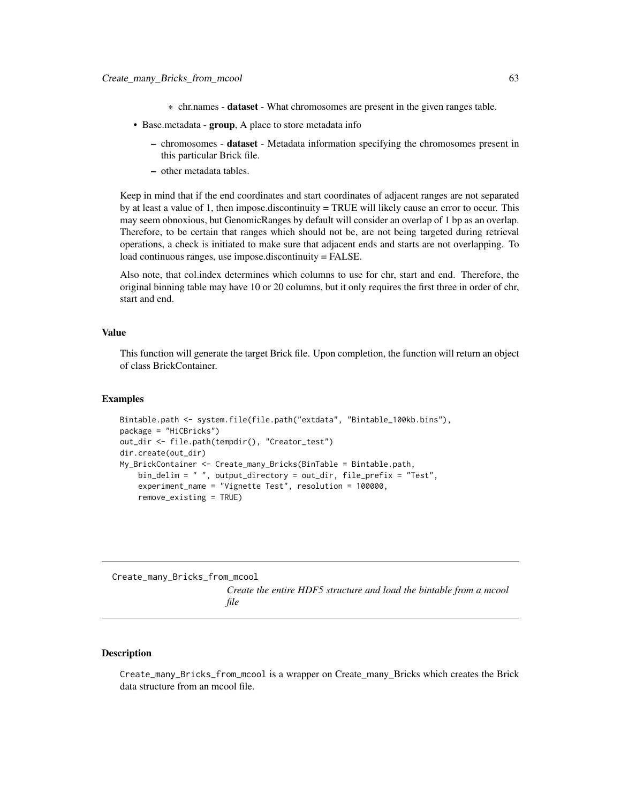- \* chr.names dataset What chromosomes are present in the given ranges table.
- <span id="page-62-0"></span>• Base.metadata - **group**, A place to store metadata info
	- chromosomes dataset Metadata information specifying the chromosomes present in this particular Brick file.
	- other metadata tables.

Keep in mind that if the end coordinates and start coordinates of adjacent ranges are not separated by at least a value of 1, then impose.discontinuity = TRUE will likely cause an error to occur. This may seem obnoxious, but GenomicRanges by default will consider an overlap of 1 bp as an overlap. Therefore, to be certain that ranges which should not be, are not being targeted during retrieval operations, a check is initiated to make sure that adjacent ends and starts are not overlapping. To load continuous ranges, use impose.discontinuity = FALSE.

Also note, that col.index determines which columns to use for chr, start and end. Therefore, the original binning table may have 10 or 20 columns, but it only requires the first three in order of chr, start and end.

#### Value

This function will generate the target Brick file. Upon completion, the function will return an object of class BrickContainer.

#### Examples

```
Bintable.path <- system.file(file.path("extdata", "Bintable_100kb.bins"),
package = "HiCBricks")
out_dir <- file.path(tempdir(), "Creator_test")
dir.create(out_dir)
My_BrickContainer <- Create_many_Bricks(BinTable = Bintable.path,
   bin_delim = " ", output_directory = out_dir, file_prefix = "Test",
    experiment_name = "Vignette Test", resolution = 100000,
    remove_existing = TRUE)
```
<span id="page-62-1"></span>Create\_many\_Bricks\_from\_mcool

*Create the entire HDF5 structure and load the bintable from a mcool file*

### Description

Create\_many\_Bricks\_from\_mcool is a wrapper on Create\_many\_Bricks which creates the Brick data structure from an mcool file.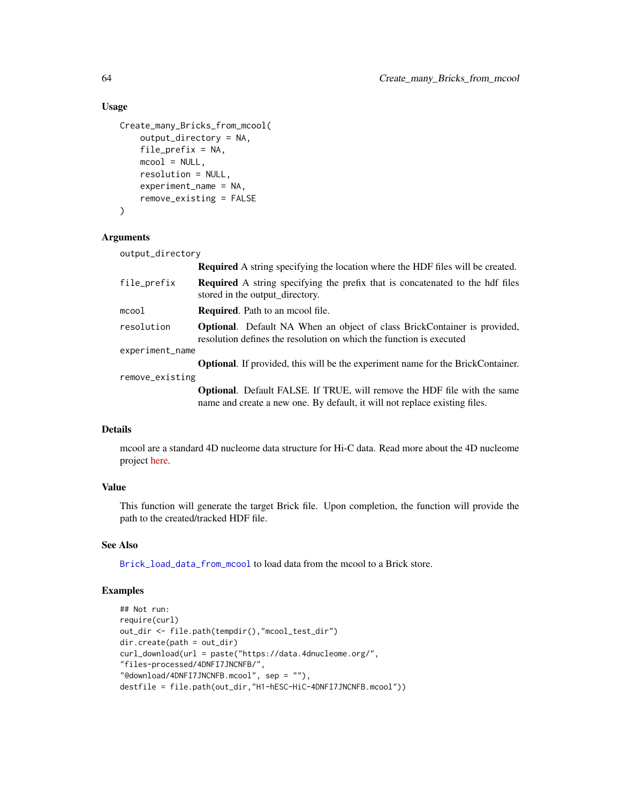### Usage

```
Create_many_Bricks_from_mcool(
   output_directory = NA,
    file_prefix = NA,
   mcool = NULL,resolution = NULL,
    experiment_name = NA,
    remove_existing = FALSE
)
```
### Arguments

output\_directory

|                 | <b>Required</b> A string specifying the location where the HDF files will be created.                                                                         |  |
|-----------------|---------------------------------------------------------------------------------------------------------------------------------------------------------------|--|
| file_prefix     | <b>Required</b> A string specifying the prefix that is concatenated to the hdf files<br>stored in the output_directory.                                       |  |
| mcool           | <b>Required.</b> Path to an moool file.                                                                                                                       |  |
| resolution      | <b>Optional.</b> Default NA When an object of class BrickContainer is provided,<br>resolution defines the resolution on which the function is executed        |  |
| experiment_name |                                                                                                                                                               |  |
|                 | <b>Optional.</b> If provided, this will be the experiment name for the BrickContainer.                                                                        |  |
| remove_existing |                                                                                                                                                               |  |
|                 | <b>Optional.</b> Default FALSE. If TRUE, will remove the HDF file with the same<br>name and create a new one. By default, it will not replace existing files. |  |

### Details

mcool are a standard 4D nucleome data structure for Hi-C data. Read more about the 4D nucleome project [here.](https://data.4dnucleome.org/)

### Value

This function will generate the target Brick file. Upon completion, the function will provide the path to the created/tracked HDF file.

### See Also

[Brick\\_load\\_data\\_from\\_mcool](#page-36-1) to load data from the mcool to a Brick store.

```
## Not run:
require(curl)
out_dir <- file.path(tempdir(),"mcool_test_dir")
dir.create(path = out_dir)
curl_download(url = paste("https://data.4dnucleome.org/",
"files-processed/4DNFI7JNCNFB/",
"@download/4DNFI7JNCNFB.mcool", sep = ""),
destfile = file.path(out_dir,"H1-hESC-HiC-4DNFI7JNCNFB.mcool"))
```
<span id="page-63-0"></span>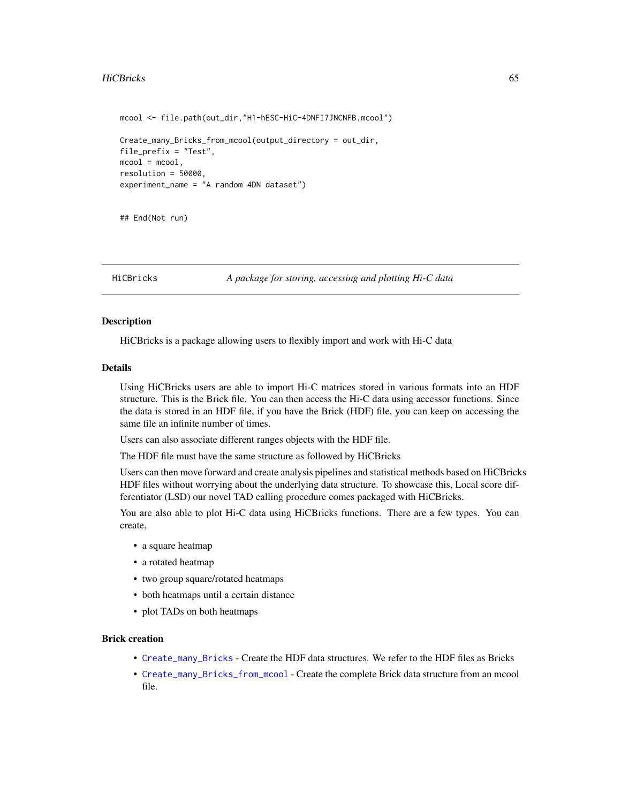#### <span id="page-64-0"></span>HiCBricks 65

```
mcool <- file.path(out_dir,"H1-hESC-HiC-4DNFI7JNCNFB.mcool")
Create_many_Bricks_from_mcool(output_directory = out_dir,
file_prefix = "Test",
mcool = mcool,
resolution = 50000,
experiment_name = "A random 4DN dataset")
```
## End(Not run)

HiCBricks *A package for storing, accessing and plotting Hi-C data*

### **Description**

HiCBricks is a package allowing users to flexibly import and work with Hi-C data

### Details

Using HiCBricks users are able to import Hi-C matrices stored in various formats into an HDF structure. This is the Brick file. You can then access the Hi-C data using accessor functions. Since the data is stored in an HDF file, if you have the Brick (HDF) file, you can keep on accessing the same file an infinite number of times.

Users can also associate different ranges objects with the HDF file.

The HDF file must have the same structure as followed by HiCBricks

Users can then move forward and create analysis pipelines and statistical methods based on HiCBricks HDF files without worrying about the underlying data structure. To showcase this, Local score differentiator (LSD) our novel TAD calling procedure comes packaged with HiCBricks.

You are also able to plot Hi-C data using HiCBricks functions. There are a few types. You can create,

- a square heatmap
- a rotated heatmap
- two group square/rotated heatmaps
- both heatmaps until a certain distance
- plot TADs on both heatmaps

#### Brick creation

- [Create\\_many\\_Bricks](#page-59-1) Create the HDF data structures. We refer to the HDF files as Bricks
- [Create\\_many\\_Bricks\\_from\\_mcool](#page-62-1) Create the complete Brick data structure from an mcool file.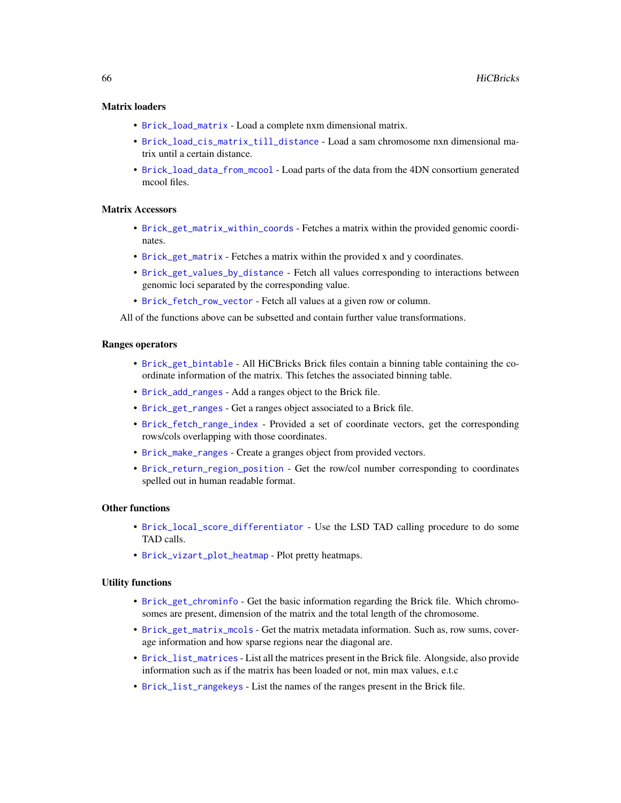### <span id="page-65-0"></span>Matrix loaders

- [Brick\\_load\\_matrix](#page-39-1) Load a complete nxm dimensional matrix.
- [Brick\\_load\\_cis\\_matrix\\_till\\_distance](#page-34-1) Load a sam chromosome nxn dimensional matrix until a certain distance.
- [Brick\\_load\\_data\\_from\\_mcool](#page-36-1) Load parts of the data from the 4DN consortium generated mcool files.

### Matrix Accessors

- [Brick\\_get\\_matrix\\_within\\_coords](#page-23-1) Fetches a matrix within the provided genomic coordinates.
- [Brick\\_get\\_matrix](#page-20-1) Fetches a matrix within the provided x and y coordinates.
- [Brick\\_get\\_values\\_by\\_distance](#page-26-1) Fetch all values corresponding to interactions between genomic loci separated by the corresponding value.
- [Brick\\_fetch\\_row\\_vector](#page-15-1) Fetch all values at a given row or column.

All of the functions above can be subsetted and contain further value transformations.

### Ranges operators

- [Brick\\_get\\_bintable](#page-17-1) All HiCBricks Brick files contain a binning table containing the coordinate information of the matrix. This fetches the associated binning table.
- [Brick\\_add\\_ranges](#page-10-1) Add a ranges object to the Brick file.
- [Brick\\_get\\_ranges](#page-25-1) Get a ranges object associated to a Brick file.
- [Brick\\_fetch\\_range\\_index](#page-14-1) Provided a set of coordinate vectors, get the corresponding rows/cols overlapping with those coordinates.
- [Brick\\_make\\_ranges](#page-44-1) Create a granges object from provided vectors.
- [Brick\\_return\\_region\\_position](#page-54-1) Get the row/col number corresponding to coordinates spelled out in human readable format.

#### Other functions

- [Brick\\_local\\_score\\_differentiator](#page-41-1) Use the LSD TAD calling procedure to do some TAD calls.
- [Brick\\_vizart\\_plot\\_heatmap](#page-55-1) Plot pretty heatmaps.

#### Utility functions

- [Brick\\_get\\_chrominfo](#page-18-1) Get the basic information regarding the Brick file. Which chromosomes are present, dimension of the matrix and the total length of the chromosome.
- [Brick\\_get\\_matrix\\_mcols](#page-22-1) Get the matrix metadata information. Such as, row sums, coverage information and how sparse regions near the diagonal are.
- [Brick\\_list\\_matrices](#page-29-1) List all the matrices present in the Brick file. Alongside, also provide information such as if the matrix has been loaded or not, min max values, e.t.c
- [Brick\\_list\\_rangekeys](#page-32-2) List the names of the ranges present in the Brick file.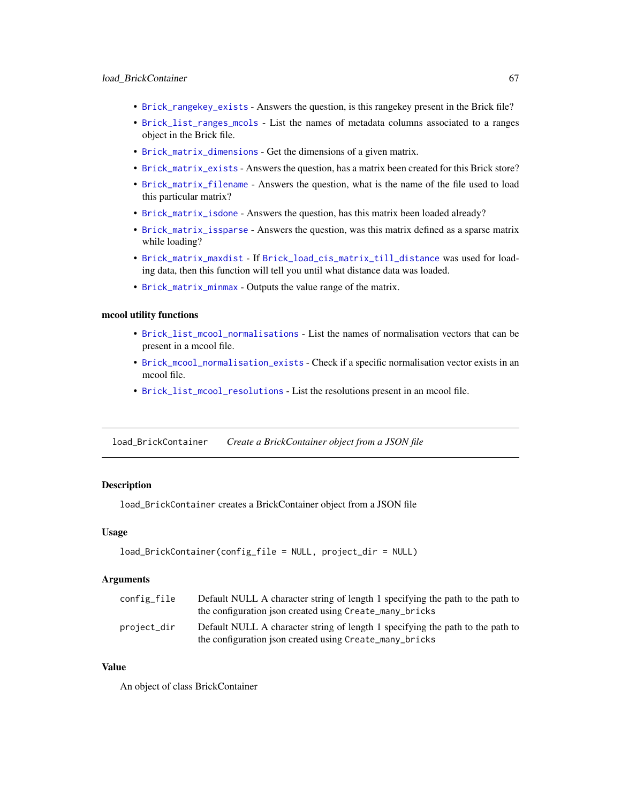- <span id="page-66-0"></span>• [Brick\\_rangekey\\_exists](#page-53-1) - Answers the question, is this rangekey present in the Brick file?
- [Brick\\_list\\_ranges\\_mcols](#page-33-1) List the names of metadata columns associated to a ranges object in the Brick file.
- [Brick\\_matrix\\_dimensions](#page-45-1) Get the dimensions of a given matrix.
- [Brick\\_matrix\\_exists](#page-46-1) Answers the question, has a matrix been created for this Brick store?
- [Brick\\_matrix\\_filename](#page-47-1) Answers the question, what is the name of the file used to load this particular matrix?
- [Brick\\_matrix\\_isdone](#page-48-1) Answers the question, has this matrix been loaded already?
- [Brick\\_matrix\\_issparse](#page-49-1) Answers the question, was this matrix defined as a sparse matrix while loading?
- [Brick\\_matrix\\_maxdist](#page-50-1) If [Brick\\_load\\_cis\\_matrix\\_till\\_distance](#page-34-1) was used for loading data, then this function will tell you until what distance data was loaded.
- [Brick\\_matrix\\_minmax](#page-51-1) Outputs the value range of the matrix.

### mcool utility functions

- [Brick\\_list\\_mcool\\_normalisations](#page-31-1) List the names of normalisation vectors that can be present in a mcool file.
- [Brick\\_mcool\\_normalisation\\_exists](#page-52-1) Check if a specific normalisation vector exists in an mcool file.
- [Brick\\_list\\_mcool\\_resolutions](#page-32-1) List the resolutions present in an mcool file.

load\_BrickContainer *Create a BrickContainer object from a JSON file*

### Description

load\_BrickContainer creates a BrickContainer object from a JSON file

#### Usage

```
load_BrickContainer(config_file = NULL, project_dir = NULL)
```
### Arguments

| config_file | Default NULL A character string of length 1 specifying the path to the path to<br>the configuration json created using Create_many_bricks |
|-------------|-------------------------------------------------------------------------------------------------------------------------------------------|
| project_dir | Default NULL A character string of length 1 specifying the path to the path to<br>the configuration json created using Create_many_bricks |

### Value

An object of class BrickContainer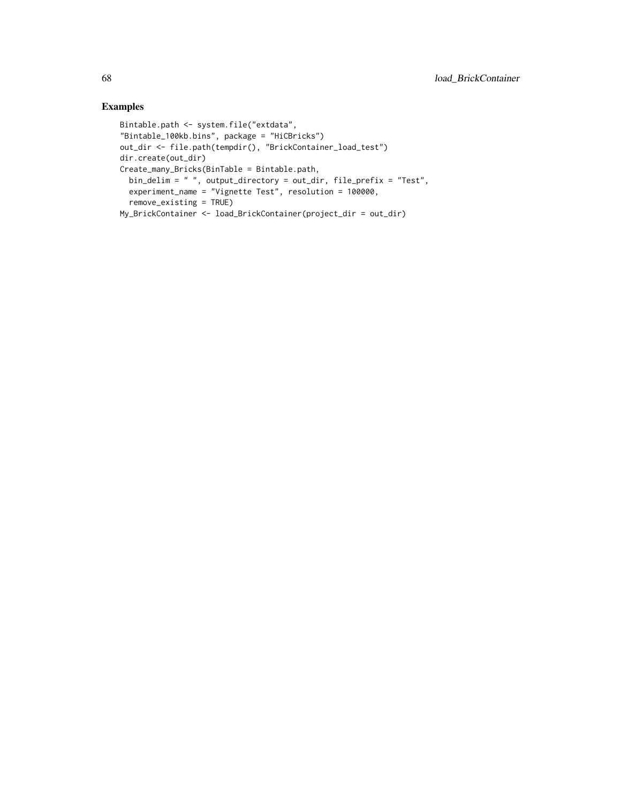```
Bintable.path <- system.file("extdata",
"Bintable_100kb.bins", package = "HiCBricks")
out_dir <- file.path(tempdir(), "BrickContainer_load_test")
dir.create(out_dir)
Create_many_Bricks(BinTable = Bintable.path,
 bin_delim = " ", output_directory = out_dir, file_prefix = "Test",
  experiment_name = "Vignette Test", resolution = 100000,
  remove_existing = TRUE)
My_BrickContainer <- load_BrickContainer(project_dir = out_dir)
```